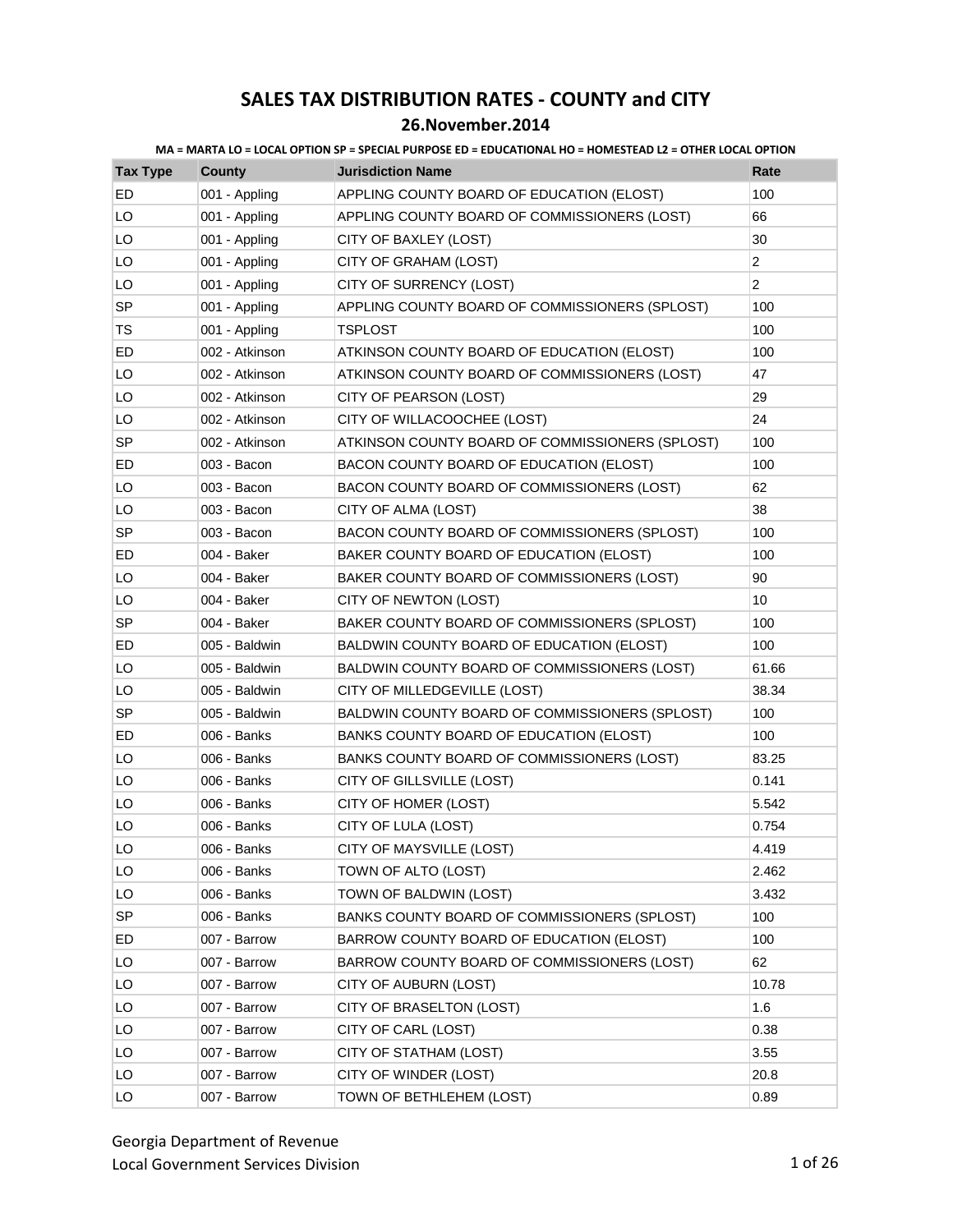### **26.November.2014**

| <b>Tax Type</b> | <b>County</b>  | <b>Jurisdiction Name</b>                        | Rate           |
|-----------------|----------------|-------------------------------------------------|----------------|
| ED              | 001 - Appling  | APPLING COUNTY BOARD OF EDUCATION (ELOST)       | 100            |
| LO              | 001 - Appling  | APPLING COUNTY BOARD OF COMMISSIONERS (LOST)    | 66             |
| LO              | 001 - Appling  | CITY OF BAXLEY (LOST)                           | 30             |
| LO              | 001 - Appling  | CITY OF GRAHAM (LOST)                           | $\overline{2}$ |
| LO              | 001 - Appling  | CITY OF SURRENCY (LOST)                         | $\overline{2}$ |
| <b>SP</b>       | 001 - Appling  | APPLING COUNTY BOARD OF COMMISSIONERS (SPLOST)  | 100            |
| TS              | 001 - Appling  | <b>TSPLOST</b>                                  | 100            |
| ED              | 002 - Atkinson | ATKINSON COUNTY BOARD OF EDUCATION (ELOST)      | 100            |
| LO              | 002 - Atkinson | ATKINSON COUNTY BOARD OF COMMISSIONERS (LOST)   | 47             |
| LO              | 002 - Atkinson | CITY OF PEARSON (LOST)                          | 29             |
| LO              | 002 - Atkinson | CITY OF WILLACOOCHEE (LOST)                     | 24             |
| SP              | 002 - Atkinson | ATKINSON COUNTY BOARD OF COMMISSIONERS (SPLOST) | 100            |
| ED              | 003 - Bacon    | BACON COUNTY BOARD OF EDUCATION (ELOST)         | 100            |
| LO              | 003 - Bacon    | BACON COUNTY BOARD OF COMMISSIONERS (LOST)      | 62             |
| LO              | 003 - Bacon    | CITY OF ALMA (LOST)                             | 38             |
| <b>SP</b>       | 003 - Bacon    | BACON COUNTY BOARD OF COMMISSIONERS (SPLOST)    | 100            |
| ED              | 004 - Baker    | BAKER COUNTY BOARD OF EDUCATION (ELOST)         | 100            |
| LO              | 004 - Baker    | BAKER COUNTY BOARD OF COMMISSIONERS (LOST)      | 90             |
| LO              | 004 - Baker    | CITY OF NEWTON (LOST)                           | 10             |
| <b>SP</b>       | 004 - Baker    | BAKER COUNTY BOARD OF COMMISSIONERS (SPLOST)    | 100            |
| ED              | 005 - Baldwin  | BALDWIN COUNTY BOARD OF EDUCATION (ELOST)       | 100            |
| LO              | 005 - Baldwin  | BALDWIN COUNTY BOARD OF COMMISSIONERS (LOST)    | 61.66          |
| LO              | 005 - Baldwin  | CITY OF MILLEDGEVILLE (LOST)                    | 38.34          |
| SP              | 005 - Baldwin  | BALDWIN COUNTY BOARD OF COMMISSIONERS (SPLOST)  | 100            |
| ED              | 006 - Banks    | BANKS COUNTY BOARD OF EDUCATION (ELOST)         | 100            |
| LO              | 006 - Banks    | BANKS COUNTY BOARD OF COMMISSIONERS (LOST)      | 83.25          |
| LO              | 006 - Banks    | CITY OF GILLSVILLE (LOST)                       | 0.141          |
| LO              | 006 - Banks    | CITY OF HOMER (LOST)                            | 5.542          |
| LO              | 006 - Banks    | CITY OF LULA (LOST)                             | 0.754          |
| LO              | 006 - Banks    | CITY OF MAYSVILLE (LOST)                        | 4.419          |
| LO              | 006 - Banks    | TOWN OF ALTO (LOST)                             | 2.462          |
| LO              | 006 - Banks    | TOWN OF BALDWIN (LOST)                          | 3.432          |
| <b>SP</b>       | 006 - Banks    | BANKS COUNTY BOARD OF COMMISSIONERS (SPLOST)    | 100            |
| ED              | 007 - Barrow   | BARROW COUNTY BOARD OF EDUCATION (ELOST)        | 100            |
| LO              | 007 - Barrow   | BARROW COUNTY BOARD OF COMMISSIONERS (LOST)     | 62             |
| LO              | 007 - Barrow   | CITY OF AUBURN (LOST)                           | 10.78          |
| LO              | 007 - Barrow   | CITY OF BRASELTON (LOST)                        | 1.6            |
| LO              | 007 - Barrow   | CITY OF CARL (LOST)                             | 0.38           |
| LO              | 007 - Barrow   | CITY OF STATHAM (LOST)                          | 3.55           |
| LO              | 007 - Barrow   | CITY OF WINDER (LOST)                           | 20.8           |
| LO              | 007 - Barrow   | TOWN OF BETHLEHEM (LOST)                        | 0.89           |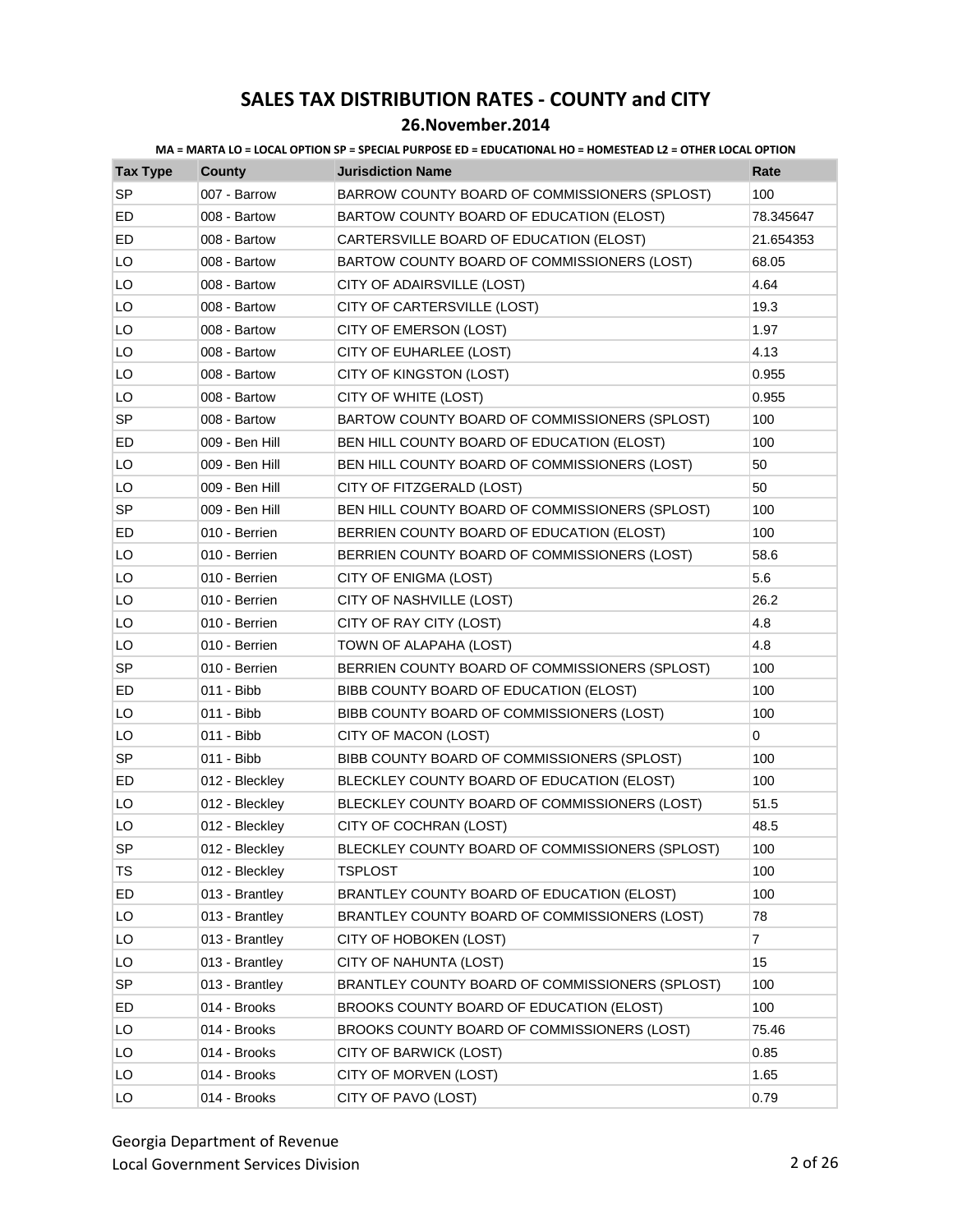| <b>Tax Type</b> | <b>County</b>  | <b>Jurisdiction Name</b>                        | Rate           |
|-----------------|----------------|-------------------------------------------------|----------------|
| <b>SP</b>       | 007 - Barrow   | BARROW COUNTY BOARD OF COMMISSIONERS (SPLOST)   | 100            |
| ED              | 008 - Bartow   | BARTOW COUNTY BOARD OF EDUCATION (ELOST)        | 78.345647      |
| ED              | 008 - Bartow   | CARTERSVILLE BOARD OF EDUCATION (ELOST)         | 21.654353      |
| LO              | 008 - Bartow   | BARTOW COUNTY BOARD OF COMMISSIONERS (LOST)     | 68.05          |
| LO              | 008 - Bartow   | CITY OF ADAIRSVILLE (LOST)                      | 4.64           |
| LO              | 008 - Bartow   | CITY OF CARTERSVILLE (LOST)                     | 19.3           |
| LO              | 008 - Bartow   | CITY OF EMERSON (LOST)                          | 1.97           |
| LO              | 008 - Bartow   | CITY OF EUHARLEE (LOST)                         | 4.13           |
| LO              | 008 - Bartow   | CITY OF KINGSTON (LOST)                         | 0.955          |
| LO              | 008 - Bartow   | CITY OF WHITE (LOST)                            | 0.955          |
| <b>SP</b>       | 008 - Bartow   | BARTOW COUNTY BOARD OF COMMISSIONERS (SPLOST)   | 100            |
| ED              | 009 - Ben Hill | BEN HILL COUNTY BOARD OF EDUCATION (ELOST)      | 100            |
| LO              | 009 - Ben Hill | BEN HILL COUNTY BOARD OF COMMISSIONERS (LOST)   | 50             |
| LO              | 009 - Ben Hill | CITY OF FITZGERALD (LOST)                       | 50             |
| SP              | 009 - Ben Hill | BEN HILL COUNTY BOARD OF COMMISSIONERS (SPLOST) | 100            |
| ED              | 010 - Berrien  | BERRIEN COUNTY BOARD OF EDUCATION (ELOST)       | 100            |
| LO              | 010 - Berrien  | BERRIEN COUNTY BOARD OF COMMISSIONERS (LOST)    | 58.6           |
| LO              | 010 - Berrien  | CITY OF ENIGMA (LOST)                           | 5.6            |
| LO              | 010 - Berrien  | CITY OF NASHVILLE (LOST)                        | 26.2           |
| LO              | 010 - Berrien  | CITY OF RAY CITY (LOST)                         | 4.8            |
| LO              | 010 - Berrien  | TOWN OF ALAPAHA (LOST)                          | 4.8            |
| SP              | 010 - Berrien  | BERRIEN COUNTY BOARD OF COMMISSIONERS (SPLOST)  | 100            |
| ED              | 011 - Bibb     | BIBB COUNTY BOARD OF EDUCATION (ELOST)          | 100            |
| LO              | 011 - Bibb     | BIBB COUNTY BOARD OF COMMISSIONERS (LOST)       | 100            |
| LO              | 011 - Bibb     | CITY OF MACON (LOST)                            | 0              |
| <b>SP</b>       | 011 - Bibb     | BIBB COUNTY BOARD OF COMMISSIONERS (SPLOST)     | 100            |
| ED              | 012 - Bleckley | BLECKLEY COUNTY BOARD OF EDUCATION (ELOST)      | 100            |
| LO              | 012 - Bleckley | BLECKLEY COUNTY BOARD OF COMMISSIONERS (LOST)   | 51.5           |
| LO              | 012 - Bleckley | CITY OF COCHRAN (LOST)                          | 48.5           |
| <b>SP</b>       | 012 - Blecklev | BLECKLEY COUNTY BOARD OF COMMISSIONERS (SPLOST) | 100            |
| <b>TS</b>       | 012 - Bleckley | TSPLOST                                         | 100            |
| ED              | 013 - Brantley | BRANTLEY COUNTY BOARD OF EDUCATION (ELOST)      | 100            |
| LO              | 013 - Brantley | BRANTLEY COUNTY BOARD OF COMMISSIONERS (LOST)   | 78             |
| LO              | 013 - Brantley | CITY OF HOBOKEN (LOST)                          | $\overline{7}$ |
| LO              | 013 - Brantley | CITY OF NAHUNTA (LOST)                          | 15             |
| SP              | 013 - Brantley | BRANTLEY COUNTY BOARD OF COMMISSIONERS (SPLOST) | 100            |
| ED              | 014 - Brooks   | BROOKS COUNTY BOARD OF EDUCATION (ELOST)        | 100            |
| LO              | 014 - Brooks   | BROOKS COUNTY BOARD OF COMMISSIONERS (LOST)     | 75.46          |
| LO              | 014 - Brooks   | CITY OF BARWICK (LOST)                          | 0.85           |
| LO              | 014 - Brooks   | CITY OF MORVEN (LOST)                           | 1.65           |
| LO              | 014 - Brooks   | CITY OF PAVO (LOST)                             | 0.79           |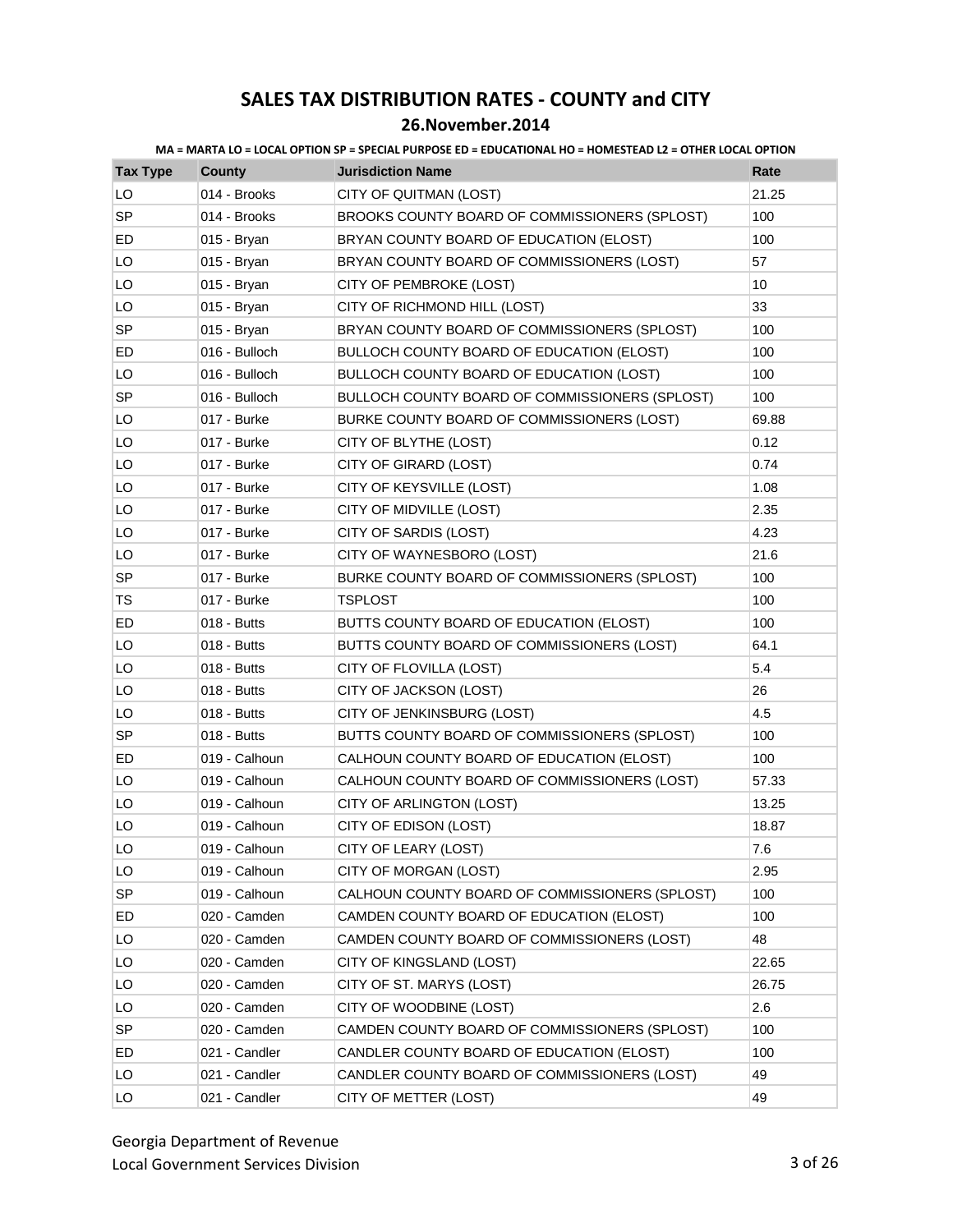| MA = MARTA LO = LOCAL OPTION SP = SPECIAL PURPOSE ED = EDUCATIONAL HO = HOMESTEAD L2 = OTHER LOCAL OPTION |
|-----------------------------------------------------------------------------------------------------------|
|-----------------------------------------------------------------------------------------------------------|

| <b>Tax Type</b> | <b>County</b> | <b>Jurisdiction Name</b>                         | Rate  |
|-----------------|---------------|--------------------------------------------------|-------|
| LO              | 014 - Brooks  | CITY OF QUITMAN (LOST)                           | 21.25 |
| <b>SP</b>       | 014 - Brooks  | BROOKS COUNTY BOARD OF COMMISSIONERS (SPLOST)    | 100   |
| ED              | 015 - Bryan   | BRYAN COUNTY BOARD OF EDUCATION (ELOST)          | 100   |
| LO              | 015 - Bryan   | BRYAN COUNTY BOARD OF COMMISSIONERS (LOST)       | 57    |
| LO              | 015 - Bryan   | CITY OF PEMBROKE (LOST)                          | 10    |
| LO              | 015 - Bryan   | CITY OF RICHMOND HILL (LOST)                     | 33    |
| <b>SP</b>       | 015 - Bryan   | BRYAN COUNTY BOARD OF COMMISSIONERS (SPLOST)     | 100   |
| ED              | 016 - Bulloch | <b>BULLOCH COUNTY BOARD OF EDUCATION (ELOST)</b> | 100   |
| LO              | 016 - Bulloch | BULLOCH COUNTY BOARD OF EDUCATION (LOST)         | 100   |
| SP              | 016 - Bulloch | BULLOCH COUNTY BOARD OF COMMISSIONERS (SPLOST)   | 100   |
| LO              | 017 - Burke   | BURKE COUNTY BOARD OF COMMISSIONERS (LOST)       | 69.88 |
| LO              | 017 - Burke   | CITY OF BLYTHE (LOST)                            | 0.12  |
| LO              | 017 - Burke   | CITY OF GIRARD (LOST)                            | 0.74  |
| LO              | 017 - Burke   | CITY OF KEYSVILLE (LOST)                         | 1.08  |
| LO              | 017 - Burke   | CITY OF MIDVILLE (LOST)                          | 2.35  |
| LO              | 017 - Burke   | CITY OF SARDIS (LOST)                            | 4.23  |
| LO              | 017 - Burke   | CITY OF WAYNESBORO (LOST)                        | 21.6  |
| <b>SP</b>       | 017 - Burke   | BURKE COUNTY BOARD OF COMMISSIONERS (SPLOST)     | 100   |
| TS              | 017 - Burke   | <b>TSPLOST</b>                                   | 100   |
| ED              | 018 - Butts   | BUTTS COUNTY BOARD OF EDUCATION (ELOST)          | 100   |
| LO              | 018 - Butts   | BUTTS COUNTY BOARD OF COMMISSIONERS (LOST)       | 64.1  |
| LO              | 018 - Butts   | CITY OF FLOVILLA (LOST)                          | 5.4   |
| LO              | 018 - Butts   | CITY OF JACKSON (LOST)                           | 26    |
| LO              | 018 - Butts   | CITY OF JENKINSBURG (LOST)                       | 4.5   |
| <b>SP</b>       | 018 - Butts   | BUTTS COUNTY BOARD OF COMMISSIONERS (SPLOST)     | 100   |
| ED              | 019 - Calhoun | CALHOUN COUNTY BOARD OF EDUCATION (ELOST)        | 100   |
| LO              | 019 - Calhoun | CALHOUN COUNTY BOARD OF COMMISSIONERS (LOST)     | 57.33 |
| LO              | 019 - Calhoun | CITY OF ARLINGTON (LOST)                         | 13.25 |
| LO              | 019 - Calhoun | CITY OF EDISON (LOST)                            | 18.87 |
| LO              | 019 - Calhoun | CITY OF LEARY (LOST)                             | 7.6   |
| LO              | 019 - Calhoun | CITY OF MORGAN (LOST)                            | 2.95  |
| <b>SP</b>       | 019 - Calhoun | CALHOUN COUNTY BOARD OF COMMISSIONERS (SPLOST)   | 100   |
| ED              | 020 - Camden  | CAMDEN COUNTY BOARD OF EDUCATION (ELOST)         | 100   |
| LO              | 020 - Camden  | CAMDEN COUNTY BOARD OF COMMISSIONERS (LOST)      | 48    |
| LO              | 020 - Camden  | CITY OF KINGSLAND (LOST)                         | 22.65 |
| LO              | 020 - Camden  | CITY OF ST. MARYS (LOST)                         | 26.75 |
| LO              | 020 - Camden  | CITY OF WOODBINE (LOST)                          | 2.6   |
| SP              | 020 - Camden  | CAMDEN COUNTY BOARD OF COMMISSIONERS (SPLOST)    | 100   |
| ED              | 021 - Candler | CANDLER COUNTY BOARD OF EDUCATION (ELOST)        | 100   |
| LO              | 021 - Candler | CANDLER COUNTY BOARD OF COMMISSIONERS (LOST)     | 49    |
| LO              | 021 - Candler | CITY OF METTER (LOST)                            | 49    |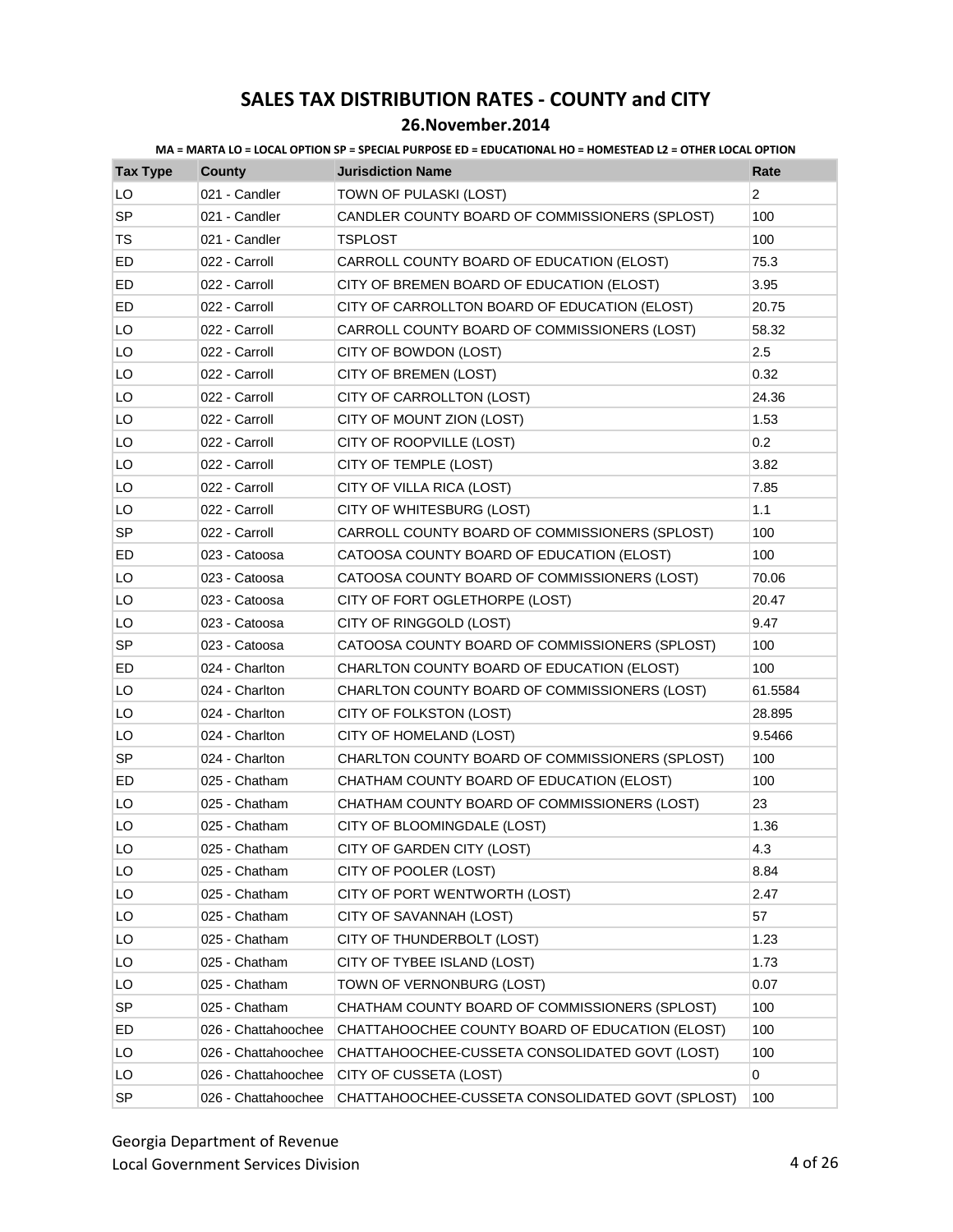| <b>Tax Type</b> | County              | <b>Jurisdiction Name</b>                         | Rate           |
|-----------------|---------------------|--------------------------------------------------|----------------|
| LO              | 021 - Candler       | TOWN OF PULASKI (LOST)                           | $\overline{c}$ |
| SP              | 021 - Candler       | CANDLER COUNTY BOARD OF COMMISSIONERS (SPLOST)   | 100            |
| TS              | 021 - Candler       | <b>TSPLOST</b>                                   | 100            |
| ED              | 022 - Carroll       | CARROLL COUNTY BOARD OF EDUCATION (ELOST)        | 75.3           |
| ED              | 022 - Carroll       | CITY OF BREMEN BOARD OF EDUCATION (ELOST)        | 3.95           |
| ED              | 022 - Carroll       | CITY OF CARROLLTON BOARD OF EDUCATION (ELOST)    | 20.75          |
| LO              | 022 - Carroll       | CARROLL COUNTY BOARD OF COMMISSIONERS (LOST)     | 58.32          |
| LO              | 022 - Carroll       | CITY OF BOWDON (LOST)                            | 2.5            |
| LO              | 022 - Carroll       | CITY OF BREMEN (LOST)                            | 0.32           |
| LO              | 022 - Carroll       | CITY OF CARROLLTON (LOST)                        | 24.36          |
| LO              | 022 - Carroll       | CITY OF MOUNT ZION (LOST)                        | 1.53           |
| LO              | 022 - Carroll       | CITY OF ROOPVILLE (LOST)                         | 0.2            |
| LO              | 022 - Carroll       | CITY OF TEMPLE (LOST)                            | 3.82           |
| LO              | 022 - Carroll       | CITY OF VILLA RICA (LOST)                        | 7.85           |
| LO              | 022 - Carroll       | CITY OF WHITESBURG (LOST)                        | 1.1            |
| <b>SP</b>       | 022 - Carroll       | CARROLL COUNTY BOARD OF COMMISSIONERS (SPLOST)   | 100            |
| ED              | 023 - Catoosa       | CATOOSA COUNTY BOARD OF EDUCATION (ELOST)        | 100            |
| LO              | 023 - Catoosa       | CATOOSA COUNTY BOARD OF COMMISSIONERS (LOST)     | 70.06          |
| LO              | 023 - Catoosa       | CITY OF FORT OGLETHORPE (LOST)                   | 20.47          |
| LO              | 023 - Catoosa       | CITY OF RINGGOLD (LOST)                          | 9.47           |
| <b>SP</b>       | 023 - Catoosa       | CATOOSA COUNTY BOARD OF COMMISSIONERS (SPLOST)   | 100            |
| ED              | 024 - Charlton      | CHARLTON COUNTY BOARD OF EDUCATION (ELOST)       | 100            |
| LO              | 024 - Charlton      | CHARLTON COUNTY BOARD OF COMMISSIONERS (LOST)    | 61.5584        |
| LO              | 024 - Charlton      | CITY OF FOLKSTON (LOST)                          | 28.895         |
| LO              | 024 - Charlton      | CITY OF HOMELAND (LOST)                          | 9.5466         |
| <b>SP</b>       | 024 - Charlton      | CHARLTON COUNTY BOARD OF COMMISSIONERS (SPLOST)  | 100            |
| ED              | 025 - Chatham       | CHATHAM COUNTY BOARD OF EDUCATION (ELOST)        | 100            |
| LO              | 025 - Chatham       | CHATHAM COUNTY BOARD OF COMMISSIONERS (LOST)     | 23             |
| LO              | 025 - Chatham       | CITY OF BLOOMINGDALE (LOST)                      | 1.36           |
| LO              | 025 - Chatham       | CITY OF GARDEN CITY (LOST)                       | 4.3            |
| LO              | 025 - Chatham       | CITY OF POOLER (LOST)                            | 8.84           |
| LO              | 025 - Chatham       | CITY OF PORT WENTWORTH (LOST)                    | 2.47           |
| LO              | 025 - Chatham       | CITY OF SAVANNAH (LOST)                          | 57             |
| LO              | 025 - Chatham       | CITY OF THUNDERBOLT (LOST)                       | 1.23           |
| LO              | 025 - Chatham       | CITY OF TYBEE ISLAND (LOST)                      | 1.73           |
| LO              | 025 - Chatham       | TOWN OF VERNONBURG (LOST)                        | 0.07           |
| <b>SP</b>       | 025 - Chatham       | CHATHAM COUNTY BOARD OF COMMISSIONERS (SPLOST)   | 100            |
| ED              | 026 - Chattahoochee | CHATTAHOOCHEE COUNTY BOARD OF EDUCATION (ELOST)  | 100            |
| LO              | 026 - Chattahoochee | CHATTAHOOCHEE-CUSSETA CONSOLIDATED GOVT (LOST)   | 100            |
| LO              | 026 - Chattahoochee | CITY OF CUSSETA (LOST)                           | 0              |
| SP              | 026 - Chattahoochee | CHATTAHOOCHEE-CUSSETA CONSOLIDATED GOVT (SPLOST) | 100            |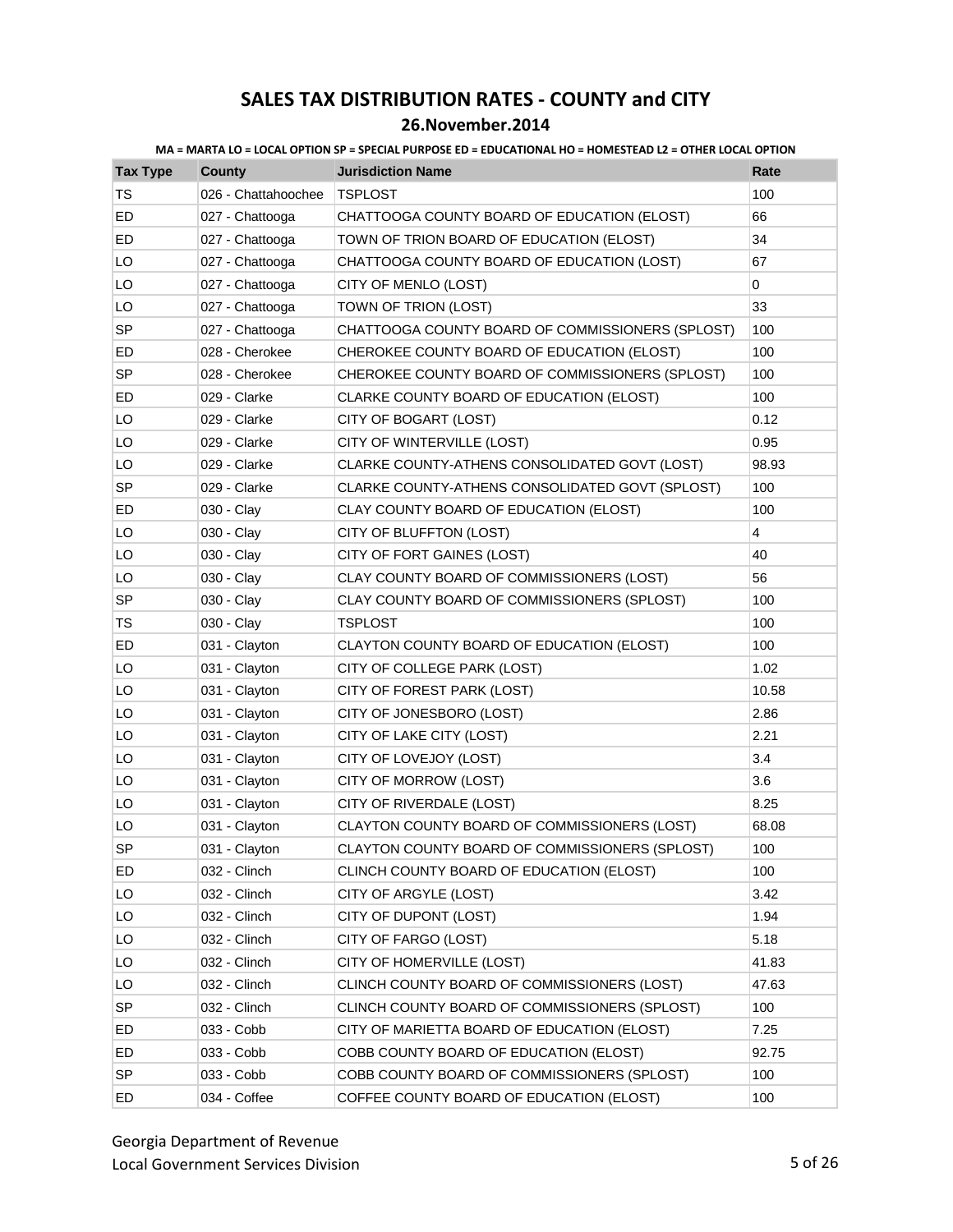**MA = MARTA LO = LOCAL OPTION SP = SPECIAL PURPOSE ED = EDUCATIONAL HO = HOMESTEAD L2 = OTHER LOCAL OPTION**

| <b>Tax Type</b> | <b>County</b>       | <b>Jurisdiction Name</b>                         | Rate  |
|-----------------|---------------------|--------------------------------------------------|-------|
| TS              | 026 - Chattahoochee | TSPLOST                                          | 100   |
| ED              | 027 - Chattooga     | CHATTOOGA COUNTY BOARD OF EDUCATION (ELOST)      | 66    |
| ED              | 027 - Chattooga     | TOWN OF TRION BOARD OF EDUCATION (ELOST)         | 34    |
| LO              | 027 - Chattooga     | CHATTOOGA COUNTY BOARD OF EDUCATION (LOST)       | 67    |
| LO              | 027 - Chattooga     | CITY OF MENLO (LOST)                             | 0     |
| LO              | 027 - Chattooga     | TOWN OF TRION (LOST)                             | 33    |
| <b>SP</b>       | 027 - Chattooga     | CHATTOOGA COUNTY BOARD OF COMMISSIONERS (SPLOST) | 100   |
| ED              | 028 - Cherokee      | CHEROKEE COUNTY BOARD OF EDUCATION (ELOST)       | 100   |
| <b>SP</b>       | 028 - Cherokee      | CHEROKEE COUNTY BOARD OF COMMISSIONERS (SPLOST)  | 100   |
| ED              | 029 - Clarke        | CLARKE COUNTY BOARD OF EDUCATION (ELOST)         | 100   |
| LO              | 029 - Clarke        | CITY OF BOGART (LOST)                            | 0.12  |
| LO              | 029 - Clarke        | CITY OF WINTERVILLE (LOST)                       | 0.95  |
| LO              | 029 - Clarke        | CLARKE COUNTY-ATHENS CONSOLIDATED GOVT (LOST)    | 98.93 |
| <b>SP</b>       | 029 - Clarke        | CLARKE COUNTY-ATHENS CONSOLIDATED GOVT (SPLOST)  | 100   |
| ED              | 030 - Clay          | CLAY COUNTY BOARD OF EDUCATION (ELOST)           | 100   |
| LO              | 030 - Clay          | CITY OF BLUFFTON (LOST)                          | 4     |
| LO              | 030 - Clay          | CITY OF FORT GAINES (LOST)                       | 40    |
| LO              | 030 - Clay          | CLAY COUNTY BOARD OF COMMISSIONERS (LOST)        | 56    |
| SP              | 030 - Clay          | CLAY COUNTY BOARD OF COMMISSIONERS (SPLOST)      | 100   |
| TS              | 030 - Clay          | TSPLOST                                          | 100   |
| ED              | 031 - Clayton       | CLAYTON COUNTY BOARD OF EDUCATION (ELOST)        | 100   |
| LO              | 031 - Clayton       | CITY OF COLLEGE PARK (LOST)                      | 1.02  |
| LO              | 031 - Clayton       | CITY OF FOREST PARK (LOST)                       | 10.58 |
| LO              | 031 - Clayton       | CITY OF JONESBORO (LOST)                         | 2.86  |
| LO              | 031 - Clayton       | CITY OF LAKE CITY (LOST)                         | 2.21  |
| LO              | 031 - Clayton       | CITY OF LOVEJOY (LOST)                           | 3.4   |
| LO              | 031 - Clayton       | CITY OF MORROW (LOST)                            | 3.6   |
| LO              | 031 - Clayton       | CITY OF RIVERDALE (LOST)                         | 8.25  |
| LO              | 031 - Clayton       | CLAYTON COUNTY BOARD OF COMMISSIONERS (LOST)     | 68.08 |
| <b>SP</b>       | 031 - Clayton       | CLAYTON COUNTY BOARD OF COMMISSIONERS (SPLOST)   | 100   |
| ED              | 032 - Clinch        | CLINCH COUNTY BOARD OF EDUCATION (ELOST)         | 100   |
| LO              | 032 - Clinch        | CITY OF ARGYLE (LOST)                            | 3.42  |
| LO              | 032 - Clinch        | CITY OF DUPONT (LOST)                            | 1.94  |
| LO              | 032 - Clinch        | CITY OF FARGO (LOST)                             | 5.18  |
| LO              | 032 - Clinch        | CITY OF HOMERVILLE (LOST)                        | 41.83 |
| LO              | 032 - Clinch        | CLINCH COUNTY BOARD OF COMMISSIONERS (LOST)      | 47.63 |
| SP              | 032 - Clinch        | CLINCH COUNTY BOARD OF COMMISSIONERS (SPLOST)    | 100   |
| ED              | 033 - Cobb          | CITY OF MARIETTA BOARD OF EDUCATION (ELOST)      | 7.25  |
| ED              | 033 - Cobb          | COBB COUNTY BOARD OF EDUCATION (ELOST)           | 92.75 |
| <b>SP</b>       | 033 - Cobb          | COBB COUNTY BOARD OF COMMISSIONERS (SPLOST)      | 100   |
| ED              | 034 - Coffee        | COFFEE COUNTY BOARD OF EDUCATION (ELOST)         | 100   |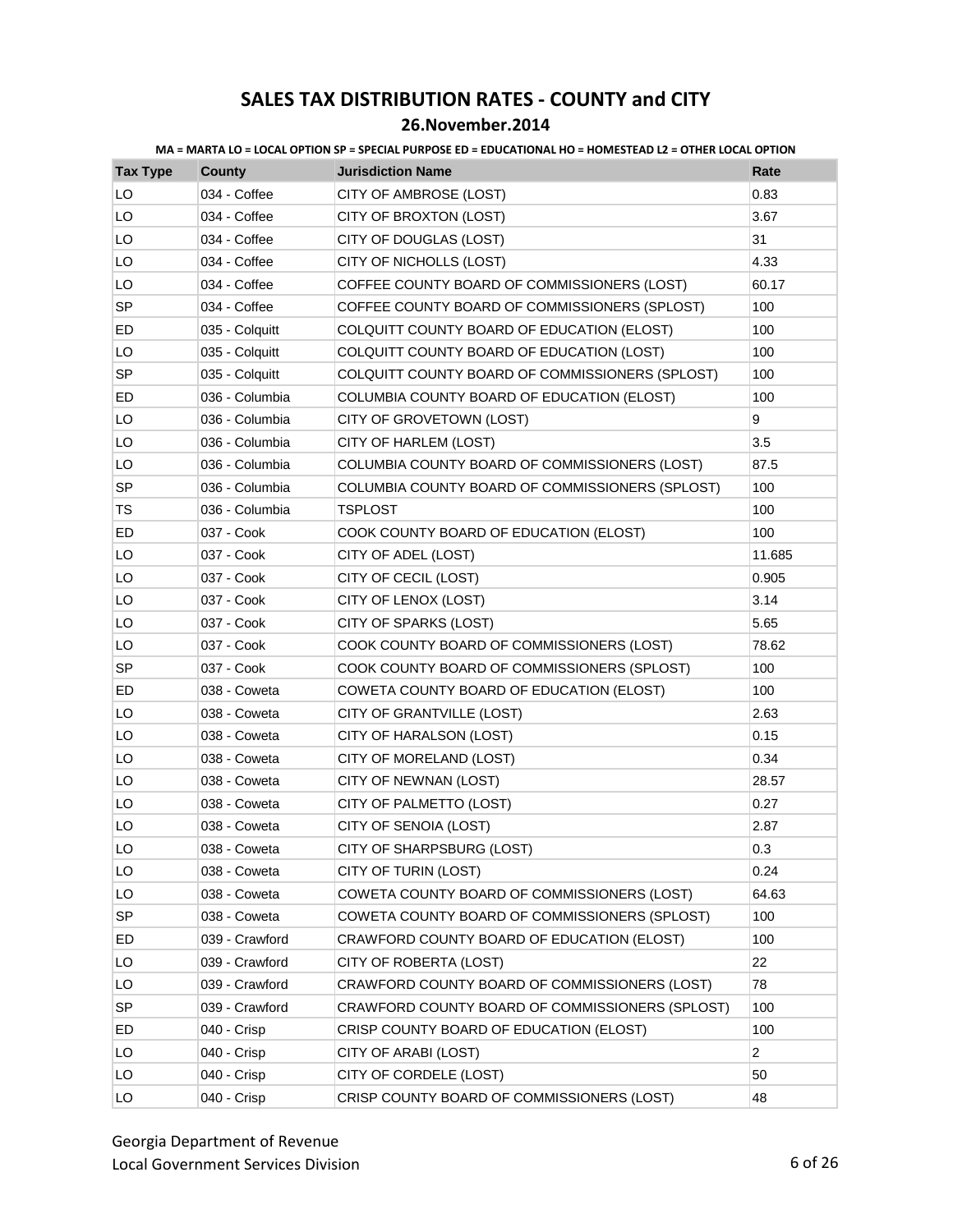| <b>Tax Type</b> | County         | <b>Jurisdiction Name</b>                        | Rate           |
|-----------------|----------------|-------------------------------------------------|----------------|
| LO              | 034 - Coffee   | CITY OF AMBROSE (LOST)                          | 0.83           |
| LO              | 034 - Coffee   | CITY OF BROXTON (LOST)                          | 3.67           |
| LO              | 034 - Coffee   | CITY OF DOUGLAS (LOST)                          | 31             |
| LO              | 034 - Coffee   | CITY OF NICHOLLS (LOST)                         | 4.33           |
| LO              | 034 - Coffee   | COFFEE COUNTY BOARD OF COMMISSIONERS (LOST)     | 60.17          |
| <b>SP</b>       | 034 - Coffee   | COFFEE COUNTY BOARD OF COMMISSIONERS (SPLOST)   | 100            |
| ED              | 035 - Colquitt | COLQUITT COUNTY BOARD OF EDUCATION (ELOST)      | 100            |
| LO              | 035 - Colquitt | COLQUITT COUNTY BOARD OF EDUCATION (LOST)       | 100            |
| SP              | 035 - Colquitt | COLQUITT COUNTY BOARD OF COMMISSIONERS (SPLOST) | 100            |
| ED              | 036 - Columbia | COLUMBIA COUNTY BOARD OF EDUCATION (ELOST)      | 100            |
| LO              | 036 - Columbia | CITY OF GROVETOWN (LOST)                        | 9              |
| LO              | 036 - Columbia | CITY OF HARLEM (LOST)                           | 3.5            |
| LO              | 036 - Columbia | COLUMBIA COUNTY BOARD OF COMMISSIONERS (LOST)   | 87.5           |
| <b>SP</b>       | 036 - Columbia | COLUMBIA COUNTY BOARD OF COMMISSIONERS (SPLOST) | 100            |
| TS              | 036 - Columbia | <b>TSPLOST</b>                                  | 100            |
| ED              | 037 - Cook     | COOK COUNTY BOARD OF EDUCATION (ELOST)          | 100            |
| LO              | 037 - Cook     | CITY OF ADEL (LOST)                             | 11.685         |
| LO              | 037 - Cook     | CITY OF CECIL (LOST)                            | 0.905          |
| LO              | 037 - Cook     | CITY OF LENOX (LOST)                            | 3.14           |
| LO              | 037 - Cook     | CITY OF SPARKS (LOST)                           | 5.65           |
| LO              | 037 - Cook     | COOK COUNTY BOARD OF COMMISSIONERS (LOST)       | 78.62          |
| SP              | 037 - Cook     | COOK COUNTY BOARD OF COMMISSIONERS (SPLOST)     | 100            |
| ED              | 038 - Coweta   | COWETA COUNTY BOARD OF EDUCATION (ELOST)        | 100            |
| LO              | 038 - Coweta   | CITY OF GRANTVILLE (LOST)                       | 2.63           |
| LO              | 038 - Coweta   | CITY OF HARALSON (LOST)                         | 0.15           |
| LO              | 038 - Coweta   | CITY OF MORELAND (LOST)                         | 0.34           |
| LO              | 038 - Coweta   | CITY OF NEWNAN (LOST)                           | 28.57          |
| LO              | 038 - Coweta   | CITY OF PALMETTO (LOST)                         | 0.27           |
| LO              | 038 - Coweta   | CITY OF SENOIA (LOST)                           | 2.87           |
| LO              | 038 - Coweta   | CITY OF SHARPSBURG (LOST)                       | 0.3            |
| LO              | 038 - Coweta   | CITY OF TURIN (LOST)                            | 0.24           |
| LO              | 038 - Coweta   | COWETA COUNTY BOARD OF COMMISSIONERS (LOST)     | 64.63          |
| <b>SP</b>       | 038 - Coweta   | COWETA COUNTY BOARD OF COMMISSIONERS (SPLOST)   | 100            |
| ED              | 039 - Crawford | CRAWFORD COUNTY BOARD OF EDUCATION (ELOST)      | 100            |
| LO              | 039 - Crawford | CITY OF ROBERTA (LOST)                          | 22             |
| LO              | 039 - Crawford | CRAWFORD COUNTY BOARD OF COMMISSIONERS (LOST)   | 78             |
| <b>SP</b>       | 039 - Crawford | CRAWFORD COUNTY BOARD OF COMMISSIONERS (SPLOST) | 100            |
| ED              | 040 - Crisp    | CRISP COUNTY BOARD OF EDUCATION (ELOST)         | 100            |
| LO              | 040 - Crisp    | CITY OF ARABI (LOST)                            | $\overline{c}$ |
| LO              | 040 - Crisp    | CITY OF CORDELE (LOST)                          | 50             |
| LO              | 040 - Crisp    | CRISP COUNTY BOARD OF COMMISSIONERS (LOST)      | 48             |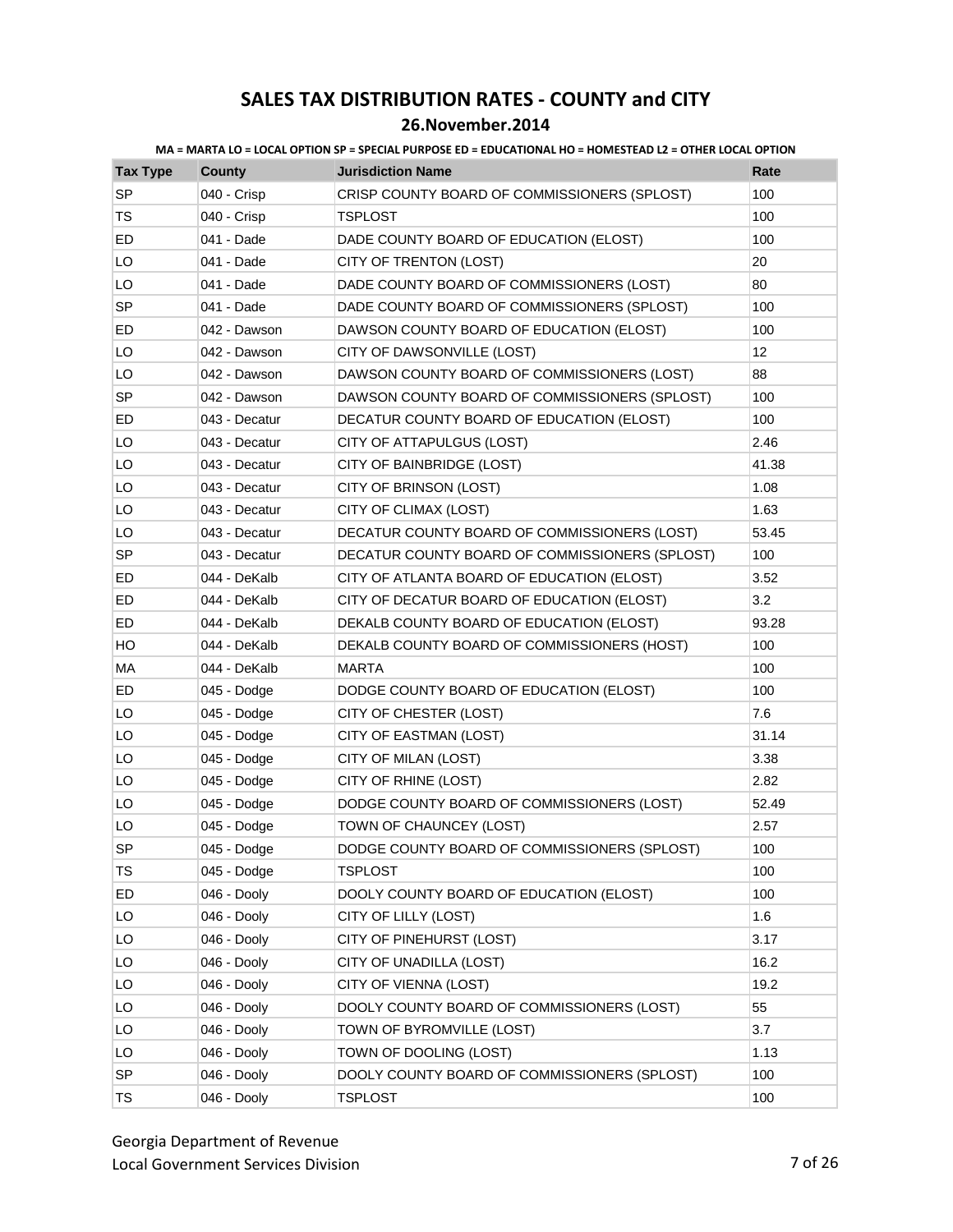### **26.November.2014**

| <b>Tax Type</b> | <b>County</b> | <b>Jurisdiction Name</b>                       | Rate  |
|-----------------|---------------|------------------------------------------------|-------|
| <b>SP</b>       | 040 - Crisp   | CRISP COUNTY BOARD OF COMMISSIONERS (SPLOST)   | 100   |
| TS              | 040 - Crisp   | TSPLOST                                        | 100   |
| ED              | 041 - Dade    | DADE COUNTY BOARD OF EDUCATION (ELOST)         | 100   |
| LO              | 041 - Dade    | CITY OF TRENTON (LOST)                         | 20    |
| LO              | 041 - Dade    | DADE COUNTY BOARD OF COMMISSIONERS (LOST)      | 80    |
| <b>SP</b>       | 041 - Dade    | DADE COUNTY BOARD OF COMMISSIONERS (SPLOST)    | 100   |
| ED              | 042 - Dawson  | DAWSON COUNTY BOARD OF EDUCATION (ELOST)       | 100   |
| LO              | 042 - Dawson  | CITY OF DAWSONVILLE (LOST)                     | 12    |
| LO              | 042 - Dawson  | DAWSON COUNTY BOARD OF COMMISSIONERS (LOST)    | 88    |
| <b>SP</b>       | 042 - Dawson  | DAWSON COUNTY BOARD OF COMMISSIONERS (SPLOST)  | 100   |
| ED              | 043 - Decatur | DECATUR COUNTY BOARD OF EDUCATION (ELOST)      | 100   |
| LO              | 043 - Decatur | CITY OF ATTAPULGUS (LOST)                      | 2.46  |
| LO              | 043 - Decatur | CITY OF BAINBRIDGE (LOST)                      | 41.38 |
| LO              | 043 - Decatur | CITY OF BRINSON (LOST)                         | 1.08  |
| LO              | 043 - Decatur | CITY OF CLIMAX (LOST)                          | 1.63  |
| LO              | 043 - Decatur | DECATUR COUNTY BOARD OF COMMISSIONERS (LOST)   | 53.45 |
| <b>SP</b>       | 043 - Decatur | DECATUR COUNTY BOARD OF COMMISSIONERS (SPLOST) | 100   |
| ED              | 044 - DeKalb  | CITY OF ATLANTA BOARD OF EDUCATION (ELOST)     | 3.52  |
| ED.             | 044 - DeKalb  | CITY OF DECATUR BOARD OF EDUCATION (ELOST)     | 3.2   |
| ED              | 044 - DeKalb  | DEKALB COUNTY BOARD OF EDUCATION (ELOST)       | 93.28 |
| HO              | 044 - DeKalb  | DEKALB COUNTY BOARD OF COMMISSIONERS (HOST)    | 100   |
| MA              | 044 - DeKalb  | <b>MARTA</b>                                   | 100   |
| ED              | 045 - Dodge   | DODGE COUNTY BOARD OF EDUCATION (ELOST)        | 100   |
| LO              | 045 - Dodge   | CITY OF CHESTER (LOST)                         | 7.6   |
| LO              | 045 - Dodge   | CITY OF EASTMAN (LOST)                         | 31.14 |
| LO              | 045 - Dodge   | CITY OF MILAN (LOST)                           | 3.38  |
| LO              | 045 - Dodge   | CITY OF RHINE (LOST)                           | 2.82  |
| LO              | 045 - Dodge   | DODGE COUNTY BOARD OF COMMISSIONERS (LOST)     | 52.49 |
| LO              | 045 - Dodge   | TOWN OF CHAUNCEY (LOST)                        | 2.57  |
| <b>SP</b>       | 045 - Dodge   | DODGE COUNTY BOARD OF COMMISSIONERS (SPLOST)   | 100   |
| <b>TS</b>       | 045 - Dodge   | <b>TSPLOST</b>                                 | 100   |
| ED              | 046 - Dooly   | DOOLY COUNTY BOARD OF EDUCATION (ELOST)        | 100   |
| LO              | 046 - Dooly   | CITY OF LILLY (LOST)                           | 1.6   |
| LO              | 046 - Dooly   | CITY OF PINEHURST (LOST)                       | 3.17  |
| LO              | 046 - Dooly   | CITY OF UNADILLA (LOST)                        | 16.2  |
| LO              | 046 - Dooly   | CITY OF VIENNA (LOST)                          | 19.2  |
| LO              | 046 - Dooly   | DOOLY COUNTY BOARD OF COMMISSIONERS (LOST)     | 55    |
| LO              | 046 - Dooly   | TOWN OF BYROMVILLE (LOST)                      | 3.7   |
| LO              | 046 - Dooly   | TOWN OF DOOLING (LOST)                         | 1.13  |
| SP              | 046 - Dooly   | DOOLY COUNTY BOARD OF COMMISSIONERS (SPLOST)   | 100   |
| TS              | 046 - Dooly   | TSPLOST                                        | 100   |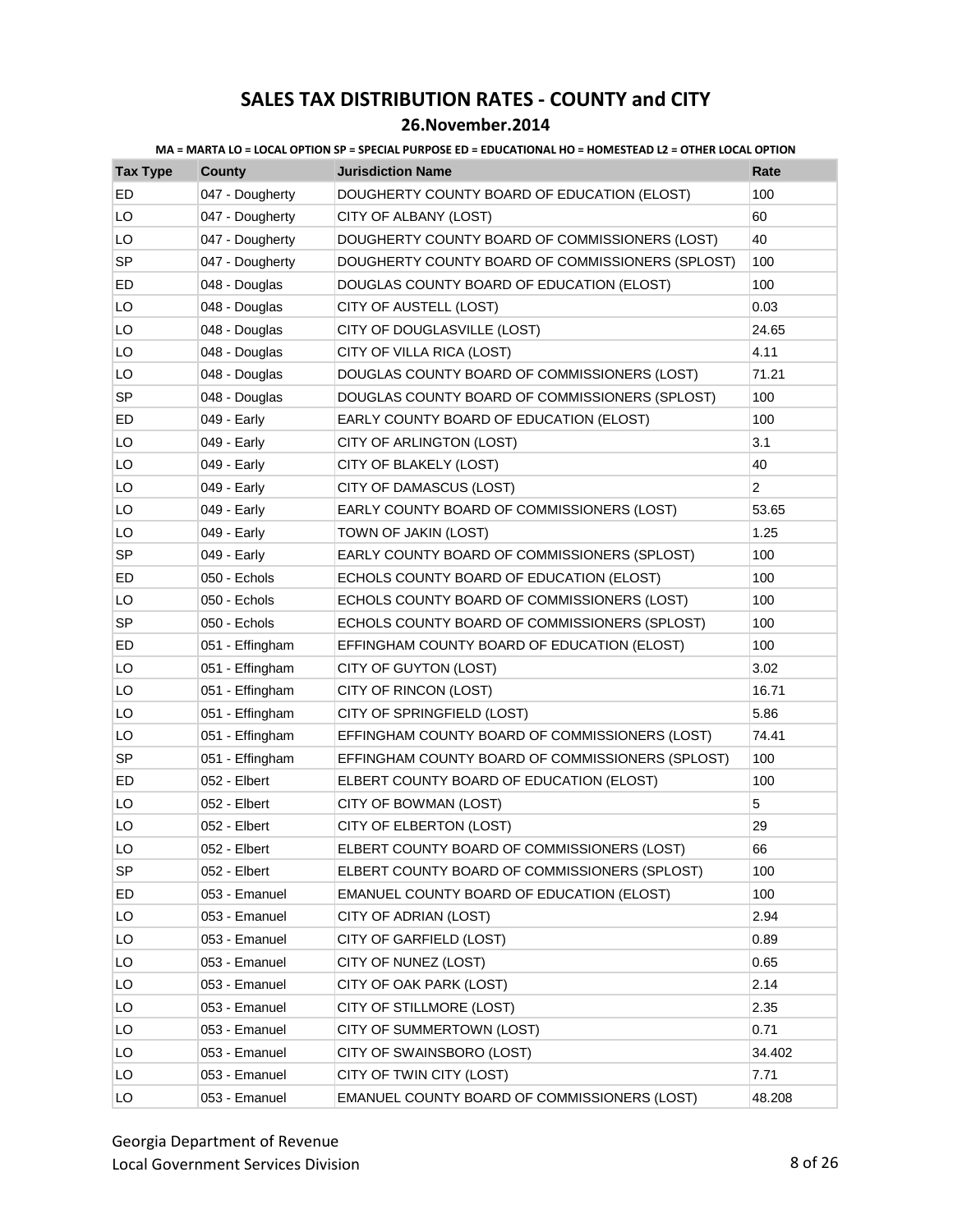### **26.November.2014**

| <b>Tax Type</b> | County          | <b>Jurisdiction Name</b>                         | Rate           |
|-----------------|-----------------|--------------------------------------------------|----------------|
| ED              | 047 - Dougherty | DOUGHERTY COUNTY BOARD OF EDUCATION (ELOST)      | 100            |
| LO              | 047 - Dougherty | CITY OF ALBANY (LOST)                            | 60             |
| LO              | 047 - Dougherty | DOUGHERTY COUNTY BOARD OF COMMISSIONERS (LOST)   | 40             |
| <b>SP</b>       | 047 - Dougherty | DOUGHERTY COUNTY BOARD OF COMMISSIONERS (SPLOST) | 100            |
| ED              | 048 - Douglas   | DOUGLAS COUNTY BOARD OF EDUCATION (ELOST)        | 100            |
| LO              | 048 - Douglas   | CITY OF AUSTELL (LOST)                           | 0.03           |
| LO              | 048 - Douglas   | CITY OF DOUGLASVILLE (LOST)                      | 24.65          |
| LO              | 048 - Douglas   | CITY OF VILLA RICA (LOST)                        | 4.11           |
| LO              | 048 - Douglas   | DOUGLAS COUNTY BOARD OF COMMISSIONERS (LOST)     | 71.21          |
| <b>SP</b>       | 048 - Douglas   | DOUGLAS COUNTY BOARD OF COMMISSIONERS (SPLOST)   | 100            |
| ED              | 049 - Early     | EARLY COUNTY BOARD OF EDUCATION (ELOST)          | 100            |
| LO              | 049 - Early     | CITY OF ARLINGTON (LOST)                         | 3.1            |
| LO              | 049 - Early     | CITY OF BLAKELY (LOST)                           | 40             |
| LO              | 049 - Early     | CITY OF DAMASCUS (LOST)                          | $\overline{2}$ |
| LO              | 049 - Early     | EARLY COUNTY BOARD OF COMMISSIONERS (LOST)       | 53.65          |
| LO              | 049 - Early     | TOWN OF JAKIN (LOST)                             | 1.25           |
| <b>SP</b>       | 049 - Early     | EARLY COUNTY BOARD OF COMMISSIONERS (SPLOST)     | 100            |
| ED              | 050 - Echols    | ECHOLS COUNTY BOARD OF EDUCATION (ELOST)         | 100            |
| LO              | 050 - Echols    | ECHOLS COUNTY BOARD OF COMMISSIONERS (LOST)      | 100            |
| SP              | 050 - Echols    | ECHOLS COUNTY BOARD OF COMMISSIONERS (SPLOST)    | 100            |
| ED              | 051 - Effingham | EFFINGHAM COUNTY BOARD OF EDUCATION (ELOST)      | 100            |
| LO              | 051 - Effingham | CITY OF GUYTON (LOST)                            | 3.02           |
| LO              | 051 - Effingham | CITY OF RINCON (LOST)                            | 16.71          |
| LO              | 051 - Effingham | CITY OF SPRINGFIELD (LOST)                       | 5.86           |
| LO              | 051 - Effingham | EFFINGHAM COUNTY BOARD OF COMMISSIONERS (LOST)   | 74.41          |
| SP              | 051 - Effingham | EFFINGHAM COUNTY BOARD OF COMMISSIONERS (SPLOST) | 100            |
| ED              | 052 - Elbert    | ELBERT COUNTY BOARD OF EDUCATION (ELOST)         | 100            |
| LO              | 052 - Elbert    | CITY OF BOWMAN (LOST)                            | 5              |
| LO              | 052 - Elbert    | CITY OF ELBERTON (LOST)                          | 29             |
| LO              | 052 - Elbert    | ELBERT COUNTY BOARD OF COMMISSIONERS (LOST)      | 66             |
| <b>SP</b>       | 052 - Elbert    | ELBERT COUNTY BOARD OF COMMISSIONERS (SPLOST)    | 100            |
| ED              | 053 - Emanuel   | EMANUEL COUNTY BOARD OF EDUCATION (ELOST)        | 100            |
| LO              | 053 - Emanuel   | CITY OF ADRIAN (LOST)                            | 2.94           |
| LO              | 053 - Emanuel   | CITY OF GARFIELD (LOST)                          | 0.89           |
| LO              | 053 - Emanuel   | CITY OF NUNEZ (LOST)                             | 0.65           |
| LO              | 053 - Emanuel   | CITY OF OAK PARK (LOST)                          | 2.14           |
| LO              | 053 - Emanuel   | CITY OF STILLMORE (LOST)                         | 2.35           |
| LO              | 053 - Emanuel   | CITY OF SUMMERTOWN (LOST)                        | 0.71           |
| LO              | 053 - Emanuel   | CITY OF SWAINSBORO (LOST)                        | 34.402         |
| LO              | 053 - Emanuel   | CITY OF TWIN CITY (LOST)                         | 7.71           |
| LO              | 053 - Emanuel   | EMANUEL COUNTY BOARD OF COMMISSIONERS (LOST)     | 48.208         |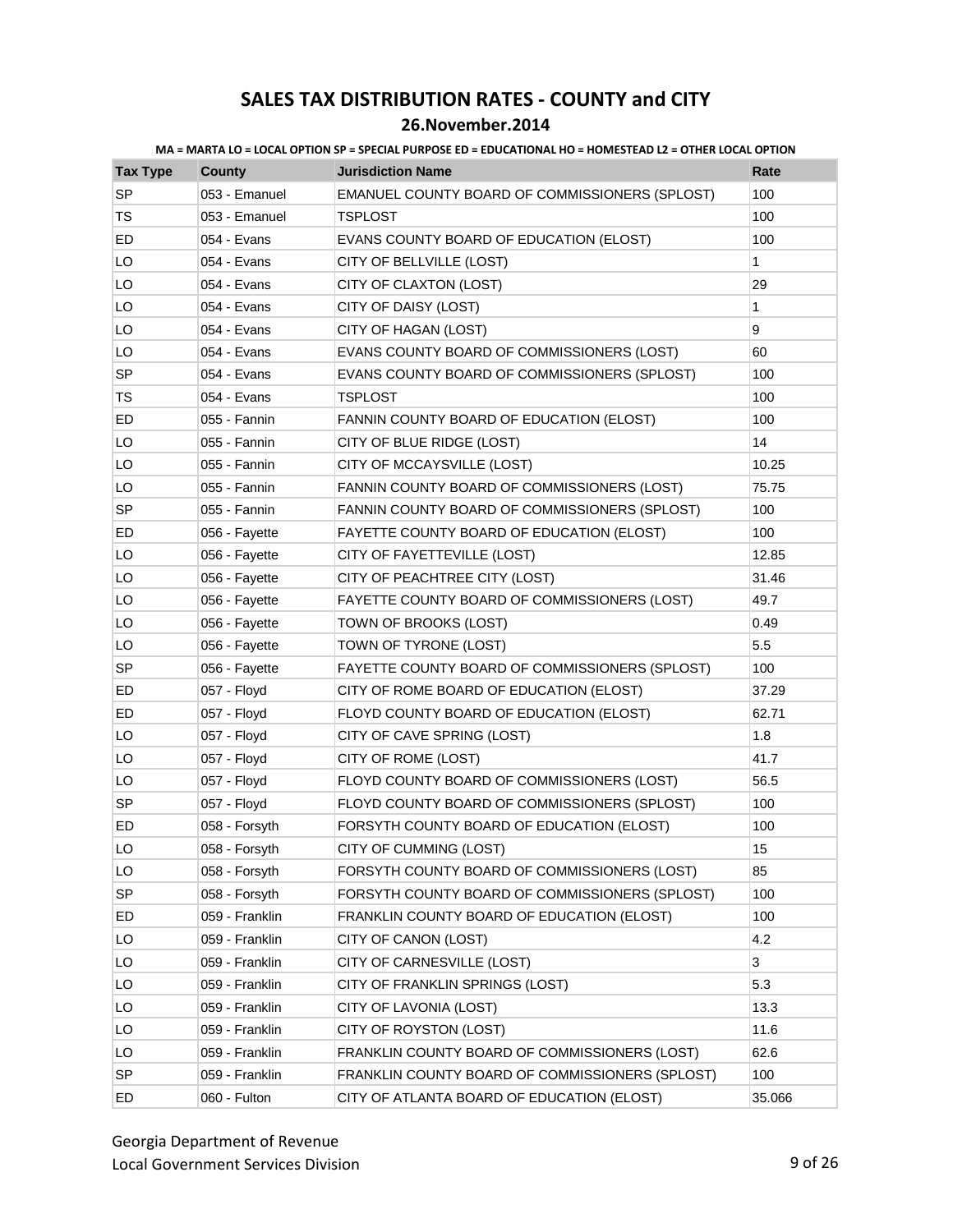### **26.November.2014**

| <b>Tax Type</b> | County         | <b>Jurisdiction Name</b>                        | Rate   |
|-----------------|----------------|-------------------------------------------------|--------|
| <b>SP</b>       | 053 - Emanuel  | EMANUEL COUNTY BOARD OF COMMISSIONERS (SPLOST)  | 100    |
| TS              | 053 - Emanuel  | <b>TSPLOST</b>                                  | 100    |
| ED              | 054 - Evans    | EVANS COUNTY BOARD OF EDUCATION (ELOST)         | 100    |
| LO              | 054 - Evans    | CITY OF BELLVILLE (LOST)                        | 1      |
| LO              | 054 - Evans    | CITY OF CLAXTON (LOST)                          | 29     |
| LO              | 054 - Evans    | CITY OF DAISY (LOST)                            | 1      |
| LO              | 054 - Evans    | CITY OF HAGAN (LOST)                            | 9      |
| LO              | 054 - Evans    | EVANS COUNTY BOARD OF COMMISSIONERS (LOST)      | 60     |
| <b>SP</b>       | 054 - Evans    | EVANS COUNTY BOARD OF COMMISSIONERS (SPLOST)    | 100    |
| TS              | 054 - Evans    | TSPLOST                                         | 100    |
| ED              | 055 - Fannin   | FANNIN COUNTY BOARD OF EDUCATION (ELOST)        | 100    |
| LO              | 055 - Fannin   | CITY OF BLUE RIDGE (LOST)                       | 14     |
| LO              | 055 - Fannin   | CITY OF MCCAYSVILLE (LOST)                      | 10.25  |
| LO              | 055 - Fannin   | FANNIN COUNTY BOARD OF COMMISSIONERS (LOST)     | 75.75  |
| SP              | 055 - Fannin   | FANNIN COUNTY BOARD OF COMMISSIONERS (SPLOST)   | 100    |
| ED              | 056 - Fayette  | FAYETTE COUNTY BOARD OF EDUCATION (ELOST)       | 100    |
| LO              | 056 - Fayette  | CITY OF FAYETTEVILLE (LOST)                     | 12.85  |
| LO              | 056 - Fayette  | CITY OF PEACHTREE CITY (LOST)                   | 31.46  |
| LO              | 056 - Fayette  | FAYETTE COUNTY BOARD OF COMMISSIONERS (LOST)    | 49.7   |
| LO              | 056 - Fayette  | TOWN OF BROOKS (LOST)                           | 0.49   |
| LO              | 056 - Fayette  | TOWN OF TYRONE (LOST)                           | 5.5    |
| SP              | 056 - Fayette  | FAYETTE COUNTY BOARD OF COMMISSIONERS (SPLOST)  | 100    |
| ED              | 057 - Floyd    | CITY OF ROME BOARD OF EDUCATION (ELOST)         | 37.29  |
| ED              | 057 - Floyd    | FLOYD COUNTY BOARD OF EDUCATION (ELOST)         | 62.71  |
| LO              | 057 - Floyd    | CITY OF CAVE SPRING (LOST)                      | 1.8    |
| LO              | 057 - Floyd    | CITY OF ROME (LOST)                             | 41.7   |
| LO              | 057 - Floyd    | FLOYD COUNTY BOARD OF COMMISSIONERS (LOST)      | 56.5   |
| <b>SP</b>       | 057 - Floyd    | FLOYD COUNTY BOARD OF COMMISSIONERS (SPLOST)    | 100    |
| ED              | 058 - Forsyth  | FORSYTH COUNTY BOARD OF EDUCATION (ELOST)       | 100    |
| LO              | 058 - Forsyth  | CITY OF CUMMING (LOST)                          | 15     |
| LO              | 058 - Forsyth  | FORSYTH COUNTY BOARD OF COMMISSIONERS (LOST)    | 85     |
| <b>SP</b>       | 058 - Forsyth  | FORSYTH COUNTY BOARD OF COMMISSIONERS (SPLOST)  | 100    |
| ED.             | 059 - Franklin | FRANKLIN COUNTY BOARD OF EDUCATION (ELOST)      | 100    |
| LO              | 059 - Franklin | CITY OF CANON (LOST)                            | 4.2    |
| LO              | 059 - Franklin | CITY OF CARNESVILLE (LOST)                      | 3      |
| LO              | 059 - Franklin | CITY OF FRANKLIN SPRINGS (LOST)                 | 5.3    |
| LO              | 059 - Franklin | CITY OF LAVONIA (LOST)                          | 13.3   |
| LO              | 059 - Franklin | CITY OF ROYSTON (LOST)                          | 11.6   |
| LO              | 059 - Franklin | FRANKLIN COUNTY BOARD OF COMMISSIONERS (LOST)   | 62.6   |
| <b>SP</b>       | 059 - Franklin | FRANKLIN COUNTY BOARD OF COMMISSIONERS (SPLOST) | 100    |
| ED              | 060 - Fulton   | CITY OF ATLANTA BOARD OF EDUCATION (ELOST)      | 35.066 |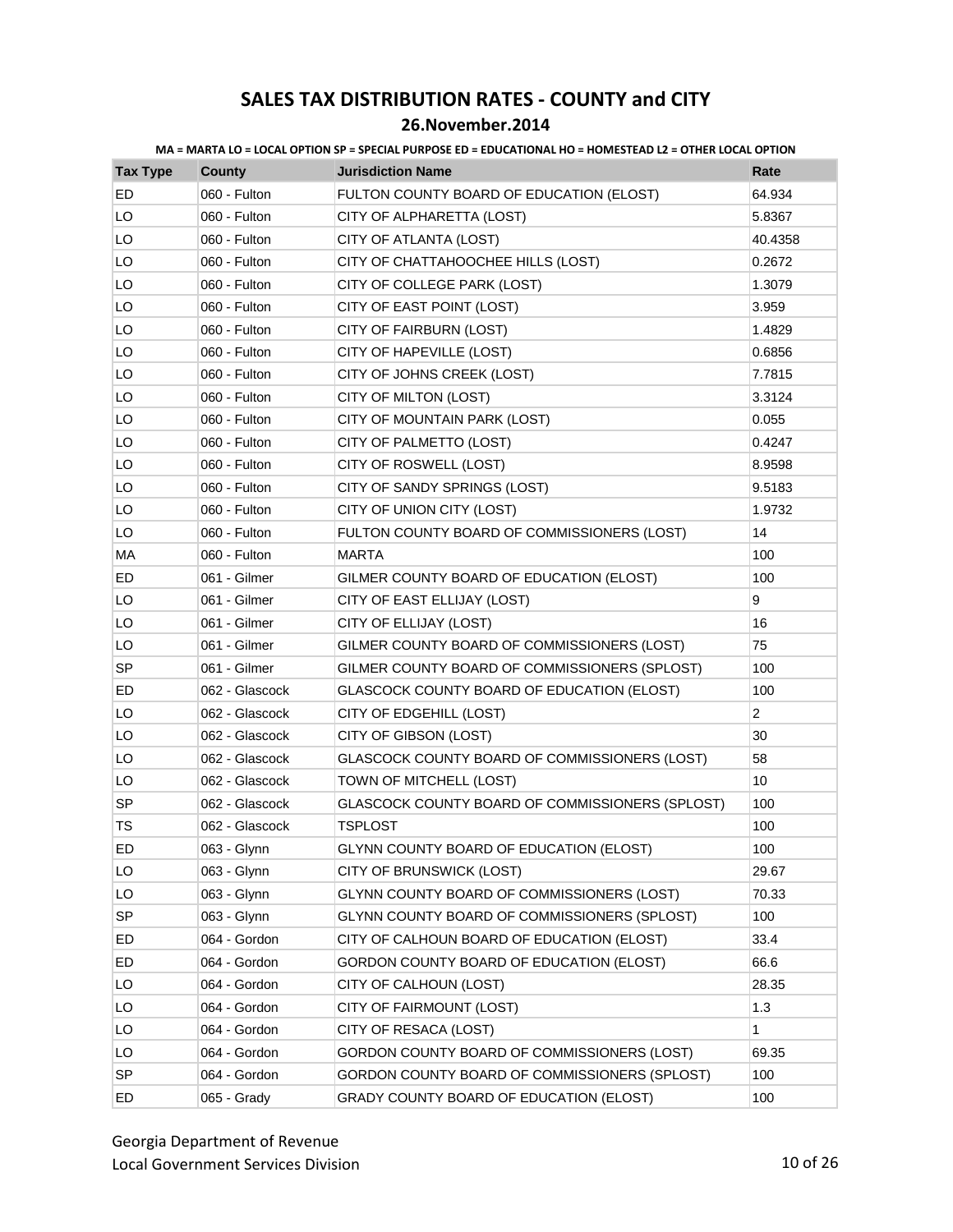### **26.November.2014**

| <b>Tax Type</b> | <b>County</b>  | <b>Jurisdiction Name</b>                        | Rate           |
|-----------------|----------------|-------------------------------------------------|----------------|
| ED              | 060 - Fulton   | FULTON COUNTY BOARD OF EDUCATION (ELOST)        | 64.934         |
| LO              | 060 - Fulton   | CITY OF ALPHARETTA (LOST)                       | 5.8367         |
| LO              | 060 - Fulton   | CITY OF ATLANTA (LOST)                          | 40.4358        |
| LO              | 060 - Fulton   | CITY OF CHATTAHOOCHEE HILLS (LOST)              | 0.2672         |
| LO              | 060 - Fulton   | CITY OF COLLEGE PARK (LOST)                     | 1.3079         |
| LO              | 060 - Fulton   | CITY OF EAST POINT (LOST)                       | 3.959          |
| LO              | 060 - Fulton   | CITY OF FAIRBURN (LOST)                         | 1.4829         |
| LO              | 060 - Fulton   | CITY OF HAPEVILLE (LOST)                        | 0.6856         |
| LO              | 060 - Fulton   | CITY OF JOHNS CREEK (LOST)                      | 7.7815         |
| LO              | 060 - Fulton   | CITY OF MILTON (LOST)                           | 3.3124         |
| LO              | 060 - Fulton   | CITY OF MOUNTAIN PARK (LOST)                    | 0.055          |
| LO              | 060 - Fulton   | CITY OF PALMETTO (LOST)                         | 0.4247         |
| LO              | 060 - Fulton   | CITY OF ROSWELL (LOST)                          | 8.9598         |
| LO              | 060 - Fulton   | CITY OF SANDY SPRINGS (LOST)                    | 9.5183         |
| LO              | 060 - Fulton   | CITY OF UNION CITY (LOST)                       | 1.9732         |
| LO              | 060 - Fulton   | FULTON COUNTY BOARD OF COMMISSIONERS (LOST)     | 14             |
| MA              | 060 - Fulton   | <b>MARTA</b>                                    | 100            |
| ED              | 061 - Gilmer   | GILMER COUNTY BOARD OF EDUCATION (ELOST)        | 100            |
| LO              | 061 - Gilmer   | CITY OF EAST ELLIJAY (LOST)                     | 9              |
| LO              | 061 - Gilmer   | CITY OF ELLIJAY (LOST)                          | 16             |
| LO              | 061 - Gilmer   | GILMER COUNTY BOARD OF COMMISSIONERS (LOST)     | 75             |
| SP              | 061 - Gilmer   | GILMER COUNTY BOARD OF COMMISSIONERS (SPLOST)   | 100            |
| ED              | 062 - Glascock | GLASCOCK COUNTY BOARD OF EDUCATION (ELOST)      | 100            |
| LO              | 062 - Glascock | CITY OF EDGEHILL (LOST)                         | $\overline{2}$ |
| LO              | 062 - Glascock | CITY OF GIBSON (LOST)                           | 30             |
| LO              | 062 - Glascock | GLASCOCK COUNTY BOARD OF COMMISSIONERS (LOST)   | 58             |
| LO              | 062 - Glascock | TOWN OF MITCHELL (LOST)                         | 10             |
| <b>SP</b>       | 062 - Glascock | GLASCOCK COUNTY BOARD OF COMMISSIONERS (SPLOST) | 100            |
| <b>TS</b>       | 062 - Glascock | <b>TSPLOST</b>                                  | 100            |
| ED              | 063 - Glynn    | GLYNN COUNTY BOARD OF EDUCATION (ELOST)         | 100            |
| LO              | 063 - Glynn    | CITY OF BRUNSWICK (LOST)                        | 29.67          |
| LO              | 063 - Glynn    | GLYNN COUNTY BOARD OF COMMISSIONERS (LOST)      | 70.33          |
| <b>SP</b>       | 063 - Glynn    | GLYNN COUNTY BOARD OF COMMISSIONERS (SPLOST)    | 100            |
| ED              | 064 - Gordon   | CITY OF CALHOUN BOARD OF EDUCATION (ELOST)      | 33.4           |
| ED              | 064 - Gordon   | GORDON COUNTY BOARD OF EDUCATION (ELOST)        | 66.6           |
| LO              | 064 - Gordon   | CITY OF CALHOUN (LOST)                          | 28.35          |
| LO              | 064 - Gordon   | CITY OF FAIRMOUNT (LOST)                        | 1.3            |
| LO              | 064 - Gordon   | CITY OF RESACA (LOST)                           | 1              |
| LO              | 064 - Gordon   | GORDON COUNTY BOARD OF COMMISSIONERS (LOST)     | 69.35          |
| <b>SP</b>       | 064 - Gordon   | GORDON COUNTY BOARD OF COMMISSIONERS (SPLOST)   | 100            |
| ED              | 065 - Grady    | GRADY COUNTY BOARD OF EDUCATION (ELOST)         | 100            |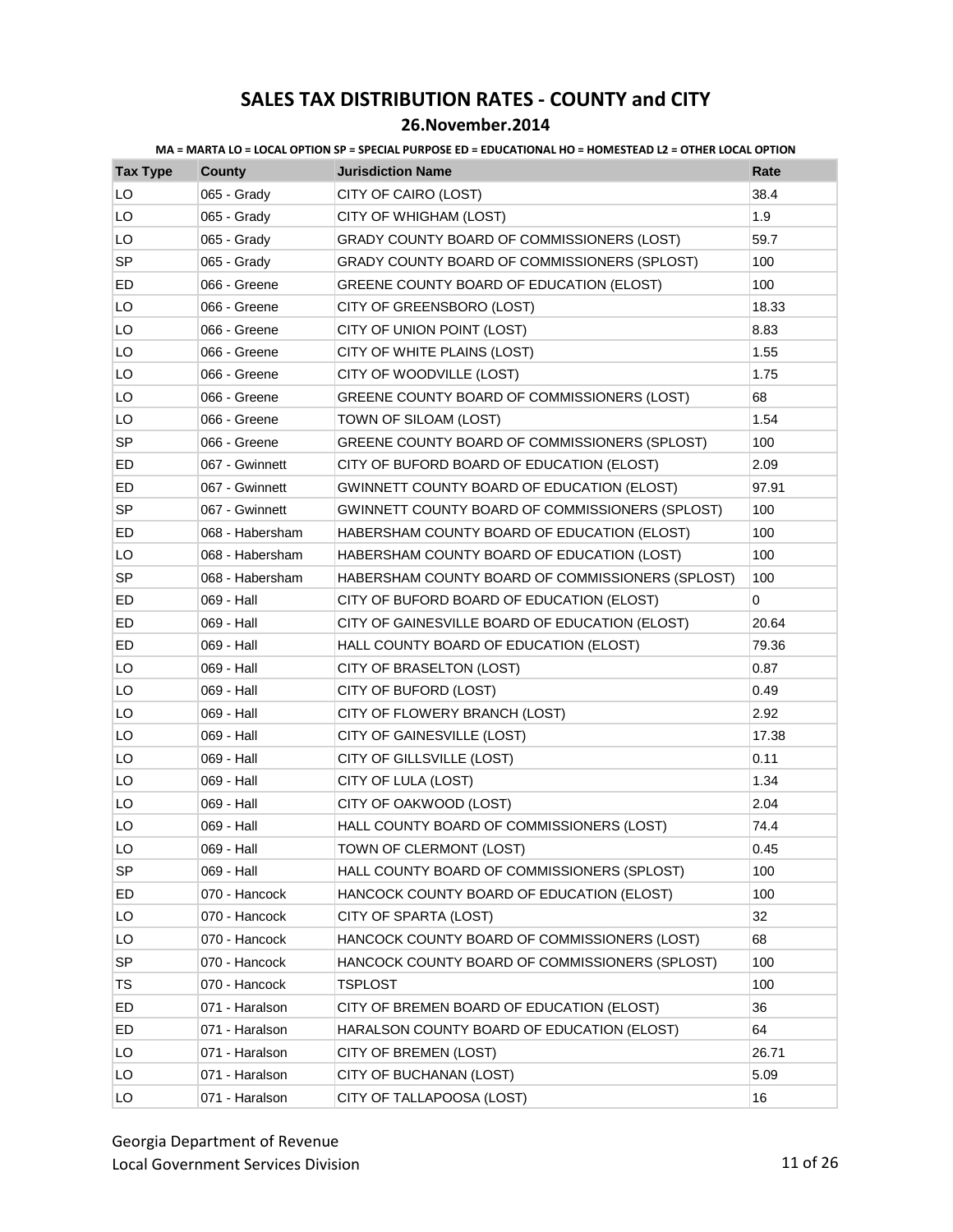| <b>Tax Type</b> | <b>County</b>   | <b>Jurisdiction Name</b>                         | Rate  |
|-----------------|-----------------|--------------------------------------------------|-------|
| LO              | 065 - Grady     | CITY OF CAIRO (LOST)                             | 38.4  |
| LO              | 065 - Grady     | CITY OF WHIGHAM (LOST)                           | 1.9   |
| LO              | 065 - Grady     | GRADY COUNTY BOARD OF COMMISSIONERS (LOST)       | 59.7  |
| SP              | 065 - Grady     | GRADY COUNTY BOARD OF COMMISSIONERS (SPLOST)     | 100   |
| ED              | 066 - Greene    | GREENE COUNTY BOARD OF EDUCATION (ELOST)         | 100   |
| LO              | 066 - Greene    | CITY OF GREENSBORO (LOST)                        | 18.33 |
| LO              | 066 - Greene    | CITY OF UNION POINT (LOST)                       | 8.83  |
| LO              | 066 - Greene    | CITY OF WHITE PLAINS (LOST)                      | 1.55  |
| LO              | 066 - Greene    | CITY OF WOODVILLE (LOST)                         | 1.75  |
| LO              | 066 - Greene    | GREENE COUNTY BOARD OF COMMISSIONERS (LOST)      | 68    |
| LO              | 066 - Greene    | TOWN OF SILOAM (LOST)                            | 1.54  |
| <b>SP</b>       | 066 - Greene    | GREENE COUNTY BOARD OF COMMISSIONERS (SPLOST)    | 100   |
| ED              | 067 - Gwinnett  | CITY OF BUFORD BOARD OF EDUCATION (ELOST)        | 2.09  |
| ED              | 067 - Gwinnett  | GWINNETT COUNTY BOARD OF EDUCATION (ELOST)       | 97.91 |
| <b>SP</b>       | 067 - Gwinnett  | GWINNETT COUNTY BOARD OF COMMISSIONERS (SPLOST)  | 100   |
| ED              | 068 - Habersham | HABERSHAM COUNTY BOARD OF EDUCATION (ELOST)      | 100   |
| LO              | 068 - Habersham | HABERSHAM COUNTY BOARD OF EDUCATION (LOST)       | 100   |
| SP              | 068 - Habersham | HABERSHAM COUNTY BOARD OF COMMISSIONERS (SPLOST) | 100   |
| ED              | 069 - Hall      | CITY OF BUFORD BOARD OF EDUCATION (ELOST)        | 0     |
| ED              | 069 - Hall      | CITY OF GAINESVILLE BOARD OF EDUCATION (ELOST)   | 20.64 |
| ED              | 069 - Hall      | HALL COUNTY BOARD OF EDUCATION (ELOST)           | 79.36 |
| LO              | 069 - Hall      | CITY OF BRASELTON (LOST)                         | 0.87  |
| LO              | 069 - Hall      | CITY OF BUFORD (LOST)                            | 0.49  |
| LO              | 069 - Hall      | CITY OF FLOWERY BRANCH (LOST)                    | 2.92  |
| LO              | 069 - Hall      | CITY OF GAINESVILLE (LOST)                       | 17.38 |
| LO              | 069 - Hall      | CITY OF GILLSVILLE (LOST)                        | 0.11  |
| LO              | 069 - Hall      | CITY OF LULA (LOST)                              | 1.34  |
| LO              | 069 - Hall      | CITY OF OAKWOOD (LOST)                           | 2.04  |
| LO              | 069 - Hall      | HALL COUNTY BOARD OF COMMISSIONERS (LOST)        | 74.4  |
| LO              | 069 - Hall      | TOWN OF CLERMONT (LOST)                          | 0.45  |
| <b>SP</b>       | 069 - Hall      | HALL COUNTY BOARD OF COMMISSIONERS (SPLOST)      | 100   |
| ED              | 070 - Hancock   | HANCOCK COUNTY BOARD OF EDUCATION (ELOST)        | 100   |
| LO              | 070 - Hancock   | CITY OF SPARTA (LOST)                            | 32    |
| LO              | 070 - Hancock   | HANCOCK COUNTY BOARD OF COMMISSIONERS (LOST)     | 68    |
| <b>SP</b>       | 070 - Hancock   | HANCOCK COUNTY BOARD OF COMMISSIONERS (SPLOST)   | 100   |
| TS              | 070 - Hancock   | TSPLOST                                          | 100   |
| ED              | 071 - Haralson  | CITY OF BREMEN BOARD OF EDUCATION (ELOST)        | 36    |
| ED              | 071 - Haralson  | HARALSON COUNTY BOARD OF EDUCATION (ELOST)       | 64    |
| LO              | 071 - Haralson  | CITY OF BREMEN (LOST)                            | 26.71 |
| LO              | 071 - Haralson  | CITY OF BUCHANAN (LOST)                          | 5.09  |
| LO              | 071 - Haralson  | CITY OF TALLAPOOSA (LOST)                        | 16    |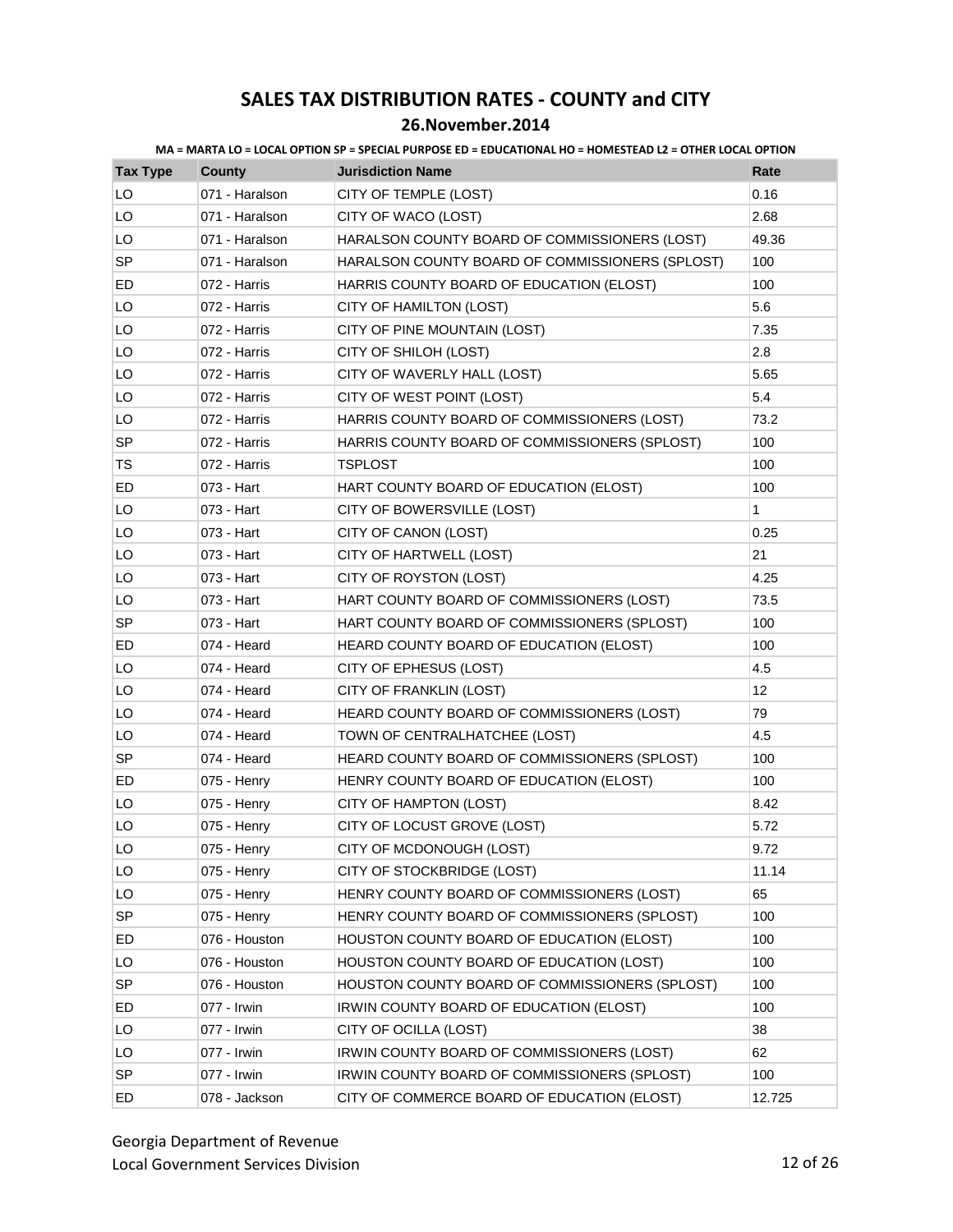| <b>Tax Type</b> | <b>County</b>  | <b>Jurisdiction Name</b>                        | Rate   |
|-----------------|----------------|-------------------------------------------------|--------|
| LO              | 071 - Haralson | CITY OF TEMPLE (LOST)                           | 0.16   |
| LO              | 071 - Haralson | CITY OF WACO (LOST)                             | 2.68   |
| LO              | 071 - Haralson | HARALSON COUNTY BOARD OF COMMISSIONERS (LOST)   | 49.36  |
| <b>SP</b>       | 071 - Haralson | HARALSON COUNTY BOARD OF COMMISSIONERS (SPLOST) | 100    |
| ED              | 072 - Harris   | HARRIS COUNTY BOARD OF EDUCATION (ELOST)        | 100    |
| LO              | 072 - Harris   | CITY OF HAMILTON (LOST)                         | 5.6    |
| LO              | 072 - Harris   | CITY OF PINE MOUNTAIN (LOST)                    | 7.35   |
| LO              | 072 - Harris   | CITY OF SHILOH (LOST)                           | 2.8    |
| LO              | 072 - Harris   | CITY OF WAVERLY HALL (LOST)                     | 5.65   |
| LO              | 072 - Harris   | CITY OF WEST POINT (LOST)                       | 5.4    |
| LO              | 072 - Harris   | HARRIS COUNTY BOARD OF COMMISSIONERS (LOST)     | 73.2   |
| <b>SP</b>       | 072 - Harris   | HARRIS COUNTY BOARD OF COMMISSIONERS (SPLOST)   | 100    |
| TS              | 072 - Harris   | <b>TSPLOST</b>                                  | 100    |
| ED              | 073 - Hart     | HART COUNTY BOARD OF EDUCATION (ELOST)          | 100    |
| LO              | 073 - Hart     | CITY OF BOWERSVILLE (LOST)                      | 1      |
| LO              | 073 - Hart     | CITY OF CANON (LOST)                            | 0.25   |
| LO              | 073 - Hart     | CITY OF HARTWELL (LOST)                         | 21     |
| LO              | 073 - Hart     | CITY OF ROYSTON (LOST)                          | 4.25   |
| LO              | 073 - Hart     | HART COUNTY BOARD OF COMMISSIONERS (LOST)       | 73.5   |
| SP              | 073 - Hart     | HART COUNTY BOARD OF COMMISSIONERS (SPLOST)     | 100    |
| ED              | 074 - Heard    | HEARD COUNTY BOARD OF EDUCATION (ELOST)         | 100    |
| LO              | 074 - Heard    | CITY OF EPHESUS (LOST)                          | 4.5    |
| LO              | 074 - Heard    | CITY OF FRANKLIN (LOST)                         | 12     |
| LO              | 074 - Heard    | HEARD COUNTY BOARD OF COMMISSIONERS (LOST)      | 79     |
| LO              | 074 - Heard    | TOWN OF CENTRALHATCHEE (LOST)                   | 4.5    |
| <b>SP</b>       | 074 - Heard    | HEARD COUNTY BOARD OF COMMISSIONERS (SPLOST)    | 100    |
| ED              | 075 - Henry    | HENRY COUNTY BOARD OF EDUCATION (ELOST)         | 100    |
| LO              | 075 - Henry    | CITY OF HAMPTON (LOST)                          | 8.42   |
| LO              | 075 - Henry    | CITY OF LOCUST GROVE (LOST)                     | 5.72   |
| LO              | 075 - Henry    | CITY OF MCDONOUGH (LOST)                        | 9.72   |
| LO              | 075 - Henry    | CITY OF STOCKBRIDGE (LOST)                      | 11.14  |
| LO              | 075 - Henry    | HENRY COUNTY BOARD OF COMMISSIONERS (LOST)      | 65     |
| <b>SP</b>       | 075 - Henry    | HENRY COUNTY BOARD OF COMMISSIONERS (SPLOST)    | 100    |
| ED              | 076 - Houston  | HOUSTON COUNTY BOARD OF EDUCATION (ELOST)       | 100    |
| LO              | 076 - Houston  | HOUSTON COUNTY BOARD OF EDUCATION (LOST)        | 100    |
| SP              | 076 - Houston  | HOUSTON COUNTY BOARD OF COMMISSIONERS (SPLOST)  | 100    |
| ED              | 077 - Irwin    | IRWIN COUNTY BOARD OF EDUCATION (ELOST)         | 100    |
| LO              | 077 - Irwin    | CITY OF OCILLA (LOST)                           | 38     |
| LO              | 077 - Irwin    | IRWIN COUNTY BOARD OF COMMISSIONERS (LOST)      | 62     |
| <b>SP</b>       | 077 - Irwin    | IRWIN COUNTY BOARD OF COMMISSIONERS (SPLOST)    | 100    |
| ED              | 078 - Jackson  | CITY OF COMMERCE BOARD OF EDUCATION (ELOST)     | 12.725 |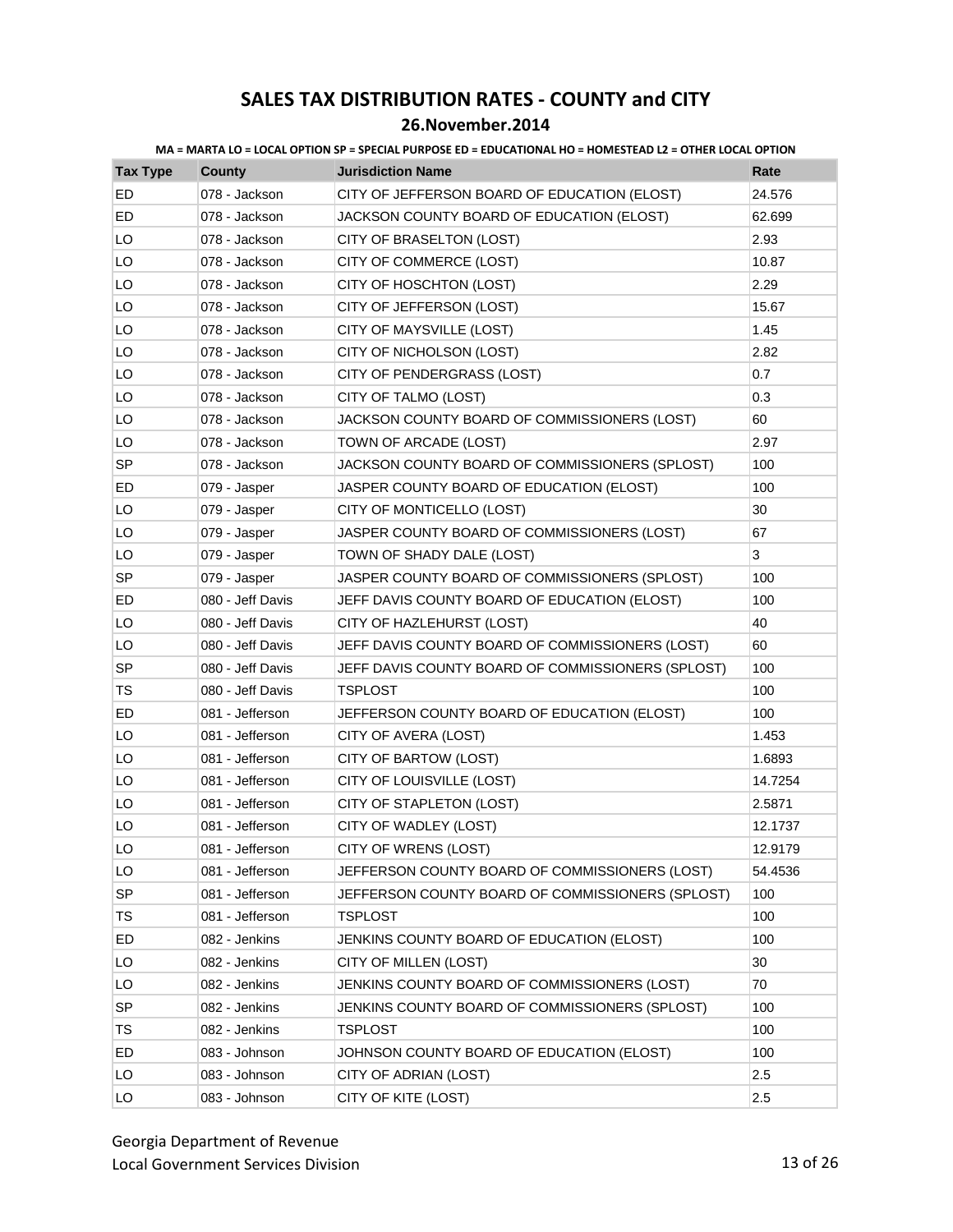### **26.November.2014**

| <b>Tax Type</b> | <b>County</b>    | <b>Jurisdiction Name</b>                          | Rate    |
|-----------------|------------------|---------------------------------------------------|---------|
| ED              | 078 - Jackson    | CITY OF JEFFERSON BOARD OF EDUCATION (ELOST)      | 24.576  |
| ED              | 078 - Jackson    | JACKSON COUNTY BOARD OF EDUCATION (ELOST)         | 62.699  |
| LO              | 078 - Jackson    | CITY OF BRASELTON (LOST)                          | 2.93    |
| LO              | 078 - Jackson    | CITY OF COMMERCE (LOST)                           | 10.87   |
| LO              | 078 - Jackson    | CITY OF HOSCHTON (LOST)                           | 2.29    |
| LO              | 078 - Jackson    | CITY OF JEFFERSON (LOST)                          | 15.67   |
| LO              | 078 - Jackson    | CITY OF MAYSVILLE (LOST)                          | 1.45    |
| LO              | 078 - Jackson    | CITY OF NICHOLSON (LOST)                          | 2.82    |
| LO              | 078 - Jackson    | CITY OF PENDERGRASS (LOST)                        | 0.7     |
| LO              | 078 - Jackson    | CITY OF TALMO (LOST)                              | 0.3     |
| LO              | 078 - Jackson    | JACKSON COUNTY BOARD OF COMMISSIONERS (LOST)      | 60      |
| LO              | 078 - Jackson    | TOWN OF ARCADE (LOST)                             | 2.97    |
| <b>SP</b>       | 078 - Jackson    | JACKSON COUNTY BOARD OF COMMISSIONERS (SPLOST)    | 100     |
| ED              | 079 - Jasper     | JASPER COUNTY BOARD OF EDUCATION (ELOST)          | 100     |
| LO              | 079 - Jasper     | CITY OF MONTICELLO (LOST)                         | 30      |
| LO              | 079 - Jasper     | JASPER COUNTY BOARD OF COMMISSIONERS (LOST)       | 67      |
| LO              | 079 - Jasper     | TOWN OF SHADY DALE (LOST)                         | 3       |
| SP              | 079 - Jasper     | JASPER COUNTY BOARD OF COMMISSIONERS (SPLOST)     | 100     |
| ED              | 080 - Jeff Davis | JEFF DAVIS COUNTY BOARD OF EDUCATION (ELOST)      | 100     |
| LO              | 080 - Jeff Davis | CITY OF HAZLEHURST (LOST)                         | 40      |
| LO              | 080 - Jeff Davis | JEFF DAVIS COUNTY BOARD OF COMMISSIONERS (LOST)   | 60      |
| <b>SP</b>       | 080 - Jeff Davis | JEFF DAVIS COUNTY BOARD OF COMMISSIONERS (SPLOST) | 100     |
| TS              | 080 - Jeff Davis | <b>TSPLOST</b>                                    | 100     |
| ED              | 081 - Jefferson  | JEFFERSON COUNTY BOARD OF EDUCATION (ELOST)       | 100     |
| LO              | 081 - Jefferson  | CITY OF AVERA (LOST)                              | 1.453   |
| LO              | 081 - Jefferson  | CITY OF BARTOW (LOST)                             | 1.6893  |
| LO              | 081 - Jefferson  | CITY OF LOUISVILLE (LOST)                         | 14.7254 |
| LO              | 081 - Jefferson  | CITY OF STAPLETON (LOST)                          | 2.5871  |
| LO              | 081 - Jefferson  | CITY OF WADLEY (LOST)                             | 12.1737 |
| LO              | 081 - Jefferson  | CITY OF WRENS (LOST)                              | 12.9179 |
| LO              | 081 - Jefferson  | JEFFERSON COUNTY BOARD OF COMMISSIONERS (LOST)    | 54.4536 |
| <b>SP</b>       | 081 - Jefferson  | JEFFERSON COUNTY BOARD OF COMMISSIONERS (SPLOST)  | 100     |
| <b>TS</b>       | 081 - Jefferson  | TSPLOST                                           | 100     |
| ED              | 082 - Jenkins    | JENKINS COUNTY BOARD OF EDUCATION (ELOST)         | 100     |
| LO              | 082 - Jenkins    | CITY OF MILLEN (LOST)                             | 30      |
| LO              | 082 - Jenkins    | JENKINS COUNTY BOARD OF COMMISSIONERS (LOST)      | 70      |
| SP              | 082 - Jenkins    | JENKINS COUNTY BOARD OF COMMISSIONERS (SPLOST)    | 100     |
| TS              | 082 - Jenkins    | TSPLOST                                           | 100     |
| ED              | 083 - Johnson    | JOHNSON COUNTY BOARD OF EDUCATION (ELOST)         | 100     |
| LO              | 083 - Johnson    | CITY OF ADRIAN (LOST)                             | 2.5     |
| LO              | 083 - Johnson    | CITY OF KITE (LOST)                               | 2.5     |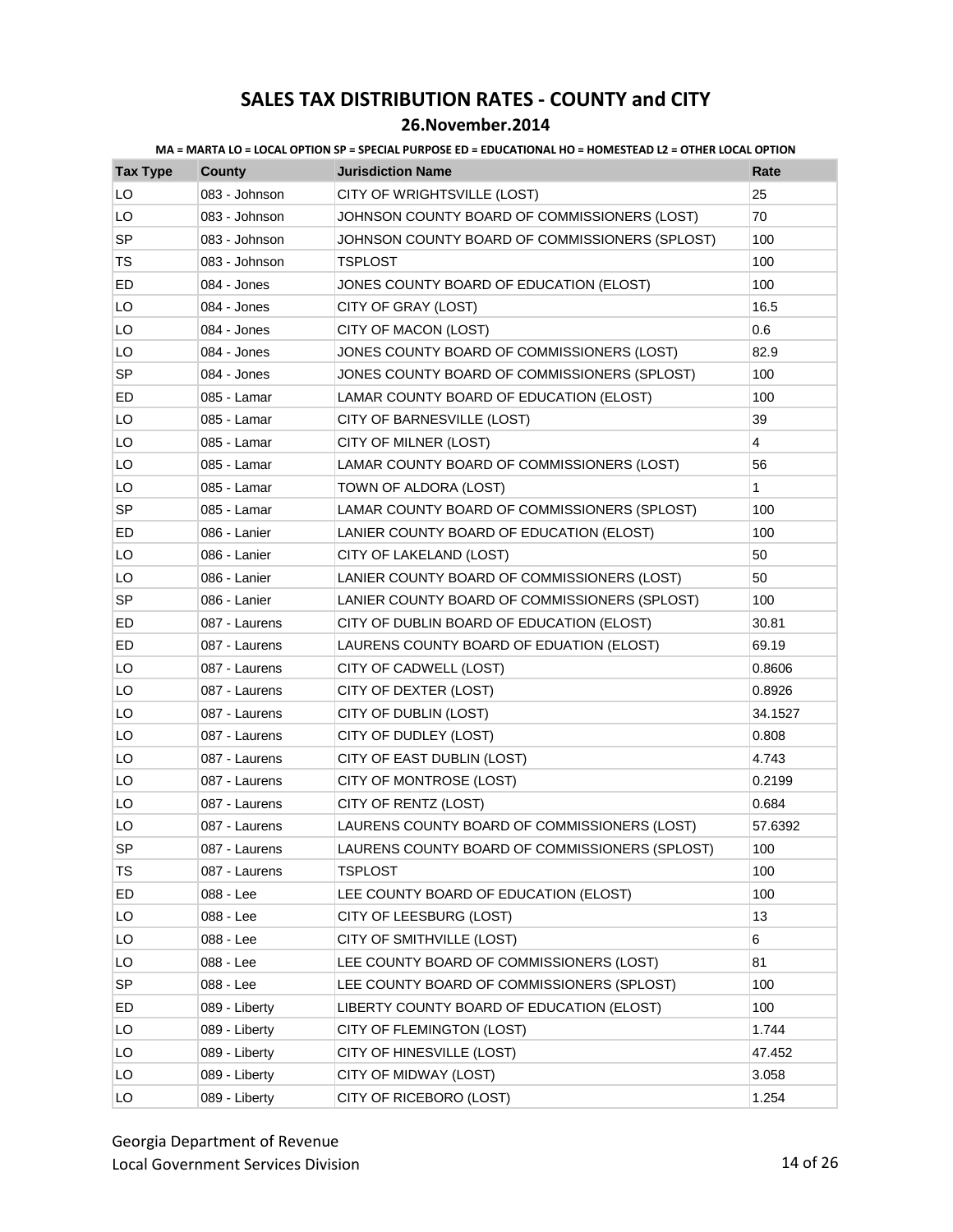### **26.November.2014**

| <b>Tax Type</b> | <b>County</b> | <b>Jurisdiction Name</b>                       | Rate    |
|-----------------|---------------|------------------------------------------------|---------|
| LO              | 083 - Johnson | CITY OF WRIGHTSVILLE (LOST)                    | 25      |
| LO              | 083 - Johnson | JOHNSON COUNTY BOARD OF COMMISSIONERS (LOST)   | 70      |
| <b>SP</b>       | 083 - Johnson | JOHNSON COUNTY BOARD OF COMMISSIONERS (SPLOST) | 100     |
| TS              | 083 - Johnson | <b>TSPLOST</b>                                 | 100     |
| ED              | 084 - Jones   | JONES COUNTY BOARD OF EDUCATION (ELOST)        | 100     |
| LO              | 084 - Jones   | CITY OF GRAY (LOST)                            | 16.5    |
| LO              | 084 - Jones   | CITY OF MACON (LOST)                           | 0.6     |
| LO              | 084 - Jones   | JONES COUNTY BOARD OF COMMISSIONERS (LOST)     | 82.9    |
| <b>SP</b>       | 084 - Jones   | JONES COUNTY BOARD OF COMMISSIONERS (SPLOST)   | 100     |
| ED              | 085 - Lamar   | LAMAR COUNTY BOARD OF EDUCATION (ELOST)        | 100     |
| LO              | 085 - Lamar   | CITY OF BARNESVILLE (LOST)                     | 39      |
| LO              | 085 - Lamar   | CITY OF MILNER (LOST)                          | 4       |
| LO              | 085 - Lamar   | LAMAR COUNTY BOARD OF COMMISSIONERS (LOST)     | 56      |
| LO              | 085 - Lamar   | TOWN OF ALDORA (LOST)                          | 1       |
| SP              | 085 - Lamar   | LAMAR COUNTY BOARD OF COMMISSIONERS (SPLOST)   | 100     |
| ED              | 086 - Lanier  | LANIER COUNTY BOARD OF EDUCATION (ELOST)       | 100     |
| LO              | 086 - Lanier  | CITY OF LAKELAND (LOST)                        | 50      |
| LO              | 086 - Lanier  | LANIER COUNTY BOARD OF COMMISSIONERS (LOST)    | 50      |
| SP              | 086 - Lanier  | LANIER COUNTY BOARD OF COMMISSIONERS (SPLOST)  | 100     |
| ED              | 087 - Laurens | CITY OF DUBLIN BOARD OF EDUCATION (ELOST)      | 30.81   |
| ED              | 087 - Laurens | LAURENS COUNTY BOARD OF EDUATION (ELOST)       | 69.19   |
| LO              | 087 - Laurens | CITY OF CADWELL (LOST)                         | 0.8606  |
| LO              | 087 - Laurens | CITY OF DEXTER (LOST)                          | 0.8926  |
| LO              | 087 - Laurens | CITY OF DUBLIN (LOST)                          | 34.1527 |
| LO              | 087 - Laurens | CITY OF DUDLEY (LOST)                          | 0.808   |
| LO              | 087 - Laurens | CITY OF EAST DUBLIN (LOST)                     | 4.743   |
| LO              | 087 - Laurens | CITY OF MONTROSE (LOST)                        | 0.2199  |
| LO              | 087 - Laurens | CITY OF RENTZ (LOST)                           | 0.684   |
| LO              | 087 - Laurens | LAURENS COUNTY BOARD OF COMMISSIONERS (LOST)   | 57.6392 |
| <b>SP</b>       | 087 - Laurens | LAURENS COUNTY BOARD OF COMMISSIONERS (SPLOST) | 100     |
| <b>TS</b>       | 087 - Laurens | <b>TSPLOST</b>                                 | 100     |
| ED              | 088 - Lee     | LEE COUNTY BOARD OF EDUCATION (ELOST)          | 100     |
| LO              | 088 - Lee     | CITY OF LEESBURG (LOST)                        | 13      |
| LO              | 088 - Lee     | CITY OF SMITHVILLE (LOST)                      | 6       |
| LO              | 088 - Lee     | LEE COUNTY BOARD OF COMMISSIONERS (LOST)       | 81      |
| SP              | 088 - Lee     | LEE COUNTY BOARD OF COMMISSIONERS (SPLOST)     | 100     |
| ED              | 089 - Liberty | LIBERTY COUNTY BOARD OF EDUCATION (ELOST)      | 100     |
| LO              | 089 - Liberty | CITY OF FLEMINGTON (LOST)                      | 1.744   |
| LO              | 089 - Liberty | CITY OF HINESVILLE (LOST)                      | 47.452  |
| LO              | 089 - Liberty | CITY OF MIDWAY (LOST)                          | 3.058   |
| LO              | 089 - Liberty | CITY OF RICEBORO (LOST)                        | 1.254   |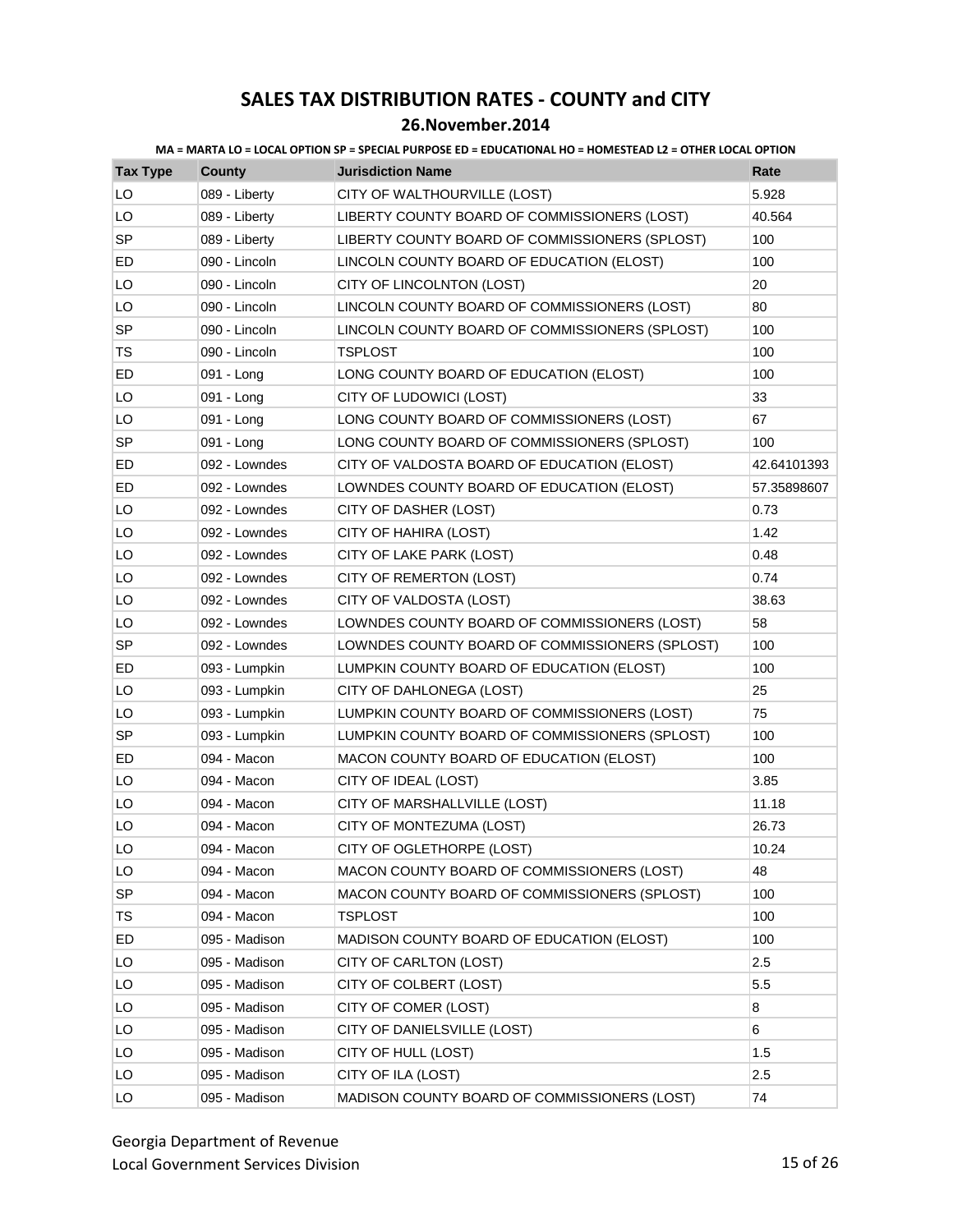| MA = MARTA LO = LOCAL OPTION SP = SPECIAL PURPOSE ED = EDUCATIONAL HO = HOMESTEAD L2 = OTHER LOCAL OPTION |
|-----------------------------------------------------------------------------------------------------------|
|-----------------------------------------------------------------------------------------------------------|

| <b>Tax Type</b> | <b>County</b> | <b>Jurisdiction Name</b>                       | Rate        |
|-----------------|---------------|------------------------------------------------|-------------|
| LO              | 089 - Liberty | CITY OF WALTHOURVILLE (LOST)                   | 5.928       |
| LO              | 089 - Liberty | LIBERTY COUNTY BOARD OF COMMISSIONERS (LOST)   | 40.564      |
| <b>SP</b>       | 089 - Liberty | LIBERTY COUNTY BOARD OF COMMISSIONERS (SPLOST) | 100         |
| ED              | 090 - Lincoln | LINCOLN COUNTY BOARD OF EDUCATION (ELOST)      | 100         |
| LO              | 090 - Lincoln | CITY OF LINCOLNTON (LOST)                      | 20          |
| LO              | 090 - Lincoln | LINCOLN COUNTY BOARD OF COMMISSIONERS (LOST)   | 80          |
| <b>SP</b>       | 090 - Lincoln | LINCOLN COUNTY BOARD OF COMMISSIONERS (SPLOST) | 100         |
| TS              | 090 - Lincoln | <b>TSPLOST</b>                                 | 100         |
| ED              | 091 - Long    | LONG COUNTY BOARD OF EDUCATION (ELOST)         | 100         |
| LO              | 091 - Long    | CITY OF LUDOWICI (LOST)                        | 33          |
| LO              | 091 - Long    | LONG COUNTY BOARD OF COMMISSIONERS (LOST)      | 67          |
| SP              | 091 - Long    | LONG COUNTY BOARD OF COMMISSIONERS (SPLOST)    | 100         |
| ED              | 092 - Lowndes | CITY OF VALDOSTA BOARD OF EDUCATION (ELOST)    | 42.64101393 |
| ED              | 092 - Lowndes | LOWNDES COUNTY BOARD OF EDUCATION (ELOST)      | 57.35898607 |
| LO              | 092 - Lowndes | CITY OF DASHER (LOST)                          | 0.73        |
| LO              | 092 - Lowndes | CITY OF HAHIRA (LOST)                          | 1.42        |
| LO              | 092 - Lowndes | CITY OF LAKE PARK (LOST)                       | 0.48        |
| LO              | 092 - Lowndes | CITY OF REMERTON (LOST)                        | 0.74        |
| LO              | 092 - Lowndes | CITY OF VALDOSTA (LOST)                        | 38.63       |
| LO              | 092 - Lowndes | LOWNDES COUNTY BOARD OF COMMISSIONERS (LOST)   | 58          |
| <b>SP</b>       | 092 - Lowndes | LOWNDES COUNTY BOARD OF COMMISSIONERS (SPLOST) | 100         |
| ED              | 093 - Lumpkin | LUMPKIN COUNTY BOARD OF EDUCATION (ELOST)      | 100         |
| LO              | 093 - Lumpkin | CITY OF DAHLONEGA (LOST)                       | 25          |
| LO              | 093 - Lumpkin | LUMPKIN COUNTY BOARD OF COMMISSIONERS (LOST)   | 75          |
| <b>SP</b>       | 093 - Lumpkin | LUMPKIN COUNTY BOARD OF COMMISSIONERS (SPLOST) | 100         |
| ED              | 094 - Macon   | MACON COUNTY BOARD OF EDUCATION (ELOST)        | 100         |
| LO              | 094 - Macon   | CITY OF IDEAL (LOST)                           | 3.85        |
| LO              | 094 - Macon   | CITY OF MARSHALLVILLE (LOST)                   | 11.18       |
| LO              | 094 - Macon   | CITY OF MONTEZUMA (LOST)                       | 26.73       |
| LO              | 094 - Macon   | CITY OF OGLETHORPE (LOST)                      | 10.24       |
| LO              | 094 - Macon   | MACON COUNTY BOARD OF COMMISSIONERS (LOST)     | 48          |
| SP              | 094 - Macon   | MACON COUNTY BOARD OF COMMISSIONERS (SPLOST)   | 100         |
| TS              | 094 - Macon   | TSPLOST                                        | 100         |
| ED              | 095 - Madison | MADISON COUNTY BOARD OF EDUCATION (ELOST)      | 100         |
| LO              | 095 - Madison | CITY OF CARLTON (LOST)                         | 2.5         |
| LO              | 095 - Madison | CITY OF COLBERT (LOST)                         | 5.5         |
| LO              | 095 - Madison | CITY OF COMER (LOST)                           | 8           |
| LO              | 095 - Madison | CITY OF DANIELSVILLE (LOST)                    | 6           |
| LO              | 095 - Madison | CITY OF HULL (LOST)                            | 1.5         |
| LO              | 095 - Madison | CITY OF ILA (LOST)                             | 2.5         |
| LO              | 095 - Madison | MADISON COUNTY BOARD OF COMMISSIONERS (LOST)   | 74          |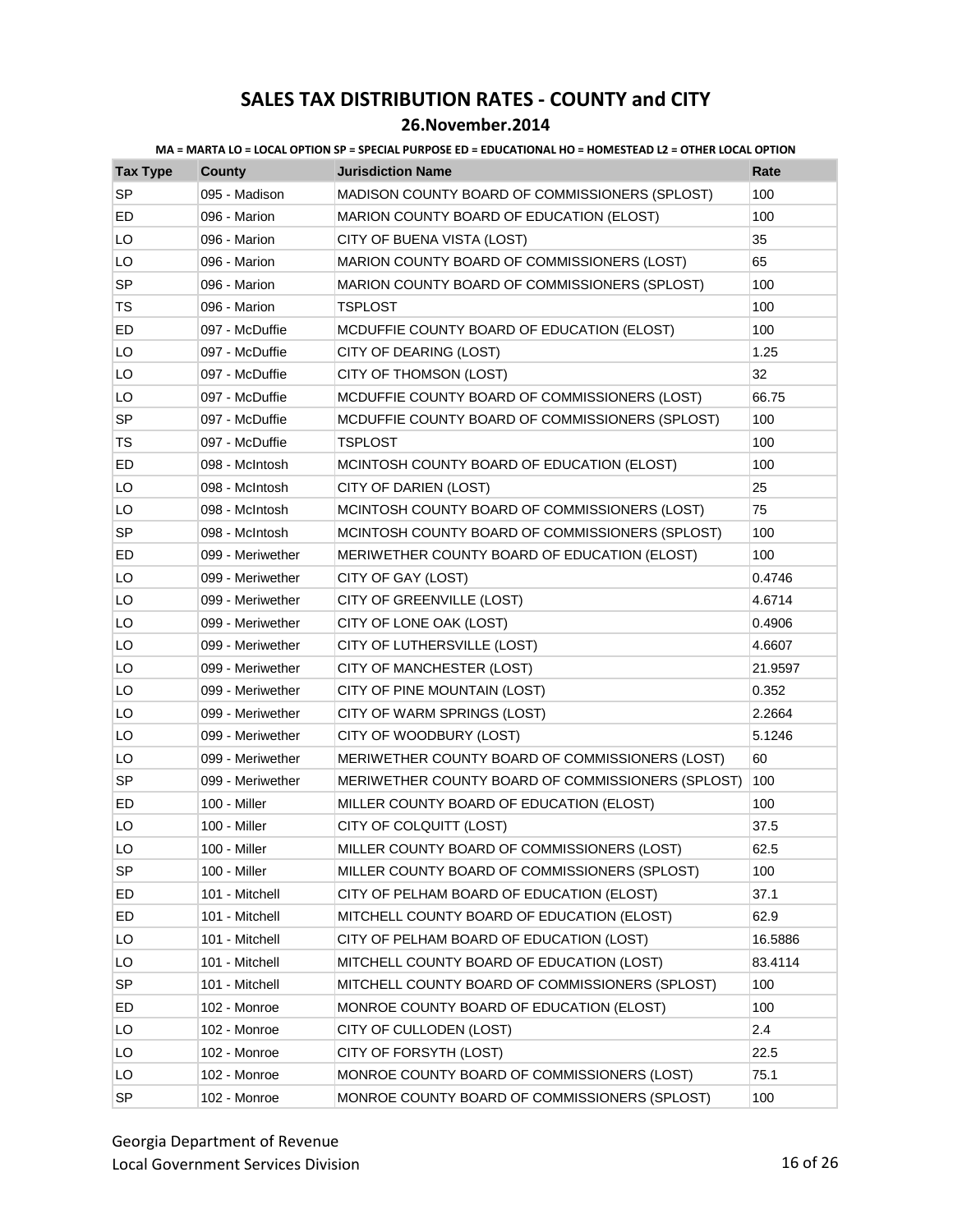| <b>Tax Type</b> | <b>County</b>    | <b>Jurisdiction Name</b>                          | Rate    |
|-----------------|------------------|---------------------------------------------------|---------|
| <b>SP</b>       | 095 - Madison    | MADISON COUNTY BOARD OF COMMISSIONERS (SPLOST)    | 100     |
| ED              | 096 - Marion     | MARION COUNTY BOARD OF EDUCATION (ELOST)          | 100     |
| LO              | 096 - Marion     | CITY OF BUENA VISTA (LOST)                        | 35      |
| LO              | 096 - Marion     | MARION COUNTY BOARD OF COMMISSIONERS (LOST)       | 65      |
| <b>SP</b>       | 096 - Marion     | MARION COUNTY BOARD OF COMMISSIONERS (SPLOST)     | 100     |
| TS              | 096 - Marion     | <b>TSPLOST</b>                                    | 100     |
| ED              | 097 - McDuffie   | MCDUFFIE COUNTY BOARD OF EDUCATION (ELOST)        | 100     |
| LO              | 097 - McDuffie   | CITY OF DEARING (LOST)                            | 1.25    |
| LO              | 097 - McDuffie   | CITY OF THOMSON (LOST)                            | 32      |
| LO              | 097 - McDuffie   | MCDUFFIE COUNTY BOARD OF COMMISSIONERS (LOST)     | 66.75   |
| <b>SP</b>       | 097 - McDuffie   | MCDUFFIE COUNTY BOARD OF COMMISSIONERS (SPLOST)   | 100     |
| TS              | 097 - McDuffie   | TSPLOST                                           | 100     |
| ED              | 098 - McIntosh   | MCINTOSH COUNTY BOARD OF EDUCATION (ELOST)        | 100     |
| LO              | 098 - McIntosh   | CITY OF DARIEN (LOST)                             | 25      |
| LO              | 098 - McIntosh   | MCINTOSH COUNTY BOARD OF COMMISSIONERS (LOST)     | 75      |
| SP              | 098 - McIntosh   | MCINTOSH COUNTY BOARD OF COMMISSIONERS (SPLOST)   | 100     |
| ED              | 099 - Meriwether | MERIWETHER COUNTY BOARD OF EDUCATION (ELOST)      | 100     |
| LO              | 099 - Meriwether | CITY OF GAY (LOST)                                | 0.4746  |
| LO              | 099 - Meriwether | CITY OF GREENVILLE (LOST)                         | 4.6714  |
| LO              | 099 - Meriwether | CITY OF LONE OAK (LOST)                           | 0.4906  |
| LO              | 099 - Meriwether | CITY OF LUTHERSVILLE (LOST)                       | 4.6607  |
| LO              | 099 - Meriwether | CITY OF MANCHESTER (LOST)                         | 21.9597 |
| LO              | 099 - Meriwether | CITY OF PINE MOUNTAIN (LOST)                      | 0.352   |
| LO              | 099 - Meriwether | CITY OF WARM SPRINGS (LOST)                       | 2.2664  |
| LO              | 099 - Meriwether | CITY OF WOODBURY (LOST)                           | 5.1246  |
| LO              | 099 - Meriwether | MERIWETHER COUNTY BOARD OF COMMISSIONERS (LOST)   | 60      |
| SP              | 099 - Meriwether | MERIWETHER COUNTY BOARD OF COMMISSIONERS (SPLOST) | 100     |
| ED              | 100 - Miller     | MILLER COUNTY BOARD OF EDUCATION (ELOST)          | 100     |
| LO              | 100 - Miller     | CITY OF COLQUITT (LOST)                           | 37.5    |
| LO              | 100 - Miller     | MILLER COUNTY BOARD OF COMMISSIONERS (LOST)       | 62.5    |
| SP              | 100 - Miller     | MILLER COUNTY BOARD OF COMMISSIONERS (SPLOST)     | 100     |
| ED              | 101 - Mitchell   | CITY OF PELHAM BOARD OF EDUCATION (ELOST)         | 37.1    |
| ED              | 101 - Mitchell   | MITCHELL COUNTY BOARD OF EDUCATION (ELOST)        | 62.9    |
| LO              | 101 - Mitchell   | CITY OF PELHAM BOARD OF EDUCATION (LOST)          | 16.5886 |
| LO              | 101 - Mitchell   | MITCHELL COUNTY BOARD OF EDUCATION (LOST)         | 83.4114 |
| SP              | 101 - Mitchell   | MITCHELL COUNTY BOARD OF COMMISSIONERS (SPLOST)   | 100     |
| ED              | 102 - Monroe     | MONROE COUNTY BOARD OF EDUCATION (ELOST)          | 100     |
| LO              | 102 - Monroe     | CITY OF CULLODEN (LOST)                           | 2.4     |
| LO              | 102 - Monroe     | CITY OF FORSYTH (LOST)                            | 22.5    |
| LO              | 102 - Monroe     | MONROE COUNTY BOARD OF COMMISSIONERS (LOST)       | 75.1    |
| SP              | 102 - Monroe     | MONROE COUNTY BOARD OF COMMISSIONERS (SPLOST)     | 100     |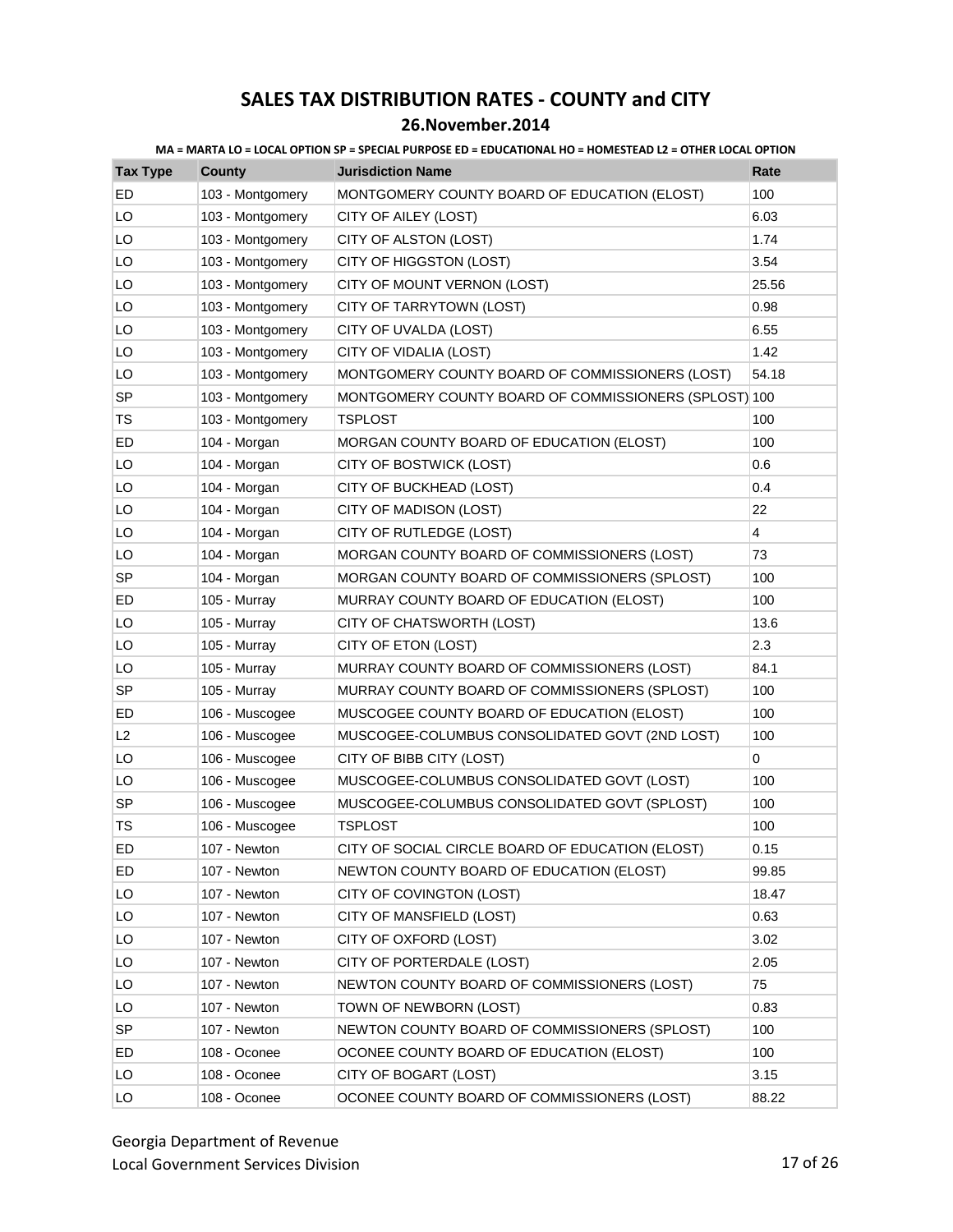### **26.November.2014**

| <b>Tax Type</b> | <b>County</b>    | <b>Jurisdiction Name</b>                              | Rate           |
|-----------------|------------------|-------------------------------------------------------|----------------|
| <b>ED</b>       | 103 - Montgomery | MONTGOMERY COUNTY BOARD OF EDUCATION (ELOST)          | 100            |
| LO              | 103 - Montgomery | CITY OF AILEY (LOST)                                  | 6.03           |
| LO              | 103 - Montgomery | CITY OF ALSTON (LOST)                                 | 1.74           |
| LO              | 103 - Montgomery | CITY OF HIGGSTON (LOST)                               | 3.54           |
| LO              | 103 - Montgomery | CITY OF MOUNT VERNON (LOST)                           | 25.56          |
| LO              | 103 - Montgomery | CITY OF TARRYTOWN (LOST)                              | 0.98           |
| LO              | 103 - Montgomery | CITY OF UVALDA (LOST)                                 | 6.55           |
| LO              | 103 - Montgomery | CITY OF VIDALIA (LOST)                                | 1.42           |
| LO              | 103 - Montgomery | MONTGOMERY COUNTY BOARD OF COMMISSIONERS (LOST)       | 54.18          |
| <b>SP</b>       | 103 - Montgomery | MONTGOMERY COUNTY BOARD OF COMMISSIONERS (SPLOST) 100 |                |
| TS              | 103 - Montgomery | <b>TSPLOST</b>                                        | 100            |
| ED              | 104 - Morgan     | MORGAN COUNTY BOARD OF EDUCATION (ELOST)              | 100            |
| LO              | 104 - Morgan     | CITY OF BOSTWICK (LOST)                               | 0.6            |
| LO              | 104 - Morgan     | CITY OF BUCKHEAD (LOST)                               | 0.4            |
| LO              | 104 - Morgan     | CITY OF MADISON (LOST)                                | 22             |
| LO              | 104 - Morgan     | CITY OF RUTLEDGE (LOST)                               | $\overline{4}$ |
| LO              | 104 - Morgan     | MORGAN COUNTY BOARD OF COMMISSIONERS (LOST)           | 73             |
| <b>SP</b>       | 104 - Morgan     | MORGAN COUNTY BOARD OF COMMISSIONERS (SPLOST)         | 100            |
| ED              | 105 - Murray     | MURRAY COUNTY BOARD OF EDUCATION (ELOST)              | 100            |
| LO              | 105 - Murray     | CITY OF CHATSWORTH (LOST)                             | 13.6           |
| LO              | 105 - Murray     | CITY OF ETON (LOST)                                   | 2.3            |
| LO              | 105 - Murray     | MURRAY COUNTY BOARD OF COMMISSIONERS (LOST)           | 84.1           |
| <b>SP</b>       | 105 - Murray     | MURRAY COUNTY BOARD OF COMMISSIONERS (SPLOST)         | 100            |
| ED              | 106 - Muscogee   | MUSCOGEE COUNTY BOARD OF EDUCATION (ELOST)            | 100            |
| L2              | 106 - Muscogee   | MUSCOGEE-COLUMBUS CONSOLIDATED GOVT (2ND LOST)        | 100            |
| LO              | 106 - Muscogee   | CITY OF BIBB CITY (LOST)                              | 0              |
| LO              | 106 - Muscogee   | MUSCOGEE-COLUMBUS CONSOLIDATED GOVT (LOST)            | 100            |
| SP              | 106 - Muscogee   | MUSCOGEE-COLUMBUS CONSOLIDATED GOVT (SPLOST)          | 100            |
| TS              | 106 - Muscogee   | <b>TSPLOST</b>                                        | 100            |
| ED              | 107 - Newton     | CITY OF SOCIAL CIRCLE BOARD OF EDUCATION (ELOST)      | 0.15           |
| ED.             | 107 - Newton     | NEWTON COUNTY BOARD OF EDUCATION (ELOST)              | 99.85          |
| LO              | 107 - Newton     | CITY OF COVINGTON (LOST)                              | 18.47          |
| LO              | 107 - Newton     | CITY OF MANSFIELD (LOST)                              | 0.63           |
| LO              | 107 - Newton     | CITY OF OXFORD (LOST)                                 | 3.02           |
| LO              | 107 - Newton     | CITY OF PORTERDALE (LOST)                             | 2.05           |
| LO              | 107 - Newton     | NEWTON COUNTY BOARD OF COMMISSIONERS (LOST)           | 75             |
| LO              | 107 - Newton     | TOWN OF NEWBORN (LOST)                                | 0.83           |
| <b>SP</b>       | 107 - Newton     | NEWTON COUNTY BOARD OF COMMISSIONERS (SPLOST)         | 100            |
| ED              | 108 - Oconee     | OCONEE COUNTY BOARD OF EDUCATION (ELOST)              | 100            |
| LO              | 108 - Oconee     | CITY OF BOGART (LOST)                                 | 3.15           |
| LO              | 108 - Oconee     | OCONEE COUNTY BOARD OF COMMISSIONERS (LOST)           | 88.22          |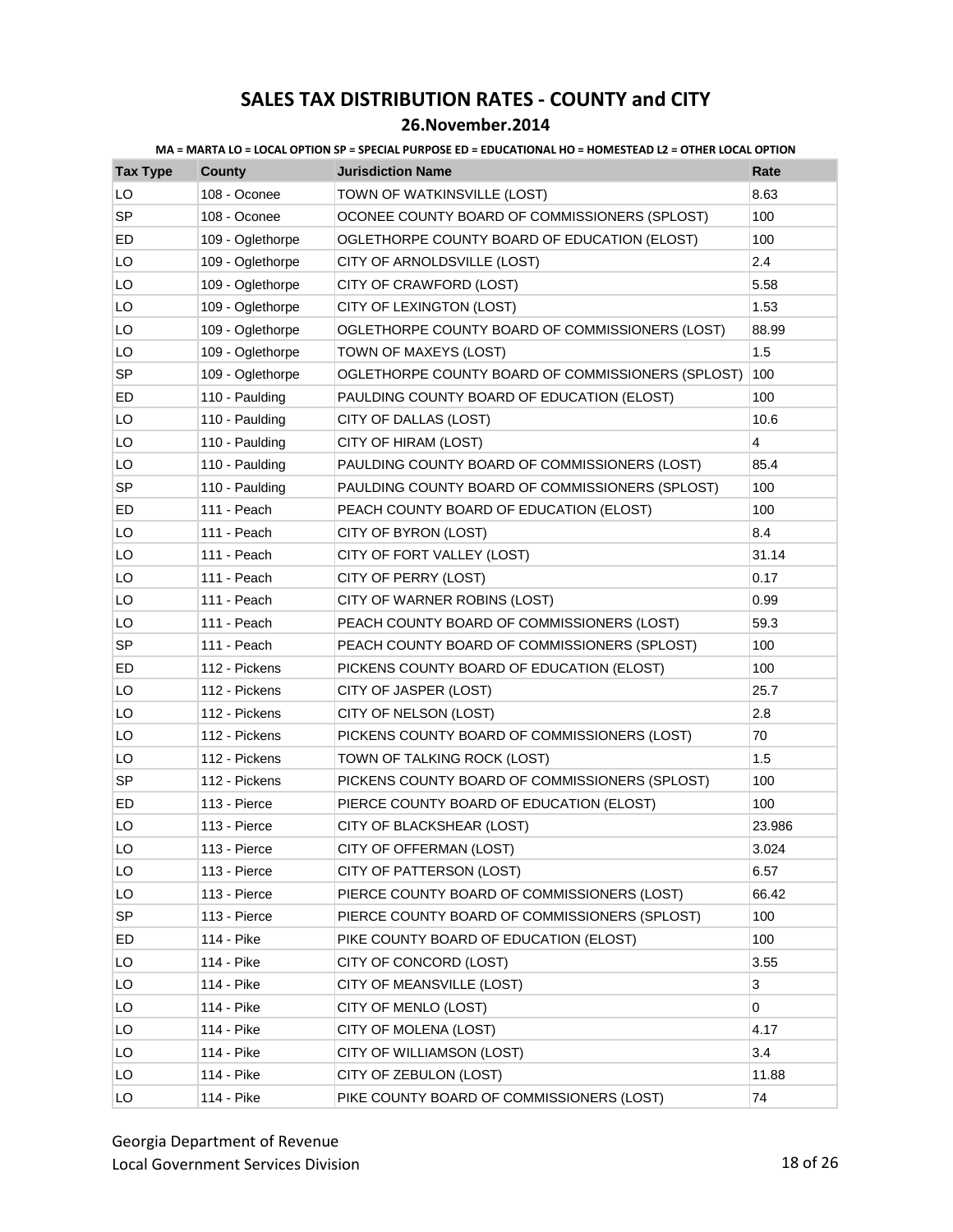### **26.November.2014**

| <b>Tax Type</b> | <b>County</b>    | <b>Jurisdiction Name</b>                          | Rate           |
|-----------------|------------------|---------------------------------------------------|----------------|
| LO              | 108 - Oconee     | TOWN OF WATKINSVILLE (LOST)                       | 8.63           |
| <b>SP</b>       | 108 - Oconee     | OCONEE COUNTY BOARD OF COMMISSIONERS (SPLOST)     | 100            |
| ED              | 109 - Oglethorpe | OGLETHORPE COUNTY BOARD OF EDUCATION (ELOST)      | 100            |
| LO              | 109 - Oglethorpe | CITY OF ARNOLDSVILLE (LOST)                       | 2.4            |
| LO              | 109 - Oglethorpe | CITY OF CRAWFORD (LOST)                           | 5.58           |
| LO              | 109 - Oglethorpe | CITY OF LEXINGTON (LOST)                          | 1.53           |
| LO              | 109 - Oglethorpe | OGLETHORPE COUNTY BOARD OF COMMISSIONERS (LOST)   | 88.99          |
| LO              | 109 - Oglethorpe | TOWN OF MAXEYS (LOST)                             | 1.5            |
| <b>SP</b>       | 109 - Oglethorpe | OGLETHORPE COUNTY BOARD OF COMMISSIONERS (SPLOST) | 100            |
| ED              | 110 - Paulding   | PAULDING COUNTY BOARD OF EDUCATION (ELOST)        | 100            |
| LO              | 110 - Paulding   | CITY OF DALLAS (LOST)                             | 10.6           |
| LO              | 110 - Paulding   | CITY OF HIRAM (LOST)                              | $\overline{4}$ |
| LO              | 110 - Paulding   | PAULDING COUNTY BOARD OF COMMISSIONERS (LOST)     | 85.4           |
| <b>SP</b>       | 110 - Paulding   | PAULDING COUNTY BOARD OF COMMISSIONERS (SPLOST)   | 100            |
| ED              | 111 - Peach      | PEACH COUNTY BOARD OF EDUCATION (ELOST)           | 100            |
| LO              | 111 - Peach      | CITY OF BYRON (LOST)                              | 8.4            |
| LO              | 111 - Peach      | CITY OF FORT VALLEY (LOST)                        | 31.14          |
| LO              | 111 - Peach      | CITY OF PERRY (LOST)                              | 0.17           |
| LO              | 111 - Peach      | CITY OF WARNER ROBINS (LOST)                      | 0.99           |
| LO              | 111 - Peach      | PEACH COUNTY BOARD OF COMMISSIONERS (LOST)        | 59.3           |
| SP              | 111 - Peach      | PEACH COUNTY BOARD OF COMMISSIONERS (SPLOST)      | 100            |
| ED              | 112 - Pickens    | PICKENS COUNTY BOARD OF EDUCATION (ELOST)         | 100            |
| LO              | 112 - Pickens    | CITY OF JASPER (LOST)                             | 25.7           |
| LO              | 112 - Pickens    | CITY OF NELSON (LOST)                             | 2.8            |
| LO              | 112 - Pickens    | PICKENS COUNTY BOARD OF COMMISSIONERS (LOST)      | 70             |
| LO              | 112 - Pickens    | TOWN OF TALKING ROCK (LOST)                       | 1.5            |
| <b>SP</b>       | 112 - Pickens    | PICKENS COUNTY BOARD OF COMMISSIONERS (SPLOST)    | 100            |
| ED              | 113 - Pierce     | PIERCE COUNTY BOARD OF EDUCATION (ELOST)          | 100            |
| LO              | 113 - Pierce     | CITY OF BLACKSHEAR (LOST)                         | 23.986         |
| LO              | 113 - Pierce     | CITY OF OFFERMAN (LOST)                           | 3.024          |
| LO              | 113 - Pierce     | CITY OF PATTERSON (LOST)                          | 6.57           |
| LO              | 113 - Pierce     | PIERCE COUNTY BOARD OF COMMISSIONERS (LOST)       | 66.42          |
| SP              | 113 - Pierce     | PIERCE COUNTY BOARD OF COMMISSIONERS (SPLOST)     | 100            |
| ED              | 114 - Pike       | PIKE COUNTY BOARD OF EDUCATION (ELOST)            | 100            |
| LO              | 114 - Pike       | CITY OF CONCORD (LOST)                            | 3.55           |
| LO              | 114 - Pike       | CITY OF MEANSVILLE (LOST)                         | 3              |
| LO              | 114 - Pike       | CITY OF MENLO (LOST)                              | 0              |
| LO              | 114 - Pike       | CITY OF MOLENA (LOST)                             | 4.17           |
| LO              | 114 - Pike       | CITY OF WILLIAMSON (LOST)                         | 3.4            |
| LO              | 114 - Pike       | CITY OF ZEBULON (LOST)                            | 11.88          |
| LO              | 114 - Pike       | PIKE COUNTY BOARD OF COMMISSIONERS (LOST)         | 74             |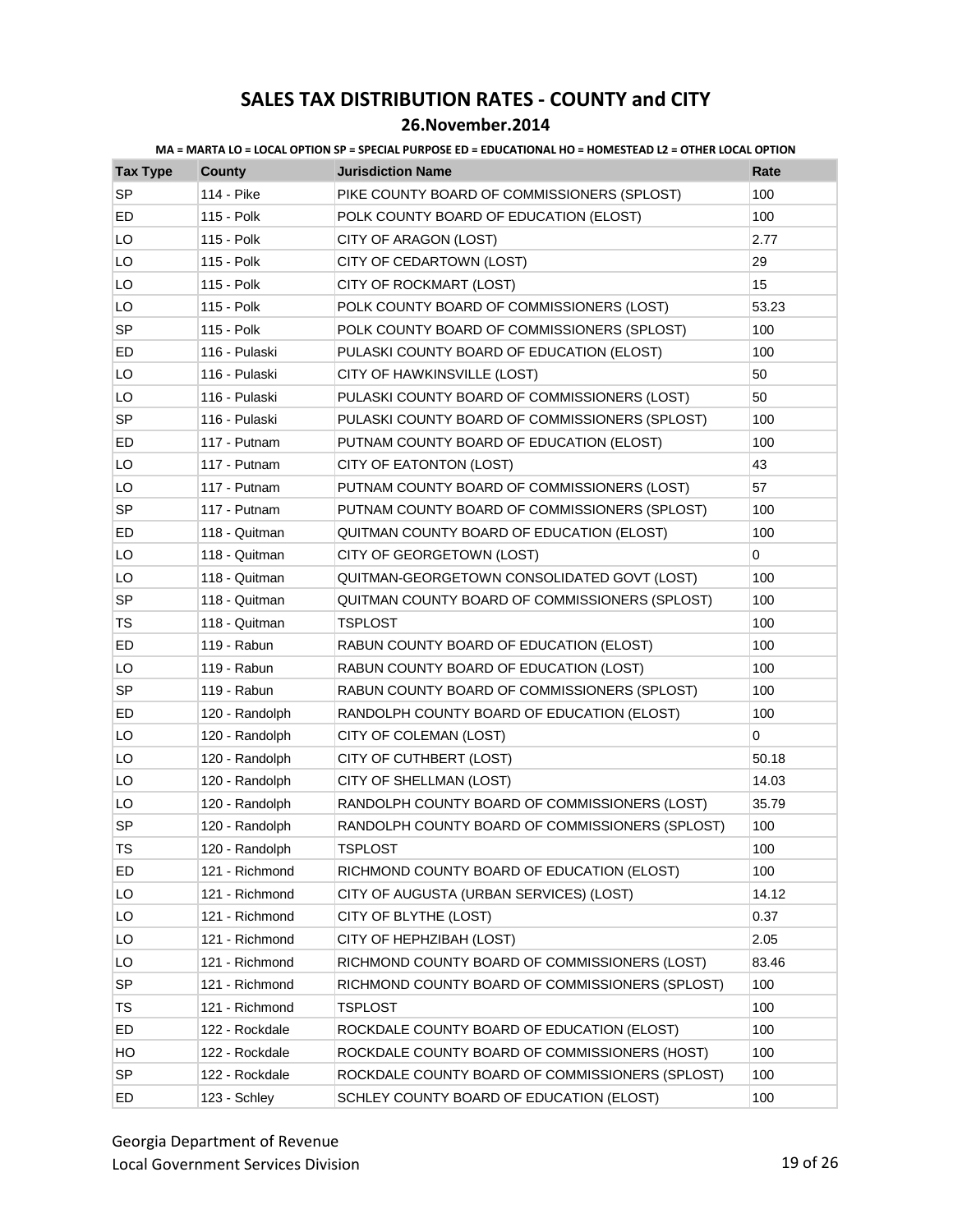| <b>Tax Type</b> | <b>County</b>  | <b>Jurisdiction Name</b>                        | Rate        |
|-----------------|----------------|-------------------------------------------------|-------------|
| <b>SP</b>       | 114 - Pike     | PIKE COUNTY BOARD OF COMMISSIONERS (SPLOST)     | 100         |
| ED              | 115 - Polk     | POLK COUNTY BOARD OF EDUCATION (ELOST)          | 100         |
| LO              | 115 - Polk     | CITY OF ARAGON (LOST)                           | 2.77        |
| LO              | 115 - Polk     | CITY OF CEDARTOWN (LOST)                        | 29          |
| LO              | 115 - Polk     | CITY OF ROCKMART (LOST)                         | 15          |
| LO              | 115 - Polk     | POLK COUNTY BOARD OF COMMISSIONERS (LOST)       | 53.23       |
| <b>SP</b>       | 115 - Polk     | POLK COUNTY BOARD OF COMMISSIONERS (SPLOST)     | 100         |
| ED              | 116 - Pulaski  | PULASKI COUNTY BOARD OF EDUCATION (ELOST)       | 100         |
| LO              | 116 - Pulaski  | CITY OF HAWKINSVILLE (LOST)                     | 50          |
| LO              | 116 - Pulaski  | PULASKI COUNTY BOARD OF COMMISSIONERS (LOST)    | 50          |
| <b>SP</b>       | 116 - Pulaski  | PULASKI COUNTY BOARD OF COMMISSIONERS (SPLOST)  | 100         |
| ED              | 117 - Putnam   | PUTNAM COUNTY BOARD OF EDUCATION (ELOST)        | 100         |
| LO              | 117 - Putnam   | CITY OF EATONTON (LOST)                         | 43          |
| LO              | 117 - Putnam   | PUTNAM COUNTY BOARD OF COMMISSIONERS (LOST)     | 57          |
| SP              | 117 - Putnam   | PUTNAM COUNTY BOARD OF COMMISSIONERS (SPLOST)   | 100         |
| ED              | 118 - Quitman  | QUITMAN COUNTY BOARD OF EDUCATION (ELOST)       | 100         |
| LO              | 118 - Quitman  | CITY OF GEORGETOWN (LOST)                       | $\mathbf 0$ |
| LO              | 118 - Quitman  | QUITMAN-GEORGETOWN CONSOLIDATED GOVT (LOST)     | 100         |
| SP              | 118 - Quitman  | QUITMAN COUNTY BOARD OF COMMISSIONERS (SPLOST)  | 100         |
| TS              | 118 - Quitman  | <b>TSPLOST</b>                                  | 100         |
| ED              | 119 - Rabun    | RABUN COUNTY BOARD OF EDUCATION (ELOST)         | 100         |
| LO              | 119 - Rabun    | RABUN COUNTY BOARD OF EDUCATION (LOST)          | 100         |
| SP              | 119 - Rabun    | RABUN COUNTY BOARD OF COMMISSIONERS (SPLOST)    | 100         |
| ED              | 120 - Randolph | RANDOLPH COUNTY BOARD OF EDUCATION (ELOST)      | 100         |
| LO              | 120 - Randolph | CITY OF COLEMAN (LOST)                          | 0           |
| LO              | 120 - Randolph | CITY OF CUTHBERT (LOST)                         | 50.18       |
| LO              | 120 - Randolph | CITY OF SHELLMAN (LOST)                         | 14.03       |
| LO              | 120 - Randolph | RANDOLPH COUNTY BOARD OF COMMISSIONERS (LOST)   | 35.79       |
| <b>SP</b>       | 120 - Randolph | RANDOLPH COUNTY BOARD OF COMMISSIONERS (SPLOST) | 100         |
| <b>TS</b>       | 120 - Randolph | TSPLOST                                         | 100         |
| ED              | 121 - Richmond | RICHMOND COUNTY BOARD OF EDUCATION (ELOST)      | 100         |
| LO              | 121 - Richmond | CITY OF AUGUSTA (URBAN SERVICES) (LOST)         | 14.12       |
| LO              | 121 - Richmond | CITY OF BLYTHE (LOST)                           | 0.37        |
| LO              | 121 - Richmond | CITY OF HEPHZIBAH (LOST)                        | 2.05        |
| LO              | 121 - Richmond | RICHMOND COUNTY BOARD OF COMMISSIONERS (LOST)   | 83.46       |
| SP              | 121 - Richmond | RICHMOND COUNTY BOARD OF COMMISSIONERS (SPLOST) | 100         |
| TS              | 121 - Richmond | TSPLOST                                         | 100         |
| ED              | 122 - Rockdale | ROCKDALE COUNTY BOARD OF EDUCATION (ELOST)      | 100         |
| HO              | 122 - Rockdale | ROCKDALE COUNTY BOARD OF COMMISSIONERS (HOST)   | 100         |
| <b>SP</b>       | 122 - Rockdale | ROCKDALE COUNTY BOARD OF COMMISSIONERS (SPLOST) | 100         |
| ED              | 123 - Schley   | SCHLEY COUNTY BOARD OF EDUCATION (ELOST)        | 100         |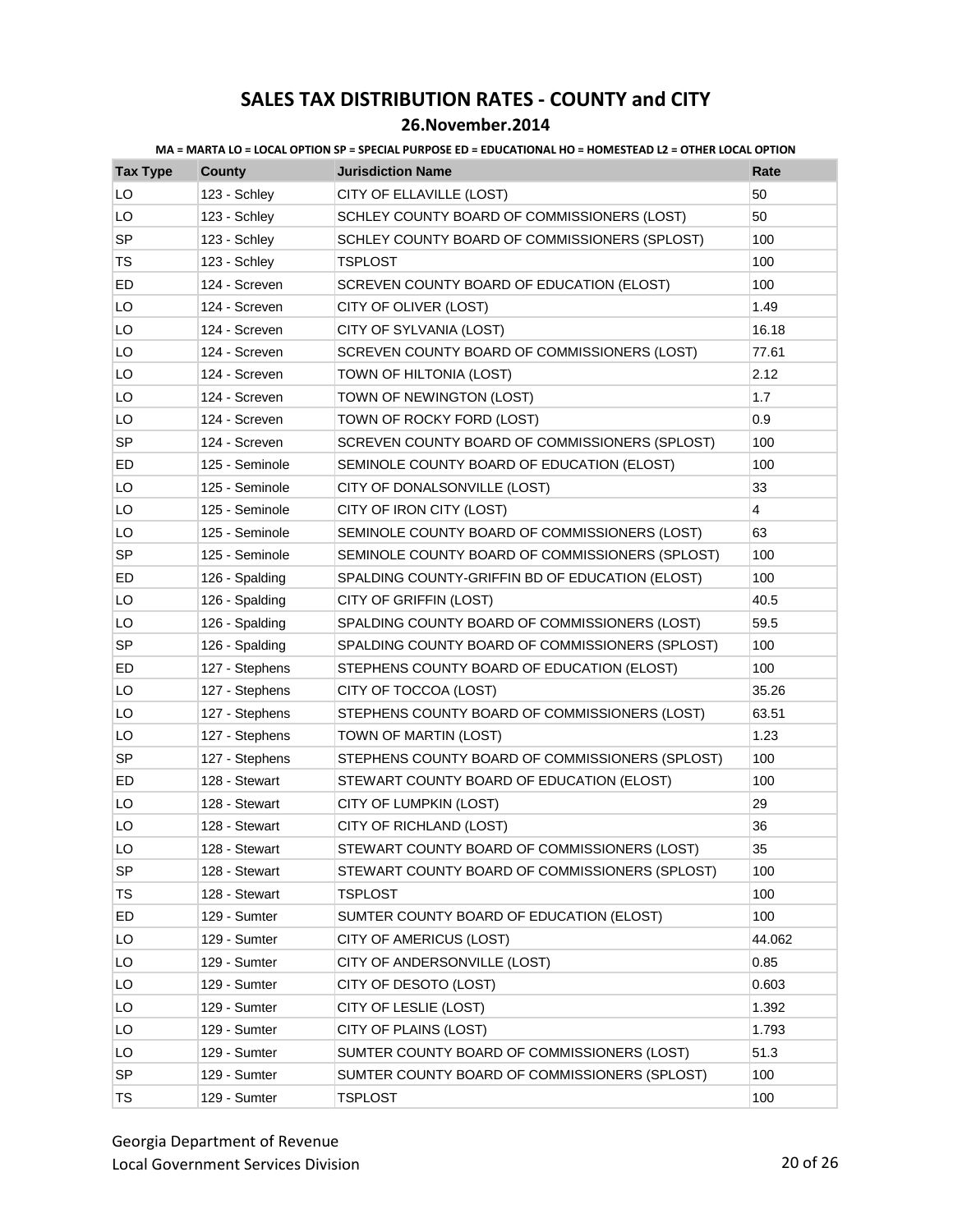| <b>Tax Type</b> | <b>County</b>  | <b>Jurisdiction Name</b>                        | Rate           |
|-----------------|----------------|-------------------------------------------------|----------------|
| LO              | 123 - Schley   | CITY OF ELLAVILLE (LOST)                        | 50             |
| LO              | 123 - Schley   | SCHLEY COUNTY BOARD OF COMMISSIONERS (LOST)     | 50             |
| <b>SP</b>       | 123 - Schley   | SCHLEY COUNTY BOARD OF COMMISSIONERS (SPLOST)   | 100            |
| TS              | 123 - Schley   | <b>TSPLOST</b>                                  | 100            |
| ED              | 124 - Screven  | SCREVEN COUNTY BOARD OF EDUCATION (ELOST)       | 100            |
| LO              | 124 - Screven  | CITY OF OLIVER (LOST)                           | 1.49           |
| LO              | 124 - Screven  | CITY OF SYLVANIA (LOST)                         | 16.18          |
| LO              | 124 - Screven  | SCREVEN COUNTY BOARD OF COMMISSIONERS (LOST)    | 77.61          |
| LO              | 124 - Screven  | TOWN OF HILTONIA (LOST)                         | 2.12           |
| LO              | 124 - Screven  | TOWN OF NEWINGTON (LOST)                        | 1.7            |
| LO              | 124 - Screven  | TOWN OF ROCKY FORD (LOST)                       | 0.9            |
| <b>SP</b>       | 124 - Screven  | SCREVEN COUNTY BOARD OF COMMISSIONERS (SPLOST)  | 100            |
| ED              | 125 - Seminole | SEMINOLE COUNTY BOARD OF EDUCATION (ELOST)      | 100            |
| LO              | 125 - Seminole | CITY OF DONALSONVILLE (LOST)                    | 33             |
| LO              | 125 - Seminole | CITY OF IRON CITY (LOST)                        | $\overline{4}$ |
| LO              | 125 - Seminole | SEMINOLE COUNTY BOARD OF COMMISSIONERS (LOST)   | 63             |
| SP              | 125 - Seminole | SEMINOLE COUNTY BOARD OF COMMISSIONERS (SPLOST) | 100            |
| ED              | 126 - Spalding | SPALDING COUNTY-GRIFFIN BD OF EDUCATION (ELOST) | 100            |
| LO              | 126 - Spalding | CITY OF GRIFFIN (LOST)                          | 40.5           |
| LO              | 126 - Spalding | SPALDING COUNTY BOARD OF COMMISSIONERS (LOST)   | 59.5           |
| <b>SP</b>       | 126 - Spalding | SPALDING COUNTY BOARD OF COMMISSIONERS (SPLOST) | 100            |
| ED              | 127 - Stephens | STEPHENS COUNTY BOARD OF EDUCATION (ELOST)      | 100            |
| LO              | 127 - Stephens | CITY OF TOCCOA (LOST)                           | 35.26          |
| LO              | 127 - Stephens | STEPHENS COUNTY BOARD OF COMMISSIONERS (LOST)   | 63.51          |
| LO              | 127 - Stephens | TOWN OF MARTIN (LOST)                           | 1.23           |
| <b>SP</b>       | 127 - Stephens | STEPHENS COUNTY BOARD OF COMMISSIONERS (SPLOST) | 100            |
| ED              | 128 - Stewart  | STEWART COUNTY BOARD OF EDUCATION (ELOST)       | 100            |
| LO              | 128 - Stewart  | CITY OF LUMPKIN (LOST)                          | 29             |
| LO              | 128 - Stewart  | CITY OF RICHLAND (LOST)                         | 36             |
| LO              | 128 - Stewart  | STEWART COUNTY BOARD OF COMMISSIONERS (LOST)    | 35             |
| <b>SP</b>       | 128 - Stewart  | STEWART COUNTY BOARD OF COMMISSIONERS (SPLOST)  | 100            |
| TS              | 128 - Stewart  | TSPLOST                                         | 100            |
| ED              | 129 - Sumter   | SUMTER COUNTY BOARD OF EDUCATION (ELOST)        | 100            |
| LO              | 129 - Sumter   | CITY OF AMERICUS (LOST)                         | 44.062         |
| LO              | 129 - Sumter   | CITY OF ANDERSONVILLE (LOST)                    | 0.85           |
| LO              | 129 - Sumter   | CITY OF DESOTO (LOST)                           | 0.603          |
| LO              | 129 - Sumter   | CITY OF LESLIE (LOST)                           | 1.392          |
| LO              | 129 - Sumter   | CITY OF PLAINS (LOST)                           | 1.793          |
| LO              | 129 - Sumter   | SUMTER COUNTY BOARD OF COMMISSIONERS (LOST)     | 51.3           |
| SP              | 129 - Sumter   | SUMTER COUNTY BOARD OF COMMISSIONERS (SPLOST)   | 100            |
| TS              | 129 - Sumter   | <b>TSPLOST</b>                                  | 100            |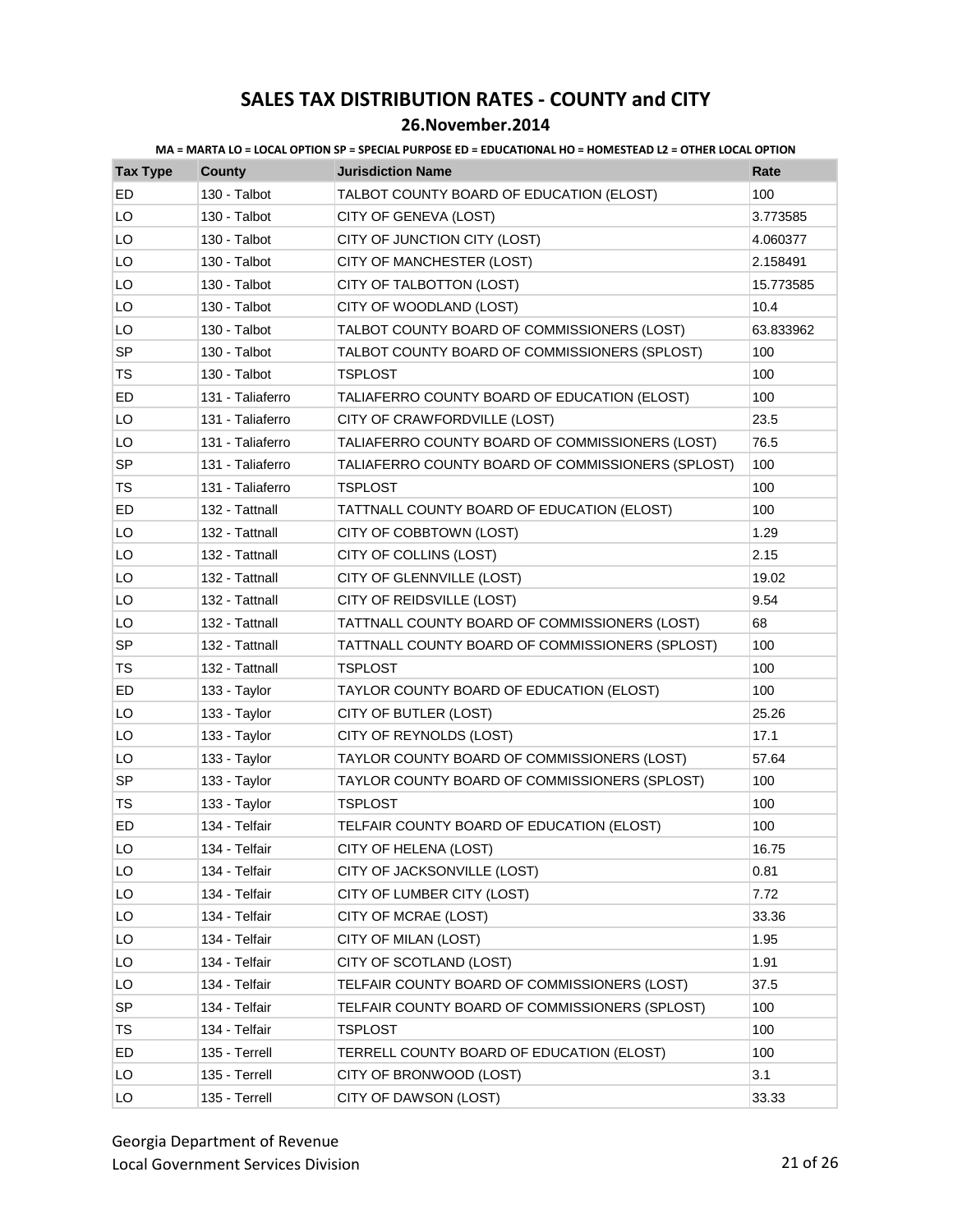| <b>Tax Type</b> | <b>County</b>    | <b>Jurisdiction Name</b>                          | Rate      |
|-----------------|------------------|---------------------------------------------------|-----------|
| ED              | 130 - Talbot     | TALBOT COUNTY BOARD OF EDUCATION (ELOST)          | 100       |
| LO              | 130 - Talbot     | CITY OF GENEVA (LOST)                             | 3.773585  |
| LO              | 130 - Talbot     | CITY OF JUNCTION CITY (LOST)                      | 4.060377  |
| LO              | 130 - Talbot     | CITY OF MANCHESTER (LOST)                         | 2.158491  |
| LO              | 130 - Talbot     | CITY OF TALBOTTON (LOST)                          | 15.773585 |
| LO              | 130 - Talbot     | CITY OF WOODLAND (LOST)                           | 10.4      |
| LO              | 130 - Talbot     | TALBOT COUNTY BOARD OF COMMISSIONERS (LOST)       | 63.833962 |
| <b>SP</b>       | 130 - Talbot     | TALBOT COUNTY BOARD OF COMMISSIONERS (SPLOST)     | 100       |
| TS              | 130 - Talbot     | <b>TSPLOST</b>                                    | 100       |
| ED              | 131 - Taliaferro | TALIAFERRO COUNTY BOARD OF EDUCATION (ELOST)      | 100       |
| LO              | 131 - Taliaferro | CITY OF CRAWFORDVILLE (LOST)                      | 23.5      |
| LO              | 131 - Taliaferro | TALIAFERRO COUNTY BOARD OF COMMISSIONERS (LOST)   | 76.5      |
| <b>SP</b>       | 131 - Taliaferro | TALIAFERRO COUNTY BOARD OF COMMISSIONERS (SPLOST) | 100       |
| <b>TS</b>       | 131 - Taliaferro | TSPLOST                                           | 100       |
| ED              | 132 - Tattnall   | TATTNALL COUNTY BOARD OF EDUCATION (ELOST)        | 100       |
| LO              | 132 - Tattnall   | CITY OF COBBTOWN (LOST)                           | 1.29      |
| LO              | 132 - Tattnall   | CITY OF COLLINS (LOST)                            | 2.15      |
| LO              | 132 - Tattnall   | CITY OF GLENNVILLE (LOST)                         | 19.02     |
| LO              | 132 - Tattnall   | CITY OF REIDSVILLE (LOST)                         | 9.54      |
| LO              | 132 - Tattnall   | TATTNALL COUNTY BOARD OF COMMISSIONERS (LOST)     | 68        |
| SP              | 132 - Tattnall   | TATTNALL COUNTY BOARD OF COMMISSIONERS (SPLOST)   | 100       |
| TS              | 132 - Tattnall   | TSPLOST                                           | 100       |
| ED              | 133 - Taylor     | TAYLOR COUNTY BOARD OF EDUCATION (ELOST)          | 100       |
| LO              | 133 - Taylor     | CITY OF BUTLER (LOST)                             | 25.26     |
| LO              | 133 - Taylor     | CITY OF REYNOLDS (LOST)                           | 17.1      |
| LO              | 133 - Taylor     | TAYLOR COUNTY BOARD OF COMMISSIONERS (LOST)       | 57.64     |
| SP              | 133 - Taylor     | TAYLOR COUNTY BOARD OF COMMISSIONERS (SPLOST)     | 100       |
| <b>TS</b>       | 133 - Taylor     | TSPLOST                                           | 100       |
| ED              | 134 - Telfair    | TELFAIR COUNTY BOARD OF EDUCATION (ELOST)         | 100       |
| LO              | 134 - Telfair    | CITY OF HELENA (LOST)                             | 16.75     |
| LO              | 134 - Telfair    | CITY OF JACKSONVILLE (LOST)                       | 0.81      |
| LO              | 134 - Telfair    | CITY OF LUMBER CITY (LOST)                        | 7.72      |
| LO              | 134 - Telfair    | CITY OF MCRAE (LOST)                              | 33.36     |
| LO              | 134 - Telfair    | CITY OF MILAN (LOST)                              | 1.95      |
| LO              | 134 - Telfair    | CITY OF SCOTLAND (LOST)                           | 1.91      |
| LO              | 134 - Telfair    | TELFAIR COUNTY BOARD OF COMMISSIONERS (LOST)      | 37.5      |
| SP              | 134 - Telfair    | TELFAIR COUNTY BOARD OF COMMISSIONERS (SPLOST)    | 100       |
| TS              | 134 - Telfair    | <b>TSPLOST</b>                                    | 100       |
| ED              | 135 - Terrell    | TERRELL COUNTY BOARD OF EDUCATION (ELOST)         | 100       |
| LO              | 135 - Terrell    | CITY OF BRONWOOD (LOST)                           | 3.1       |
| LO              | 135 - Terrell    | CITY OF DAWSON (LOST)                             | 33.33     |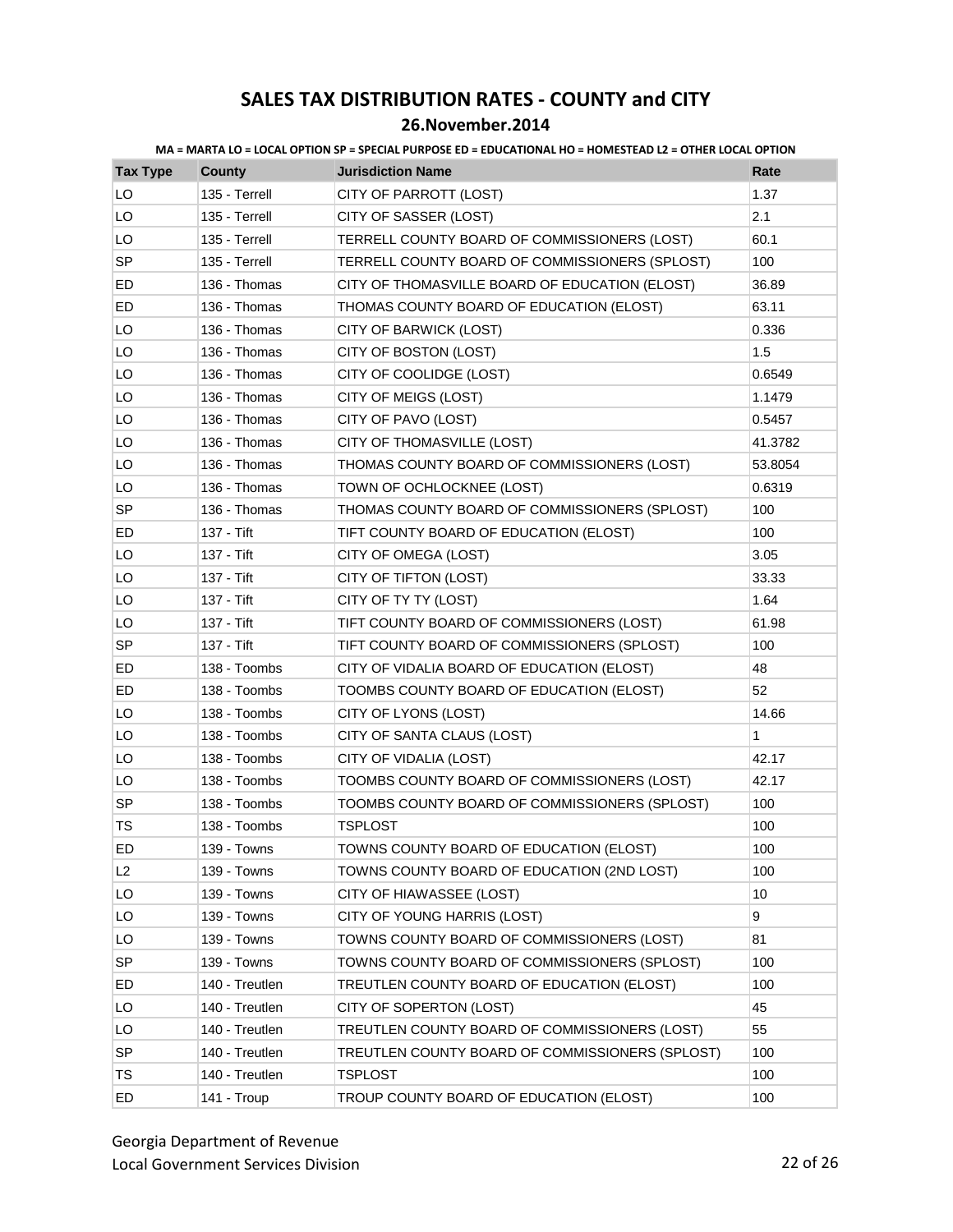| <b>Tax Type</b> | <b>County</b>  | <b>Jurisdiction Name</b>                        | Rate    |
|-----------------|----------------|-------------------------------------------------|---------|
| LO              | 135 - Terrell  | CITY OF PARROTT (LOST)                          | 1.37    |
| LO              | 135 - Terrell  | CITY OF SASSER (LOST)                           | 2.1     |
| LO              | 135 - Terrell  | TERRELL COUNTY BOARD OF COMMISSIONERS (LOST)    | 60.1    |
| <b>SP</b>       | 135 - Terrell  | TERRELL COUNTY BOARD OF COMMISSIONERS (SPLOST)  | 100     |
| ED              | 136 - Thomas   | CITY OF THOMASVILLE BOARD OF EDUCATION (ELOST)  | 36.89   |
| ED              | 136 - Thomas   | THOMAS COUNTY BOARD OF EDUCATION (ELOST)        | 63.11   |
| LO              | 136 - Thomas   | CITY OF BARWICK (LOST)                          | 0.336   |
| LO              | 136 - Thomas   | CITY OF BOSTON (LOST)                           | 1.5     |
| LO              | 136 - Thomas   | CITY OF COOLIDGE (LOST)                         | 0.6549  |
| LO              | 136 - Thomas   | CITY OF MEIGS (LOST)                            | 1.1479  |
| LO              | 136 - Thomas   | CITY OF PAVO (LOST)                             | 0.5457  |
| LO              | 136 - Thomas   | CITY OF THOMASVILLE (LOST)                      | 41.3782 |
| LO              | 136 - Thomas   | THOMAS COUNTY BOARD OF COMMISSIONERS (LOST)     | 53.8054 |
| LO              | 136 - Thomas   | TOWN OF OCHLOCKNEE (LOST)                       | 0.6319  |
| SP              | 136 - Thomas   | THOMAS COUNTY BOARD OF COMMISSIONERS (SPLOST)   | 100     |
| ED              | 137 - Tift     | TIFT COUNTY BOARD OF EDUCATION (ELOST)          | 100     |
| LO              | 137 - Tift     | CITY OF OMEGA (LOST)                            | 3.05    |
| LO              | 137 - Tift     | CITY OF TIFTON (LOST)                           | 33.33   |
| LO              | 137 - Tift     | CITY OF TY TY (LOST)                            | 1.64    |
| LO              | 137 - Tift     | TIFT COUNTY BOARD OF COMMISSIONERS (LOST)       | 61.98   |
| <b>SP</b>       | 137 - Tift     | TIFT COUNTY BOARD OF COMMISSIONERS (SPLOST)     | 100     |
| ED              | 138 - Toombs   | CITY OF VIDALIA BOARD OF EDUCATION (ELOST)      | 48      |
| ED              | 138 - Toombs   | TOOMBS COUNTY BOARD OF EDUCATION (ELOST)        | 52      |
| LO              | 138 - Toombs   | CITY OF LYONS (LOST)                            | 14.66   |
| LO              | 138 - Toombs   | CITY OF SANTA CLAUS (LOST)                      | 1       |
| LO              | 138 - Toombs   | CITY OF VIDALIA (LOST)                          | 42.17   |
| LO              | 138 - Toombs   | TOOMBS COUNTY BOARD OF COMMISSIONERS (LOST)     | 42.17   |
| <b>SP</b>       | 138 - Toombs   | TOOMBS COUNTY BOARD OF COMMISSIONERS (SPLOST)   | 100     |
| <b>TS</b>       | 138 - Toombs   | <b>TSPLOST</b>                                  | 100     |
| ED              | 139 - Towns    | TOWNS COUNTY BOARD OF EDUCATION (ELOST)         | 100     |
| L2              | 139 - Towns    | TOWNS COUNTY BOARD OF EDUCATION (2ND LOST)      | 100     |
| LO              | 139 - Towns    | CITY OF HIAWASSEE (LOST)                        | 10      |
| LO              | 139 - Towns    | CITY OF YOUNG HARRIS (LOST)                     | 9       |
| LO              | 139 - Towns    | TOWNS COUNTY BOARD OF COMMISSIONERS (LOST)      | 81      |
| SP              | 139 - Towns    | TOWNS COUNTY BOARD OF COMMISSIONERS (SPLOST)    | 100     |
| ED              | 140 - Treutlen | TREUTLEN COUNTY BOARD OF EDUCATION (ELOST)      | 100     |
| LO              | 140 - Treutlen | CITY OF SOPERTON (LOST)                         | 45      |
| LO              | 140 - Treutlen | TREUTLEN COUNTY BOARD OF COMMISSIONERS (LOST)   | 55      |
| <b>SP</b>       | 140 - Treutlen | TREUTLEN COUNTY BOARD OF COMMISSIONERS (SPLOST) | 100     |
| TS              | 140 - Treutlen | <b>TSPLOST</b>                                  | 100     |
| ED              | 141 - Troup    | TROUP COUNTY BOARD OF EDUCATION (ELOST)         | 100     |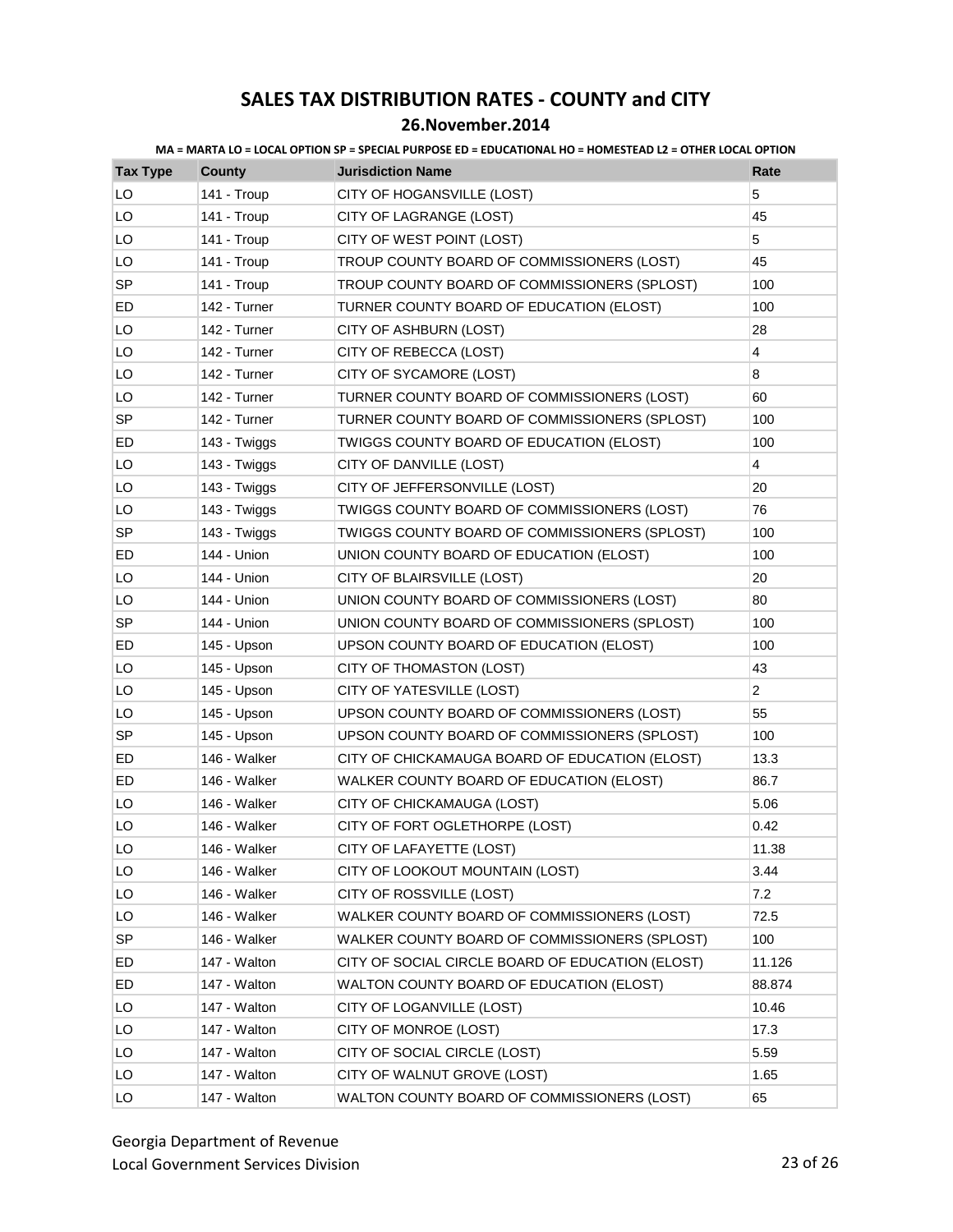| <b>Tax Type</b> | <b>County</b> | <b>Jurisdiction Name</b>                         | Rate                    |
|-----------------|---------------|--------------------------------------------------|-------------------------|
| LO              | 141 - Troup   | CITY OF HOGANSVILLE (LOST)                       | 5                       |
| LO              | 141 - Troup   | CITY OF LAGRANGE (LOST)                          | 45                      |
| LO              | 141 - Troup   | CITY OF WEST POINT (LOST)                        | 5                       |
| LO              | 141 - Troup   | TROUP COUNTY BOARD OF COMMISSIONERS (LOST)       | 45                      |
| SP              | 141 - Troup   | TROUP COUNTY BOARD OF COMMISSIONERS (SPLOST)     | 100                     |
| ED              | 142 - Turner  | TURNER COUNTY BOARD OF EDUCATION (ELOST)         | 100                     |
| LO              | 142 - Turner  | CITY OF ASHBURN (LOST)                           | 28                      |
| LO              | 142 - Turner  | CITY OF REBECCA (LOST)                           | $\overline{\mathbf{4}}$ |
| LO              | 142 - Turner  | CITY OF SYCAMORE (LOST)                          | 8                       |
| LO              | 142 - Turner  | TURNER COUNTY BOARD OF COMMISSIONERS (LOST)      | 60                      |
| <b>SP</b>       | 142 - Turner  | TURNER COUNTY BOARD OF COMMISSIONERS (SPLOST)    | 100                     |
| ED              | 143 - Twiggs  | TWIGGS COUNTY BOARD OF EDUCATION (ELOST)         | 100                     |
| LO              | 143 - Twiggs  | CITY OF DANVILLE (LOST)                          | $\overline{4}$          |
| LO              | 143 - Twiggs  | CITY OF JEFFERSONVILLE (LOST)                    | 20                      |
| LO              | 143 - Twiggs  | TWIGGS COUNTY BOARD OF COMMISSIONERS (LOST)      | 76                      |
| SP              | 143 - Twiggs  | TWIGGS COUNTY BOARD OF COMMISSIONERS (SPLOST)    | 100                     |
| ED              | 144 - Union   | UNION COUNTY BOARD OF EDUCATION (ELOST)          | 100                     |
| LO              | 144 - Union   | CITY OF BLAIRSVILLE (LOST)                       | 20                      |
| LO              | 144 - Union   | UNION COUNTY BOARD OF COMMISSIONERS (LOST)       | 80                      |
| SP              | 144 - Union   | UNION COUNTY BOARD OF COMMISSIONERS (SPLOST)     | 100                     |
| ED              | 145 - Upson   | UPSON COUNTY BOARD OF EDUCATION (ELOST)          | 100                     |
| LO              | 145 - Upson   | CITY OF THOMASTON (LOST)                         | 43                      |
| LO              | 145 - Upson   | CITY OF YATESVILLE (LOST)                        | $\overline{2}$          |
| LO              | 145 - Upson   | UPSON COUNTY BOARD OF COMMISSIONERS (LOST)       | 55                      |
| <b>SP</b>       | 145 - Upson   | UPSON COUNTY BOARD OF COMMISSIONERS (SPLOST)     | 100                     |
| ED              | 146 - Walker  | CITY OF CHICKAMAUGA BOARD OF EDUCATION (ELOST)   | 13.3                    |
| ED              | 146 - Walker  | WALKER COUNTY BOARD OF EDUCATION (ELOST)         | 86.7                    |
| LO              | 146 - Walker  | CITY OF CHICKAMAUGA (LOST)                       | 5.06                    |
| LO              | 146 - Walker  | CITY OF FORT OGLETHORPE (LOST)                   | 0.42                    |
| LO              | 146 - Walker  | CITY OF LAFAYETTE (LOST)                         | 11.38                   |
| LO              | 146 - Walker  | CITY OF LOOKOUT MOUNTAIN (LOST)                  | 3.44                    |
| LO              | 146 - Walker  | CITY OF ROSSVILLE (LOST)                         | 7.2                     |
| LO              | 146 - Walker  | WALKER COUNTY BOARD OF COMMISSIONERS (LOST)      | 72.5                    |
| <b>SP</b>       | 146 - Walker  | WALKER COUNTY BOARD OF COMMISSIONERS (SPLOST)    | 100                     |
| ED              | 147 - Walton  | CITY OF SOCIAL CIRCLE BOARD OF EDUCATION (ELOST) | 11.126                  |
| ED              | 147 - Walton  | WALTON COUNTY BOARD OF EDUCATION (ELOST)         | 88.874                  |
| LO              | 147 - Walton  | CITY OF LOGANVILLE (LOST)                        | 10.46                   |
| LO              | 147 - Walton  | CITY OF MONROE (LOST)                            | 17.3                    |
| LO              | 147 - Walton  | CITY OF SOCIAL CIRCLE (LOST)                     | 5.59                    |
| LO              | 147 - Walton  | CITY OF WALNUT GROVE (LOST)                      | 1.65                    |
| LO              | 147 - Walton  | WALTON COUNTY BOARD OF COMMISSIONERS (LOST)      | 65                      |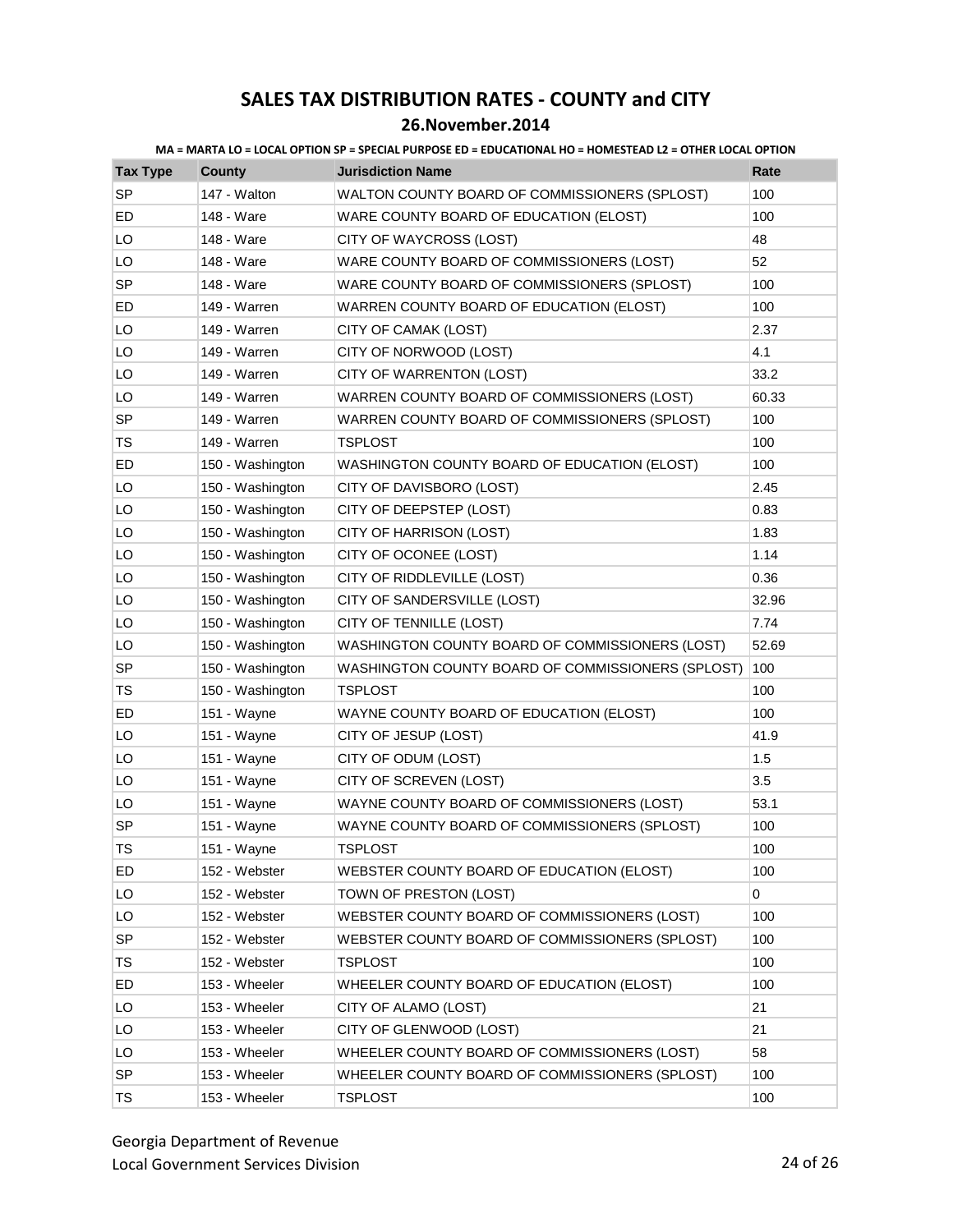| <b>Tax Type</b> | <b>County</b>    | <b>Jurisdiction Name</b>                          | Rate  |
|-----------------|------------------|---------------------------------------------------|-------|
| <b>SP</b>       | 147 - Walton     | WALTON COUNTY BOARD OF COMMISSIONERS (SPLOST)     | 100   |
| ED              | 148 - Ware       | WARE COUNTY BOARD OF EDUCATION (ELOST)            | 100   |
| LO              | 148 - Ware       | CITY OF WAYCROSS (LOST)                           | 48    |
| LO              | 148 - Ware       | WARE COUNTY BOARD OF COMMISSIONERS (LOST)         | 52    |
| <b>SP</b>       | 148 - Ware       | WARE COUNTY BOARD OF COMMISSIONERS (SPLOST)       | 100   |
| ED              | 149 - Warren     | WARREN COUNTY BOARD OF EDUCATION (ELOST)          | 100   |
| LO              | 149 - Warren     | CITY OF CAMAK (LOST)                              | 2.37  |
| LO              | 149 - Warren     | CITY OF NORWOOD (LOST)                            | 4.1   |
| LO              | 149 - Warren     | CITY OF WARRENTON (LOST)                          | 33.2  |
| LO              | 149 - Warren     | WARREN COUNTY BOARD OF COMMISSIONERS (LOST)       | 60.33 |
| SP              | 149 - Warren     | WARREN COUNTY BOARD OF COMMISSIONERS (SPLOST)     | 100   |
| TS              | 149 - Warren     | <b>TSPLOST</b>                                    | 100   |
| ED              | 150 - Washington | WASHINGTON COUNTY BOARD OF EDUCATION (ELOST)      | 100   |
| LO              | 150 - Washington | CITY OF DAVISBORO (LOST)                          | 2.45  |
| LO              | 150 - Washington | CITY OF DEEPSTEP (LOST)                           | 0.83  |
| LO              | 150 - Washington | CITY OF HARRISON (LOST)                           | 1.83  |
| LO              | 150 - Washington | CITY OF OCONEE (LOST)                             | 1.14  |
| LO              | 150 - Washington | CITY OF RIDDLEVILLE (LOST)                        | 0.36  |
| LO              | 150 - Washington | CITY OF SANDERSVILLE (LOST)                       | 32.96 |
| LO              | 150 - Washington | CITY OF TENNILLE (LOST)                           | 7.74  |
| LO              | 150 - Washington | WASHINGTON COUNTY BOARD OF COMMISSIONERS (LOST)   | 52.69 |
| <b>SP</b>       | 150 - Washington | WASHINGTON COUNTY BOARD OF COMMISSIONERS (SPLOST) | 100   |
| TS              | 150 - Washington | <b>TSPLOST</b>                                    | 100   |
| ED              | 151 - Wayne      | WAYNE COUNTY BOARD OF EDUCATION (ELOST)           | 100   |
| LO              | 151 - Wayne      | CITY OF JESUP (LOST)                              | 41.9  |
| LO              | 151 - Wayne      | CITY OF ODUM (LOST)                               | 1.5   |
| LO              | 151 - Wayne      | CITY OF SCREVEN (LOST)                            | 3.5   |
| LO              | 151 - Wayne      | WAYNE COUNTY BOARD OF COMMISSIONERS (LOST)        | 53.1  |
| SP              | 151 - Wayne      | WAYNE COUNTY BOARD OF COMMISSIONERS (SPLOST)      | 100   |
| TS              | 151 - Wayne      | <b>TSPLOST</b>                                    | 100   |
| ED              | 152 - Webster    | WEBSTER COUNTY BOARD OF EDUCATION (ELOST)         | 100   |
| LO              | 152 - Webster    | TOWN OF PRESTON (LOST)                            | 0     |
| LO              | 152 - Webster    | WEBSTER COUNTY BOARD OF COMMISSIONERS (LOST)      | 100   |
| SP              | 152 - Webster    | WEBSTER COUNTY BOARD OF COMMISSIONERS (SPLOST)    | 100   |
| TS              | 152 - Webster    | <b>TSPLOST</b>                                    | 100   |
| ED              | 153 - Wheeler    | WHEELER COUNTY BOARD OF EDUCATION (ELOST)         | 100   |
| LO              | 153 - Wheeler    | CITY OF ALAMO (LOST)                              | 21    |
| LO              | 153 - Wheeler    | CITY OF GLENWOOD (LOST)                           | 21    |
| LO              | 153 - Wheeler    | WHEELER COUNTY BOARD OF COMMISSIONERS (LOST)      | 58    |
| SP              | 153 - Wheeler    | WHEELER COUNTY BOARD OF COMMISSIONERS (SPLOST)    | 100   |
| TS              | 153 - Wheeler    | <b>TSPLOST</b>                                    | 100   |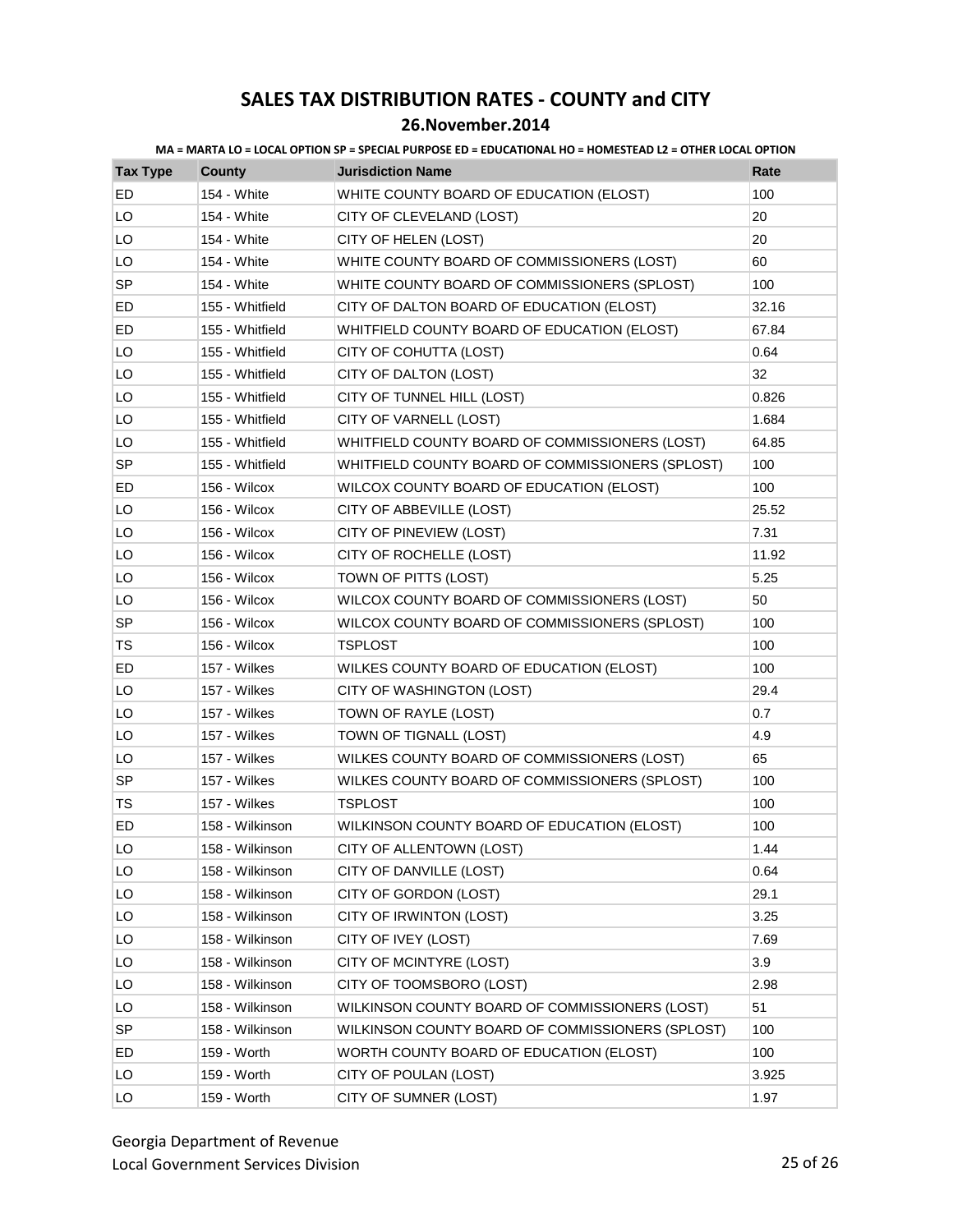### **26.November.2014**

| <b>Tax Type</b> | <b>County</b>   | <b>Jurisdiction Name</b>                         | Rate  |
|-----------------|-----------------|--------------------------------------------------|-------|
| ED              | 154 - White     | WHITE COUNTY BOARD OF EDUCATION (ELOST)          | 100   |
| LO              | 154 - White     | CITY OF CLEVELAND (LOST)                         | 20    |
| LO              | 154 - White     | CITY OF HELEN (LOST)                             | 20    |
| LO              | 154 - White     | WHITE COUNTY BOARD OF COMMISSIONERS (LOST)       | 60    |
| <b>SP</b>       | 154 - White     | WHITE COUNTY BOARD OF COMMISSIONERS (SPLOST)     | 100   |
| ED              | 155 - Whitfield | CITY OF DALTON BOARD OF EDUCATION (ELOST)        | 32.16 |
| ED              | 155 - Whitfield | WHITFIELD COUNTY BOARD OF EDUCATION (ELOST)      | 67.84 |
| LO              | 155 - Whitfield | CITY OF COHUTTA (LOST)                           | 0.64  |
| LO              | 155 - Whitfield | CITY OF DALTON (LOST)                            | 32    |
| LO              | 155 - Whitfield | CITY OF TUNNEL HILL (LOST)                       | 0.826 |
| LO              | 155 - Whitfield | CITY OF VARNELL (LOST)                           | 1.684 |
| LO              | 155 - Whitfield | WHITFIELD COUNTY BOARD OF COMMISSIONERS (LOST)   | 64.85 |
| <b>SP</b>       | 155 - Whitfield | WHITFIELD COUNTY BOARD OF COMMISSIONERS (SPLOST) | 100   |
| ED              | 156 - Wilcox    | WILCOX COUNTY BOARD OF EDUCATION (ELOST)         | 100   |
| LO              | 156 - Wilcox    | CITY OF ABBEVILLE (LOST)                         | 25.52 |
| LO              | 156 - Wilcox    | CITY OF PINEVIEW (LOST)                          | 7.31  |
| LO              | 156 - Wilcox    | CITY OF ROCHELLE (LOST)                          | 11.92 |
| LO              | 156 - Wilcox    | TOWN OF PITTS (LOST)                             | 5.25  |
| LO              | 156 - Wilcox    | WILCOX COUNTY BOARD OF COMMISSIONERS (LOST)      | 50    |
| <b>SP</b>       | 156 - Wilcox    | WILCOX COUNTY BOARD OF COMMISSIONERS (SPLOST)    | 100   |
| TS              | 156 - Wilcox    | <b>TSPLOST</b>                                   | 100   |
| ED              | 157 - Wilkes    | WILKES COUNTY BOARD OF EDUCATION (ELOST)         | 100   |
| LO              | 157 - Wilkes    | CITY OF WASHINGTON (LOST)                        | 29.4  |
| LO              | 157 - Wilkes    | TOWN OF RAYLE (LOST)                             | 0.7   |
| LO              | 157 - Wilkes    | TOWN OF TIGNALL (LOST)                           | 4.9   |
| LO              | 157 - Wilkes    | WILKES COUNTY BOARD OF COMMISSIONERS (LOST)      | 65    |
| <b>SP</b>       | 157 - Wilkes    | WILKES COUNTY BOARD OF COMMISSIONERS (SPLOST)    | 100   |
| TS              | 157 - Wilkes    | <b>TSPLOST</b>                                   | 100   |
| ED              | 158 - Wilkinson | WILKINSON COUNTY BOARD OF EDUCATION (ELOST)      | 100   |
| LO              | 158 - Wilkinson | CITY OF ALLENTOWN (LOST)                         | 1.44  |
| LO              | 158 - Wilkinson | CITY OF DANVILLE (LOST)                          | 0.64  |
| LO              | 158 - Wilkinson | CITY OF GORDON (LOST)                            | 29.1  |
| LO              | 158 - Wilkinson | CITY OF IRWINTON (LOST)                          | 3.25  |
| LO              | 158 - Wilkinson | CITY OF IVEY (LOST)                              | 7.69  |
| LO              | 158 - Wilkinson | CITY OF MCINTYRE (LOST)                          | 3.9   |
| LO              | 158 - Wilkinson | CITY OF TOOMSBORO (LOST)                         | 2.98  |
| LO              | 158 - Wilkinson | WILKINSON COUNTY BOARD OF COMMISSIONERS (LOST)   | 51    |
| <b>SP</b>       | 158 - Wilkinson | WILKINSON COUNTY BOARD OF COMMISSIONERS (SPLOST) | 100   |
| ED              | 159 - Worth     | WORTH COUNTY BOARD OF EDUCATION (ELOST)          | 100   |
| LO              | 159 - Worth     | CITY OF POULAN (LOST)                            | 3.925 |
| LO              | 159 - Worth     | CITY OF SUMNER (LOST)                            | 1.97  |